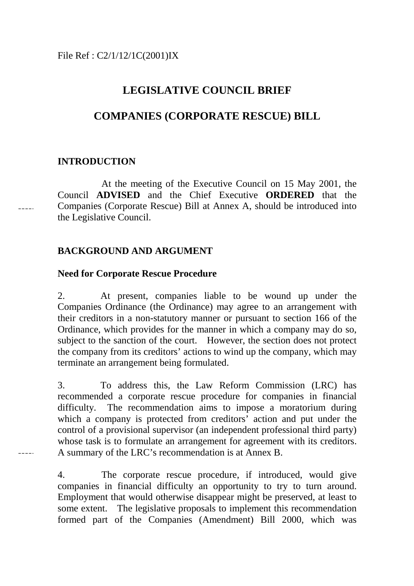# **LEGISLATIVE COUNCIL BRIEF**

# **COMPANIES (CORPORATE RESCUE) BILL**

### **INTRODUCTION**

At the meeting of the Executive Council on 15 May 2001, the Council **ADVISED** and the Chief Executive **ORDERED** that the Companies (Corporate Rescue) Bill at Annex A, should be introduced into the Legislative Council.

## **BACKGROUND AND ARGUMENT**

### **Need for Corporate Rescue Procedure**

2. At present, companies liable to be wound up under the Companies Ordinance (the Ordinance) may agree to an arrangement with their creditors in a non-statutory manner or pursuant to section 166 of the Ordinance, which provides for the manner in which a company may do so, subject to the sanction of the court. However, the section does not protect the company from its creditors' actions to wind up the company, which may terminate an arrangement being formulated.

3. To address this, the Law Reform Commission (LRC) has recommended a corporate rescue procedure for companies in financial difficulty. The recommendation aims to impose a moratorium during which a company is protected from creditors' action and put under the control of a provisional supervisor (an independent professional third party) whose task is to formulate an arrangement for agreement with its creditors. A summary of the LRC's recommendation is at Annex B.

a a a a a

4. The corporate rescue procedure, if introduced, would give companies in financial difficulty an opportunity to try to turn around. Employment that would otherwise disappear might be preserved, at least to some extent. The legislative proposals to implement this recommendation formed part of the Companies (Amendment) Bill 2000, which was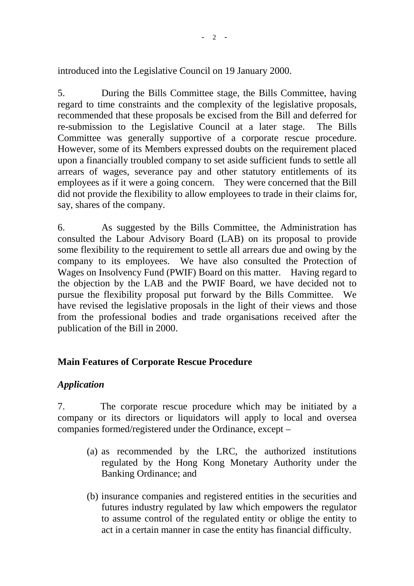introduced into the Legislative Council on 19 January 2000.

5. During the Bills Committee stage, the Bills Committee, having regard to time constraints and the complexity of the legislative proposals, recommended that these proposals be excised from the Bill and deferred for re-submission to the Legislative Council at a later stage. The Bills Committee was generally supportive of a corporate rescue procedure. However, some of its Members expressed doubts on the requirement placed upon a financially troubled company to set aside sufficient funds to settle all arrears of wages, severance pay and other statutory entitlements of its employees as if it were a going concern. They were concerned that the Bill did not provide the flexibility to allow employees to trade in their claims for, say, shares of the company.

6. As suggested by the Bills Committee, the Administration has consulted the Labour Advisory Board (LAB) on its proposal to provide some flexibility to the requirement to settle all arrears due and owing by the company to its employees. We have also consulted the Protection of Wages on Insolvency Fund (PWIF) Board on this matter. Having regard to the objection by the LAB and the PWIF Board, we have decided not to pursue the flexibility proposal put forward by the Bills Committee. We have revised the legislative proposals in the light of their views and those from the professional bodies and trade organisations received after the publication of the Bill in 2000.

# **Main Features of Corporate Rescue Procedure**

# *Application*

7. The corporate rescue procedure which may be initiated by a company or its directors or liquidators will apply to local and oversea companies formed/registered under the Ordinance, except –

- (a) as recommended by the LRC, the authorized institutions regulated by the Hong Kong Monetary Authority under the Banking Ordinance; and
- (b) insurance companies and registered entities in the securities and futures industry regulated by law which empowers the regulator to assume control of the regulated entity or oblige the entity to act in a certain manner in case the entity has financial difficulty.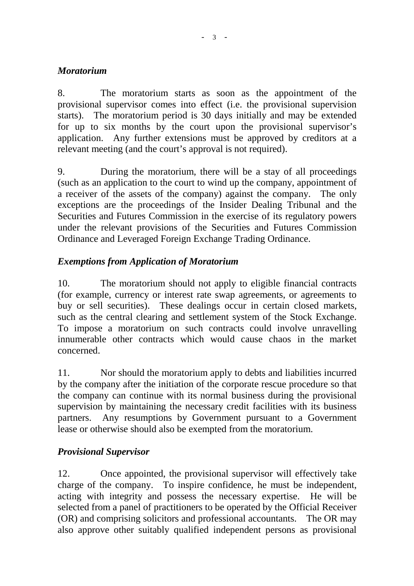## *Moratorium*

8. The moratorium starts as soon as the appointment of the provisional supervisor comes into effect (i.e. the provisional supervision starts). The moratorium period is 30 days initially and may be extended for up to six months by the court upon the provisional supervisor's application. Any further extensions must be approved by creditors at a relevant meeting (and the court's approval is not required).

9. During the moratorium, there will be a stay of all proceedings (such as an application to the court to wind up the company, appointment of a receiver of the assets of the company) against the company. The only exceptions are the proceedings of the Insider Dealing Tribunal and the Securities and Futures Commission in the exercise of its regulatory powers under the relevant provisions of the Securities and Futures Commission Ordinance and Leveraged Foreign Exchange Trading Ordinance.

# *Exemptions from Application of Moratorium*

10. The moratorium should not apply to eligible financial contracts (for example, currency or interest rate swap agreements, or agreements to buy or sell securities). These dealings occur in certain closed markets, such as the central clearing and settlement system of the Stock Exchange. To impose a moratorium on such contracts could involve unravelling innumerable other contracts which would cause chaos in the market concerned.

11. Nor should the moratorium apply to debts and liabilities incurred by the company after the initiation of the corporate rescue procedure so that the company can continue with its normal business during the provisional supervision by maintaining the necessary credit facilities with its business partners. Any resumptions by Government pursuant to a Government lease or otherwise should also be exempted from the moratorium.

# *Provisional Supervisor*

12. Once appointed, the provisional supervisor will effectively take charge of the company. To inspire confidence, he must be independent, acting with integrity and possess the necessary expertise. He will be selected from a panel of practitioners to be operated by the Official Receiver (OR) and comprising solicitors and professional accountants. The OR may also approve other suitably qualified independent persons as provisional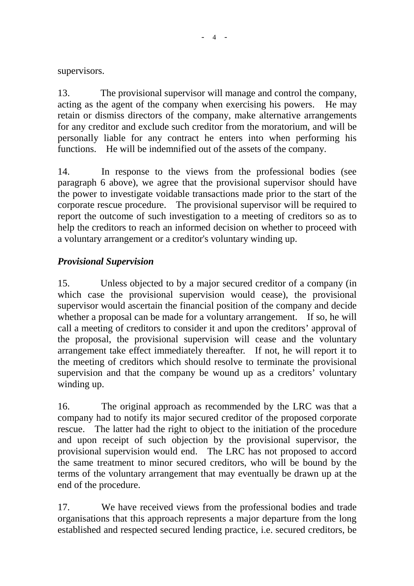supervisors.

13. The provisional supervisor will manage and control the company, acting as the agent of the company when exercising his powers. He may retain or dismiss directors of the company, make alternative arrangements for any creditor and exclude such creditor from the moratorium, and will be personally liable for any contract he enters into when performing his functions. He will be indemnified out of the assets of the company.

14. In response to the views from the professional bodies (see paragraph 6 above), we agree that the provisional supervisor should have the power to investigate voidable transactions made prior to the start of the corporate rescue procedure. The provisional supervisor will be required to report the outcome of such investigation to a meeting of creditors so as to help the creditors to reach an informed decision on whether to proceed with a voluntary arrangement or a creditor's voluntary winding up.

# *Provisional Supervision*

15. Unless objected to by a major secured creditor of a company (in which case the provisional supervision would cease), the provisional supervisor would ascertain the financial position of the company and decide whether a proposal can be made for a voluntary arrangement. If so, he will call a meeting of creditors to consider it and upon the creditors' approval of the proposal, the provisional supervision will cease and the voluntary arrangement take effect immediately thereafter. If not, he will report it to the meeting of creditors which should resolve to terminate the provisional supervision and that the company be wound up as a creditors' voluntary winding up.

16. The original approach as recommended by the LRC was that a company had to notify its major secured creditor of the proposed corporate rescue. The latter had the right to object to the initiation of the procedure and upon receipt of such objection by the provisional supervisor, the provisional supervision would end. The LRC has not proposed to accord the same treatment to minor secured creditors, who will be bound by the terms of the voluntary arrangement that may eventually be drawn up at the end of the procedure.

17. We have received views from the professional bodies and trade organisations that this approach represents a major departure from the long established and respected secured lending practice, i.e. secured creditors, be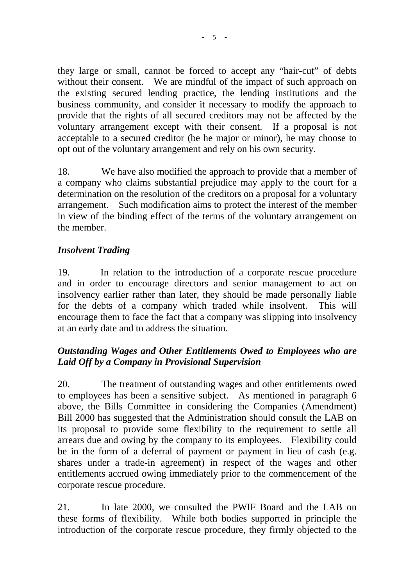they large or small, cannot be forced to accept any "hair-cut" of debts without their consent. We are mindful of the impact of such approach on the existing secured lending practice, the lending institutions and the business community, and consider it necessary to modify the approach to provide that the rights of all secured creditors may not be affected by the voluntary arrangement except with their consent. If a proposal is not acceptable to a secured creditor (be he major or minor), he may choose to opt out of the voluntary arrangement and rely on his own security.

18. We have also modified the approach to provide that a member of a company who claims substantial prejudice may apply to the court for a determination on the resolution of the creditors on a proposal for a voluntary arrangement. Such modification aims to protect the interest of the member in view of the binding effect of the terms of the voluntary arrangement on the member.

## *Insolvent Trading*

19. In relation to the introduction of a corporate rescue procedure and in order to encourage directors and senior management to act on insolvency earlier rather than later, they should be made personally liable for the debts of a company which traded while insolvent. This will encourage them to face the fact that a company was slipping into insolvency at an early date and to address the situation.

# *Outstanding Wages and Other Entitlements Owed to Employees who are Laid Off by a Company in Provisional Supervision*

20. The treatment of outstanding wages and other entitlements owed to employees has been a sensitive subject. As mentioned in paragraph 6 above, the Bills Committee in considering the Companies (Amendment) Bill 2000 has suggested that the Administration should consult the LAB on its proposal to provide some flexibility to the requirement to settle all arrears due and owing by the company to its employees. Flexibility could be in the form of a deferral of payment or payment in lieu of cash (e.g. shares under a trade-in agreement) in respect of the wages and other entitlements accrued owing immediately prior to the commencement of the corporate rescue procedure.

21. In late 2000, we consulted the PWIF Board and the LAB on these forms of flexibility. While both bodies supported in principle the introduction of the corporate rescue procedure, they firmly objected to the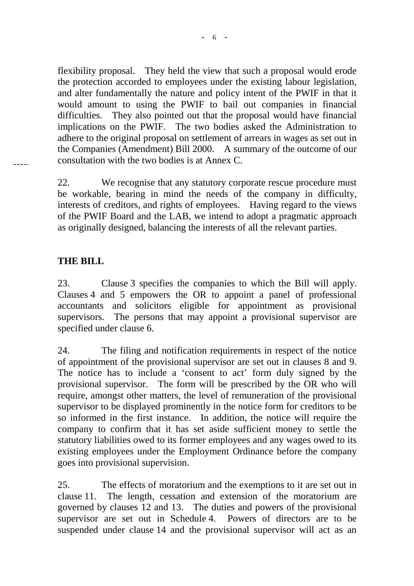flexibility proposal. They held the view that such a proposal would erode the protection accorded to employees under the existing labour legislation, and alter fundamentally the nature and policy intent of the PWIF in that it would amount to using the PWIF to bail out companies in financial difficulties. They also pointed out that the proposal would have financial implications on the PWIF. The two bodies asked the Administration to adhere to the original proposal on settlement of arrears in wages as set out in the Companies (Amendment) Bill 2000. A summary of the outcome of our consultation with the two bodies is at Annex C.

22. We recognise that any statutory corporate rescue procedure must be workable, bearing in mind the needs of the company in difficulty, interests of creditors, and rights of employees. Having regard to the views of the PWIF Board and the LAB, we intend to adopt a pragmatic approach as originally designed, balancing the interests of all the relevant parties.

## **THE BILL**

23. Clause 3 specifies the companies to which the Bill will apply. Clauses 4 and 5 empowers the OR to appoint a panel of professional accountants and solicitors eligible for appointment as provisional supervisors. The persons that may appoint a provisional supervisor are specified under clause 6.

24. The filing and notification requirements in respect of the notice of appointment of the provisional supervisor are set out in clauses 8 and 9. The notice has to include a 'consent to act' form duly signed by the provisional supervisor. The form will be prescribed by the OR who will require, amongst other matters, the level of remuneration of the provisional supervisor to be displayed prominently in the notice form for creditors to be so informed in the first instance. In addition, the notice will require the company to confirm that it has set aside sufficient money to settle the statutory liabilities owed to its former employees and any wages owed to its existing employees under the Employment Ordinance before the company goes into provisional supervision.

25. The effects of moratorium and the exemptions to it are set out in clause 11. The length, cessation and extension of the moratorium are governed by clauses 12 and 13. The duties and powers of the provisional supervisor are set out in Schedule 4. Powers of directors are to be suspended under clause 14 and the provisional supervisor will act as an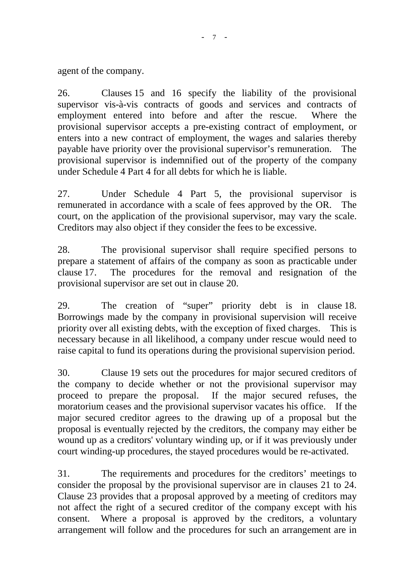agent of the company.

26. Clauses 15 and 16 specify the liability of the provisional supervisor vis-à-vis contracts of goods and services and contracts of employment entered into before and after the rescue. Where the provisional supervisor accepts a pre-existing contract of employment, or enters into a new contract of employment, the wages and salaries thereby payable have priority over the provisional supervisor's remuneration. The provisional supervisor is indemnified out of the property of the company under Schedule 4 Part 4 for all debts for which he is liable.

27. Under Schedule 4 Part 5, the provisional supervisor is remunerated in accordance with a scale of fees approved by the OR. The court, on the application of the provisional supervisor, may vary the scale. Creditors may also object if they consider the fees to be excessive.

28. The provisional supervisor shall require specified persons to prepare a statement of affairs of the company as soon as practicable under clause 17. The procedures for the removal and resignation of the provisional supervisor are set out in clause 20.

29. The creation of "super" priority debt is in clause 18. Borrowings made by the company in provisional supervision will receive priority over all existing debts, with the exception of fixed charges. This is necessary because in all likelihood, a company under rescue would need to raise capital to fund its operations during the provisional supervision period.

30. Clause 19 sets out the procedures for major secured creditors of the company to decide whether or not the provisional supervisor may proceed to prepare the proposal. If the major secured refuses, the moratorium ceases and the provisional supervisor vacates his office. If the major secured creditor agrees to the drawing up of a proposal but the proposal is eventually rejected by the creditors, the company may either be wound up as a creditors' voluntary winding up, or if it was previously under court winding-up procedures, the stayed procedures would be re-activated.

31. The requirements and procedures for the creditors' meetings to consider the proposal by the provisional supervisor are in clauses 21 to 24. Clause 23 provides that a proposal approved by a meeting of creditors may not affect the right of a secured creditor of the company except with his consent. Where a proposal is approved by the creditors, a voluntary arrangement will follow and the procedures for such an arrangement are in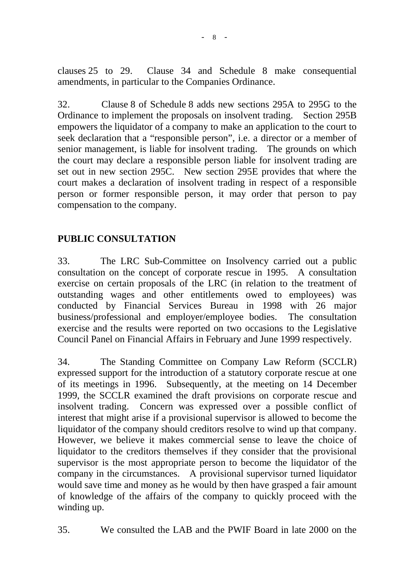clauses 25 to 29. Clause 34 and Schedule 8 make consequential amendments, in particular to the Companies Ordinance.

32. Clause 8 of Schedule 8 adds new sections 295A to 295G to the Ordinance to implement the proposals on insolvent trading. Section 295B empowers the liquidator of a company to make an application to the court to seek declaration that a "responsible person", i.e. a director or a member of senior management, is liable for insolvent trading. The grounds on which the court may declare a responsible person liable for insolvent trading are set out in new section 295C. New section 295E provides that where the court makes a declaration of insolvent trading in respect of a responsible person or former responsible person, it may order that person to pay compensation to the company.

# **PUBLIC CONSULTATION**

33. The LRC Sub-Committee on Insolvency carried out a public consultation on the concept of corporate rescue in 1995. A consultation exercise on certain proposals of the LRC (in relation to the treatment of outstanding wages and other entitlements owed to employees) was conducted by Financial Services Bureau in 1998 with 26 major business/professional and employer/employee bodies. The consultation exercise and the results were reported on two occasions to the Legislative Council Panel on Financial Affairs in February and June 1999 respectively.

34. The Standing Committee on Company Law Reform (SCCLR) expressed support for the introduction of a statutory corporate rescue at one of its meetings in 1996. Subsequently, at the meeting on 14 December 1999, the SCCLR examined the draft provisions on corporate rescue and insolvent trading. Concern was expressed over a possible conflict of interest that might arise if a provisional supervisor is allowed to become the liquidator of the company should creditors resolve to wind up that company. However, we believe it makes commercial sense to leave the choice of liquidator to the creditors themselves if they consider that the provisional supervisor is the most appropriate person to become the liquidator of the company in the circumstances. A provisional supervisor turned liquidator would save time and money as he would by then have grasped a fair amount of knowledge of the affairs of the company to quickly proceed with the winding up.

35. We consulted the LAB and the PWIF Board in late 2000 on the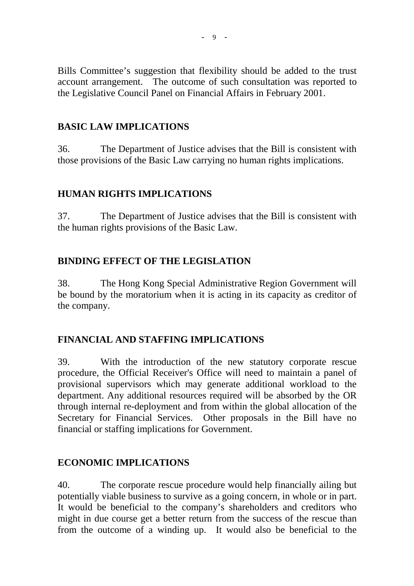Bills Committee's suggestion that flexibility should be added to the trust account arrangement. The outcome of such consultation was reported to the Legislative Council Panel on Financial Affairs in February 2001.

## **BASIC LAW IMPLICATIONS**

36. The Department of Justice advises that the Bill is consistent with those provisions of the Basic Law carrying no human rights implications.

# **HUMAN RIGHTS IMPLICATIONS**

37. The Department of Justice advises that the Bill is consistent with the human rights provisions of the Basic Law.

# **BINDING EFFECT OF THE LEGISLATION**

38. The Hong Kong Special Administrative Region Government will be bound by the moratorium when it is acting in its capacity as creditor of the company.

# **FINANCIAL AND STAFFING IMPLICATIONS**

39. With the introduction of the new statutory corporate rescue procedure, the Official Receiver's Office will need to maintain a panel of provisional supervisors which may generate additional workload to the department. Any additional resources required will be absorbed by the OR through internal re-deployment and from within the global allocation of the Secretary for Financial Services. Other proposals in the Bill have no financial or staffing implications for Government.

# **ECONOMIC IMPLICATIONS**

40. The corporate rescue procedure would help financially ailing but potentially viable business to survive as a going concern, in whole or in part. It would be beneficial to the company's shareholders and creditors who might in due course get a better return from the success of the rescue than from the outcome of a winding up. It would also be beneficial to the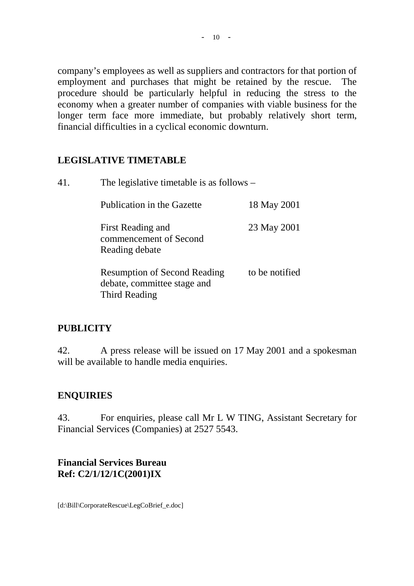company's employees as well as suppliers and contractors for that portion of employment and purchases that might be retained by the rescue. The procedure should be particularly helpful in reducing the stress to the economy when a greater number of companies with viable business for the longer term face more immediate, but probably relatively short term, financial difficulties in a cyclical economic downturn.

# **LEGISLATIVE TIMETABLE**

41. The legislative timetable is as follows –

Publication in the Gazette 18 May 2001 First Reading and 23 May 2001 commencement of Second Reading debate Resumption of Second Reading to be notified debate, committee stage and

Third Reading

# **PUBLICITY**

42. A press release will be issued on 17 May 2001 and a spokesman will be available to handle media enquiries.

# **ENQUIRIES**

43. For enquiries, please call Mr L W TING, Assistant Secretary for Financial Services (Companies) at 2527 5543.

## **Financial Services Bureau Ref: C2/1/12/1C(2001)IX**

[d:\Bill\CorporateRescue\LegCoBrief\_e.doc]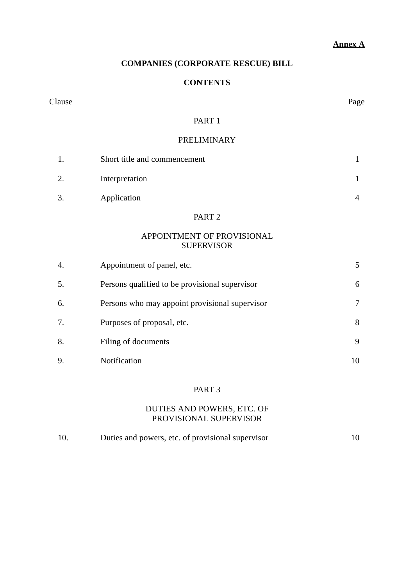### **Annex A**

### **COMPANIES (CORPORATE RESCUE) BILL**

### **CONTENTS**

#### Clause Page

### PART 1

#### PRELIMINARY

|    | Short title and commencement |  |
|----|------------------------------|--|
| 2. | Interpretation               |  |
| 3. | Application                  |  |

#### PART 2

### APPOINTMENT OF PROVISIONAL SUPERVISOR

| 4. | Appointment of panel, etc.                     |   |
|----|------------------------------------------------|---|
| 5. | Persons qualified to be provisional supervisor | 6 |
| 6. | Persons who may appoint provisional supervisor |   |
| 7. | Purposes of proposal, etc.                     | 8 |
| 8. | Filing of documents                            | 9 |
| 9. | Notification                                   |   |

#### PART 3

### DUTIES AND POWERS, ETC. OF PROVISIONAL SUPERVISOR

| 10. | Duties and powers, etc. of provisional supervisor |  |
|-----|---------------------------------------------------|--|
|-----|---------------------------------------------------|--|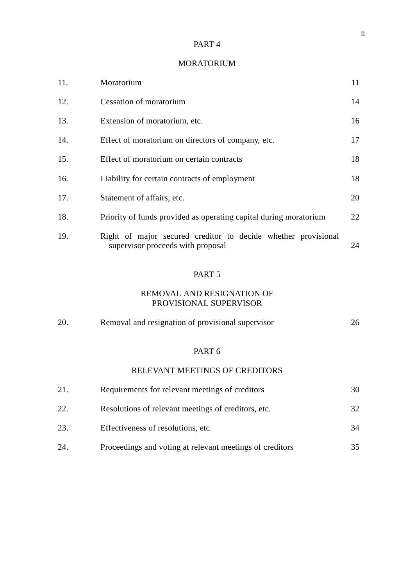#### PART 4

#### MORATORIUM

| 11. | Moratorium                                                                                         | 11 |
|-----|----------------------------------------------------------------------------------------------------|----|
| 12. | <b>Cessation of moratorium</b>                                                                     | 14 |
| 13. | Extension of moratorium, etc.                                                                      | 16 |
| 14. | Effect of moratorium on directors of company, etc.                                                 | 17 |
| 15. | Effect of moratorium on certain contracts                                                          | 18 |
| 16. | Liability for certain contracts of employment                                                      | 18 |
| 17. | Statement of affairs, etc.                                                                         | 20 |
| 18. | Priority of funds provided as operating capital during moratorium                                  | 22 |
| 19. | Right of major secured creditor to decide whether provisional<br>supervisor proceeds with proposal | 24 |

### PART 5

### REMOVAL AND RESIGNATION OF PROVISIONAL SUPERVISOR

| 20. | Removal and resignation of provisional supervisor |  |
|-----|---------------------------------------------------|--|
|     |                                                   |  |

### PART 6

#### RELEVANT MEETINGS OF CREDITORS

| 21. | Requirements for relevant meetings of creditors          | 30  |
|-----|----------------------------------------------------------|-----|
| 22. | Resolutions of relevant meetings of creditors, etc.      | 32. |
| 23. | Effectiveness of resolutions, etc.                       | 34  |
| 24. | Proceedings and voting at relevant meetings of creditors |     |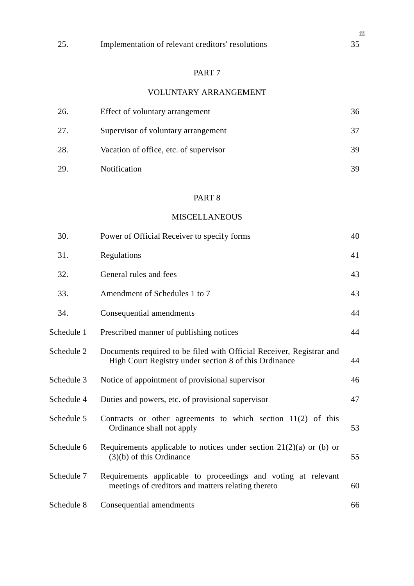### PART 7

## VOLUNTARY ARRANGEMENT

| 26. | Effect of voluntary arrangement        | 36  |
|-----|----------------------------------------|-----|
| 27. | Supervisor of voluntary arrangement    |     |
| 28. | Vacation of office, etc. of supervisor | 39. |
| 29  | <b>Notification</b>                    | 39  |

## PART 8

### **MISCELLANEOUS**

| 30.        | Power of Official Receiver to specify forms                                                                                   | 40 |
|------------|-------------------------------------------------------------------------------------------------------------------------------|----|
| 31.        | Regulations                                                                                                                   | 41 |
| 32.        | General rules and fees                                                                                                        | 43 |
| 33.        | Amendment of Schedules 1 to 7                                                                                                 | 43 |
| 34.        | Consequential amendments                                                                                                      | 44 |
| Schedule 1 | Prescribed manner of publishing notices                                                                                       | 44 |
| Schedule 2 | Documents required to be filed with Official Receiver, Registrar and<br>High Court Registry under section 8 of this Ordinance | 44 |
| Schedule 3 | Notice of appointment of provisional supervisor                                                                               | 46 |
| Schedule 4 | Duties and powers, etc. of provisional supervisor                                                                             | 47 |
| Schedule 5 | Contracts or other agreements to which section $11(2)$ of this<br>Ordinance shall not apply                                   | 53 |
| Schedule 6 | Requirements applicable to notices under section $21(2)(a)$ or (b) or<br>$(3)(b)$ of this Ordinance                           | 55 |
| Schedule 7 | Requirements applicable to proceedings and voting at relevant<br>meetings of creditors and matters relating thereto           | 60 |
| Schedule 8 | Consequential amendments                                                                                                      | 66 |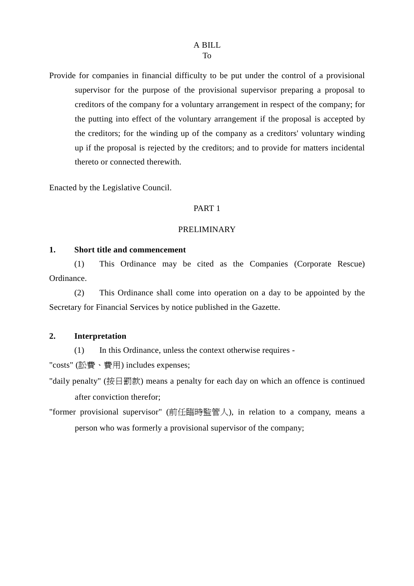Provide for companies in financial difficulty to be put under the control of a provisional supervisor for the purpose of the provisional supervisor preparing a proposal to creditors of the company for a voluntary arrangement in respect of the company; for the putting into effect of the voluntary arrangement if the proposal is accepted by the creditors; for the winding up of the company as a creditors' voluntary winding up if the proposal is rejected by the creditors; and to provide for matters incidental thereto or connected therewith.

Enacted by the Legislative Council.

#### PART 1

#### PRELIMINARY

#### **1. Short title and commencement**

(1) This Ordinance may be cited as the Companies (Corporate Rescue) Ordinance.

(2) This Ordinance shall come into operation on a day to be appointed by the Secretary for Financial Services by notice published in the Gazette.

### **2. Interpretation**

(1) In this Ordinance, unless the context otherwise requires -

"costs" (訟費、費用) includes expenses;

- "daily penalty" (按日罰款) means a penalty for each day on which an offence is continued after conviction therefor;
- "former provisional supervisor" (前任臨時監管㆟), in relation to a company, means a person who was formerly a provisional supervisor of the company;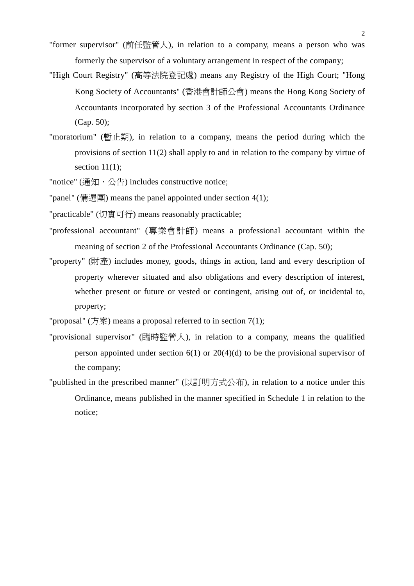- "former supervisor" (前任監管人), in relation to a company, means a person who was formerly the supervisor of a voluntary arrangement in respect of the company;
- "High Court Registry" (高等法院登記處) means any Registry of the High Court; "Hong Kong Society of Accountants" (香港會計師公會) means the Hong Kong Society of Accountants incorporated by section 3 of the Professional Accountants Ordinance (Cap. 50);
- "moratorium" (暫止期), in relation to a company, means the period during which the provisions of section 11(2) shall apply to and in relation to the company by virtue of section  $11(1)$ ;
- "notice" (通知、公告) includes constructive notice;
- "panel" (備選團) means the panel appointed under section 4(1);
- "practicable" (切實可行) means reasonably practicable;
- "professional accountant" (專業會計師) means a professional accountant within the meaning of section 2 of the Professional Accountants Ordinance (Cap. 50);
- "property" (財產) includes money, goods, things in action, land and every description of property wherever situated and also obligations and every description of interest, whether present or future or vested or contingent, arising out of, or incidental to, property;
- "proposal"  $(f \circ \hat{\mathbb{R}})$  means a proposal referred to in section 7(1);
- "provisional supervisor" (臨時監管人), in relation to a company, means the qualified person appointed under section  $6(1)$  or  $20(4)(d)$  to be the provisional supervisor of the company;
- "published in the prescribed manner" (以訂明方式公布), in relation to a notice under this Ordinance, means published in the manner specified in Schedule 1 in relation to the notice;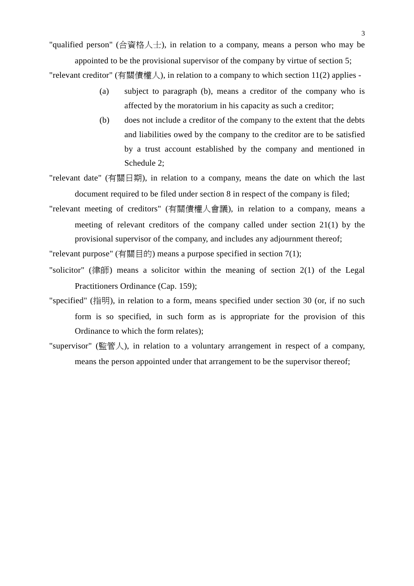"qualified person" (合資格人士), in relation to a company, means a person who may be

appointed to be the provisional supervisor of the company by virtue of section 5; "relevant creditor" (有關債權㆟), in relation to a company to which section 11(2) applies -

- (a) subject to paragraph (b), means a creditor of the company who is affected by the moratorium in his capacity as such a creditor;
- (b) does not include a creditor of the company to the extent that the debts and liabilities owed by the company to the creditor are to be satisfied by a trust account established by the company and mentioned in Schedule 2;
- "relevant date" (有關日期), in relation to a company, means the date on which the last document required to be filed under section 8 in respect of the company is filed;
- "relevant meeting of creditors" (有關債權㆟會議), in relation to a company, means a meeting of relevant creditors of the company called under section 21(1) by the provisional supervisor of the company, and includes any adjournment thereof;

"relevant purpose" (有關目的) means a purpose specified in section 7(1);

- "solicitor" (律師) means a solicitor within the meaning of section  $2(1)$  of the Legal Practitioners Ordinance (Cap. 159);
- "specified" (指明), in relation to a form, means specified under section 30 (or, if no such form is so specified, in such form as is appropriate for the provision of this Ordinance to which the form relates);
- "supervisor" (監管人), in relation to a voluntary arrangement in respect of a company, means the person appointed under that arrangement to be the supervisor thereof;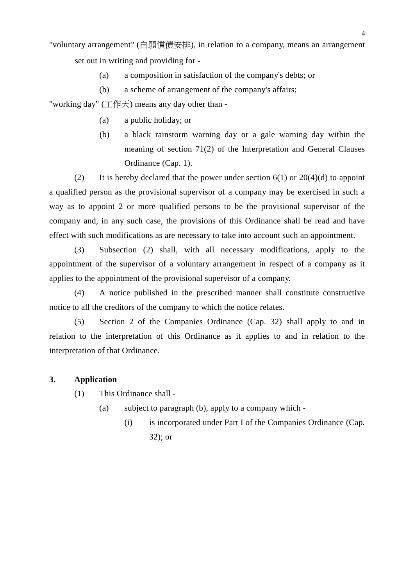"voluntary arrangement" (自願償債安排), in relation to a company, means an arrangement set out in writing and providing for -

- (a) a composition in satisfaction of the company's debts; or
- (b) a scheme of arrangement of the company's affairs;

"working day" (工作天) means any day other than -

- (a) a public holiday; or
- (b) a black rainstorm warning day or a gale warning day within the meaning of section 71(2) of the Interpretation and General Clauses Ordinance (Cap. 1).

(2) It is hereby declared that the power under section  $6(1)$  or  $20(4)(d)$  to appoint a qualified person as the provisional supervisor of a company may be exercised in such a way as to appoint 2 or more qualified persons to be the provisional supervisor of the company and, in any such case, the provisions of this Ordinance shall be read and have effect with such modifications as are necessary to take into account such an appointment.

(3) Subsection (2) shall, with all necessary modifications, apply to the appointment of the supervisor of a voluntary arrangement in respect of a company as it applies to the appointment of the provisional supervisor of a company.

(4) A notice published in the prescribed manner shall constitute constructive notice to all the creditors of the company to which the notice relates.

(5) Section 2 of the Companies Ordinance (Cap. 32) shall apply to and in relation to the interpretation of this Ordinance as it applies to and in relation to the interpretation of that Ordinance.

### **3. Application**

(1) This Ordinance shall -

- (a) subject to paragraph (b), apply to a company which
	- (i) is incorporated under Part I of the Companies Ordinance (Cap. 32); or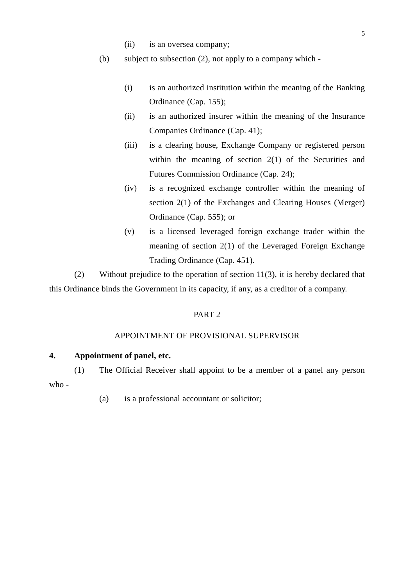- (ii) is an oversea company;
- (b) subject to subsection (2), not apply to a company which
	- (i) is an authorized institution within the meaning of the Banking Ordinance (Cap. 155);
	- (ii) is an authorized insurer within the meaning of the Insurance Companies Ordinance (Cap. 41);
	- (iii) is a clearing house, Exchange Company or registered person within the meaning of section  $2(1)$  of the Securities and Futures Commission Ordinance (Cap. 24);
	- (iv) is a recognized exchange controller within the meaning of section 2(1) of the Exchanges and Clearing Houses (Merger) Ordinance (Cap. 555); or
	- (v) is a licensed leveraged foreign exchange trader within the meaning of section 2(1) of the Leveraged Foreign Exchange Trading Ordinance (Cap. 451).

(2) Without prejudice to the operation of section 11(3), it is hereby declared that this Ordinance binds the Government in its capacity, if any, as a creditor of a company.

#### PART 2

#### APPOINTMENT OF PROVISIONAL SUPERVISOR

### **4. Appointment of panel, etc.**

(1) The Official Receiver shall appoint to be a member of a panel any person who -

(a) is a professional accountant or solicitor;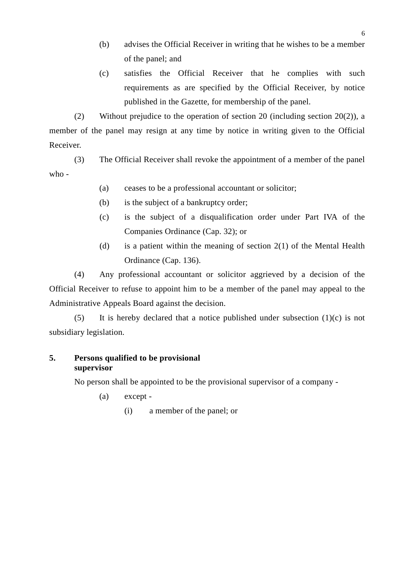- (b) advises the Official Receiver in writing that he wishes to be a member of the panel; and
- (c) satisfies the Official Receiver that he complies with such requirements as are specified by the Official Receiver, by notice published in the Gazette, for membership of the panel.

(2) Without prejudice to the operation of section 20 (including section 20(2)), a member of the panel may resign at any time by notice in writing given to the Official Receiver.

(3) The Official Receiver shall revoke the appointment of a member of the panel who -

- (a) ceases to be a professional accountant or solicitor;
- (b) is the subject of a bankruptcy order;
- (c) is the subject of a disqualification order under Part IVA of the Companies Ordinance (Cap. 32); or
- (d) is a patient within the meaning of section 2(1) of the Mental Health Ordinance (Cap. 136).

(4) Any professional accountant or solicitor aggrieved by a decision of the Official Receiver to refuse to appoint him to be a member of the panel may appeal to the Administrative Appeals Board against the decision.

(5) It is hereby declared that a notice published under subsection  $(1)(c)$  is not subsidiary legislation.

### **5. Persons qualified to be provisional supervisor**

No person shall be appointed to be the provisional supervisor of a company -

- (a) except
	- (i) a member of the panel; or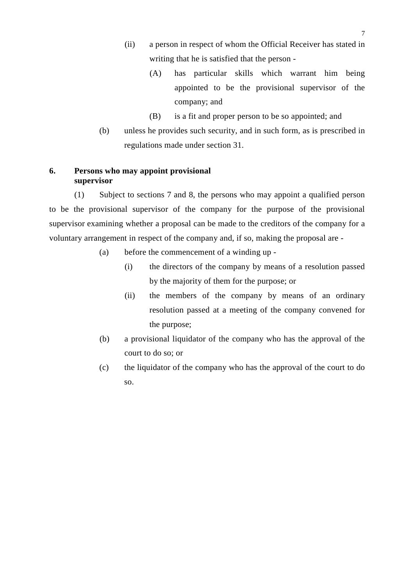- (ii) a person in respect of whom the Official Receiver has stated in writing that he is satisfied that the person -
	- (A) has particular skills which warrant him being appointed to be the provisional supervisor of the company; and
	- (B) is a fit and proper person to be so appointed; and
- (b) unless he provides such security, and in such form, as is prescribed in regulations made under section 31.

#### **6. Persons who may appoint provisional supervisor**

(1) Subject to sections 7 and 8, the persons who may appoint a qualified person to be the provisional supervisor of the company for the purpose of the provisional supervisor examining whether a proposal can be made to the creditors of the company for a voluntary arrangement in respect of the company and, if so, making the proposal are -

- (a) before the commencement of a winding up
	- (i) the directors of the company by means of a resolution passed by the majority of them for the purpose; or
	- (ii) the members of the company by means of an ordinary resolution passed at a meeting of the company convened for the purpose;
- (b) a provisional liquidator of the company who has the approval of the court to do so; or
- (c) the liquidator of the company who has the approval of the court to do so.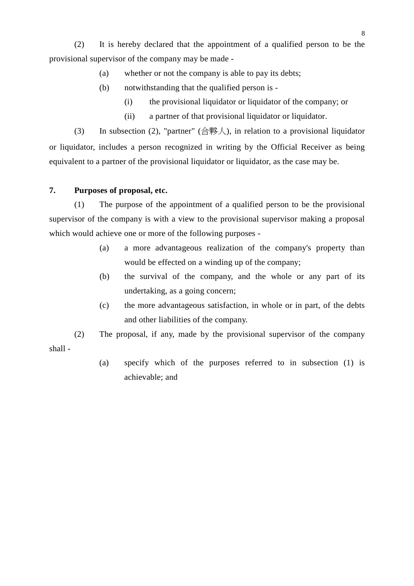(2) It is hereby declared that the appointment of a qualified person to be the provisional supervisor of the company may be made -

- (a) whether or not the company is able to pay its debts;
- (b) notwithstanding that the qualified person is
	- (i) the provisional liquidator or liquidator of the company; or
	- (ii) a partner of that provisional liquidator or liquidator.

(3) In subsection (2), "partner" (合夥人), in relation to a provisional liquidator or liquidator, includes a person recognized in writing by the Official Receiver as being equivalent to a partner of the provisional liquidator or liquidator, as the case may be.

### **7. Purposes of proposal, etc.**

(1) The purpose of the appointment of a qualified person to be the provisional supervisor of the company is with a view to the provisional supervisor making a proposal which would achieve one or more of the following purposes -

- (a) a more advantageous realization of the company's property than would be effected on a winding up of the company;
- (b) the survival of the company, and the whole or any part of its undertaking, as a going concern;
- (c) the more advantageous satisfaction, in whole or in part, of the debts and other liabilities of the company.
- (2) The proposal, if any, made by the provisional supervisor of the company shall -
	- (a) specify which of the purposes referred to in subsection (1) is achievable; and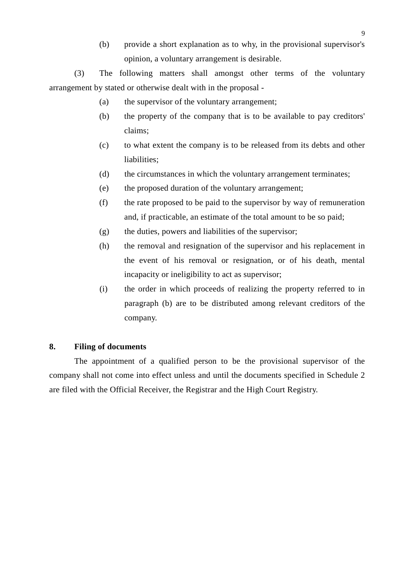(b) provide a short explanation as to why, in the provisional supervisor's opinion, a voluntary arrangement is desirable.

(3) The following matters shall amongst other terms of the voluntary arrangement by stated or otherwise dealt with in the proposal -

- (a) the supervisor of the voluntary arrangement;
- (b) the property of the company that is to be available to pay creditors' claims;
- (c) to what extent the company is to be released from its debts and other liabilities;
- (d) the circumstances in which the voluntary arrangement terminates;
- (e) the proposed duration of the voluntary arrangement;
- (f) the rate proposed to be paid to the supervisor by way of remuneration and, if practicable, an estimate of the total amount to be so paid;
- (g) the duties, powers and liabilities of the supervisor;
- (h) the removal and resignation of the supervisor and his replacement in the event of his removal or resignation, or of his death, mental incapacity or ineligibility to act as supervisor;
- (i) the order in which proceeds of realizing the property referred to in paragraph (b) are to be distributed among relevant creditors of the company.

#### **8. Filing of documents**

The appointment of a qualified person to be the provisional supervisor of the company shall not come into effect unless and until the documents specified in Schedule 2 are filed with the Official Receiver, the Registrar and the High Court Registry.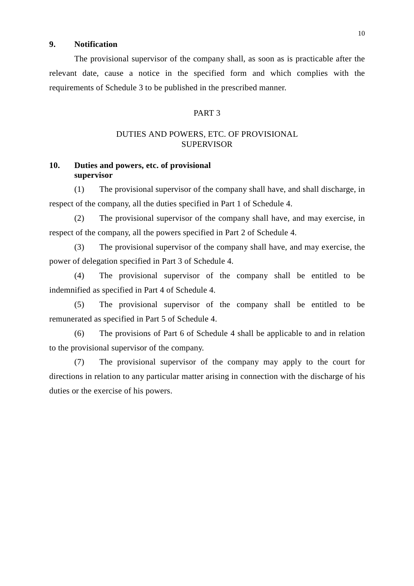### **9. Notification**

The provisional supervisor of the company shall, as soon as is practicable after the relevant date, cause a notice in the specified form and which complies with the requirements of Schedule 3 to be published in the prescribed manner.

#### PART 3

### DUTIES AND POWERS, ETC. OF PROVISIONAL **SUPERVISOR**

### **10. Duties and powers, etc. of provisional supervisor**

(1) The provisional supervisor of the company shall have, and shall discharge, in respect of the company, all the duties specified in Part 1 of Schedule 4.

(2) The provisional supervisor of the company shall have, and may exercise, in respect of the company, all the powers specified in Part 2 of Schedule 4.

(3) The provisional supervisor of the company shall have, and may exercise, the power of delegation specified in Part 3 of Schedule 4.

(4) The provisional supervisor of the company shall be entitled to be indemnified as specified in Part 4 of Schedule 4.

(5) The provisional supervisor of the company shall be entitled to be remunerated as specified in Part 5 of Schedule 4.

(6) The provisions of Part 6 of Schedule 4 shall be applicable to and in relation to the provisional supervisor of the company.

(7) The provisional supervisor of the company may apply to the court for directions in relation to any particular matter arising in connection with the discharge of his duties or the exercise of his powers.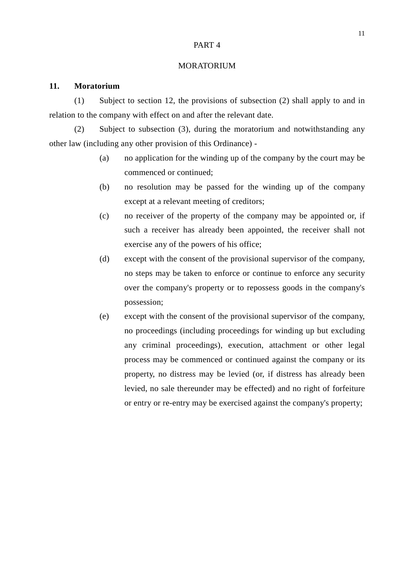#### PART 4

#### MORATORIUM

#### **11. Moratorium**

(1) Subject to section 12, the provisions of subsection (2) shall apply to and in relation to the company with effect on and after the relevant date.

(2) Subject to subsection (3), during the moratorium and notwithstanding any other law (including any other provision of this Ordinance) -

- (a) no application for the winding up of the company by the court may be commenced or continued;
- (b) no resolution may be passed for the winding up of the company except at a relevant meeting of creditors;
- (c) no receiver of the property of the company may be appointed or, if such a receiver has already been appointed, the receiver shall not exercise any of the powers of his office;
- (d) except with the consent of the provisional supervisor of the company, no steps may be taken to enforce or continue to enforce any security over the company's property or to repossess goods in the company's possession;
- (e) except with the consent of the provisional supervisor of the company, no proceedings (including proceedings for winding up but excluding any criminal proceedings), execution, attachment or other legal process may be commenced or continued against the company or its property, no distress may be levied (or, if distress has already been levied, no sale thereunder may be effected) and no right of forfeiture or entry or re-entry may be exercised against the company's property;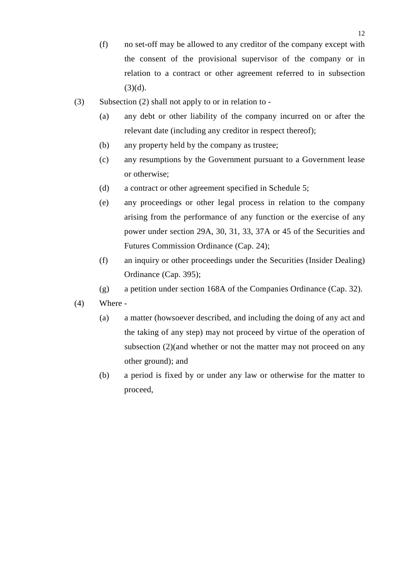- (f) no set-off may be allowed to any creditor of the company except with the consent of the provisional supervisor of the company or in relation to a contract or other agreement referred to in subsection  $(3)(d)$ .
- (3) Subsection (2) shall not apply to or in relation to
	- (a) any debt or other liability of the company incurred on or after the relevant date (including any creditor in respect thereof);
	- (b) any property held by the company as trustee;
	- (c) any resumptions by the Government pursuant to a Government lease or otherwise;
	- (d) a contract or other agreement specified in Schedule 5;
	- (e) any proceedings or other legal process in relation to the company arising from the performance of any function or the exercise of any power under section 29A, 30, 31, 33, 37A or 45 of the Securities and Futures Commission Ordinance (Cap. 24);
	- (f) an inquiry or other proceedings under the Securities (Insider Dealing) Ordinance (Cap. 395);
	- (g) a petition under section 168A of the Companies Ordinance (Cap. 32).
- (4) Where
	- (a) a matter (howsoever described, and including the doing of any act and the taking of any step) may not proceed by virtue of the operation of subsection (2)(and whether or not the matter may not proceed on any other ground); and
	- (b) a period is fixed by or under any law or otherwise for the matter to proceed,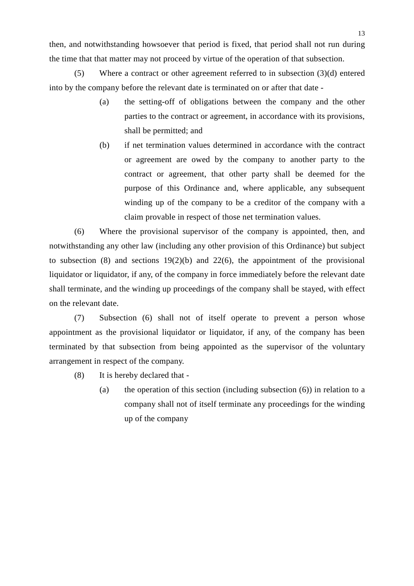then, and notwithstanding howsoever that period is fixed, that period shall not run during the time that that matter may not proceed by virtue of the operation of that subsection.

(5) Where a contract or other agreement referred to in subsection (3)(d) entered into by the company before the relevant date is terminated on or after that date -

- (a) the setting-off of obligations between the company and the other parties to the contract or agreement, in accordance with its provisions, shall be permitted; and
- (b) if net termination values determined in accordance with the contract or agreement are owed by the company to another party to the contract or agreement, that other party shall be deemed for the purpose of this Ordinance and, where applicable, any subsequent winding up of the company to be a creditor of the company with a claim provable in respect of those net termination values.

(6) Where the provisional supervisor of the company is appointed, then, and notwithstanding any other law (including any other provision of this Ordinance) but subject to subsection (8) and sections  $19(2)(b)$  and  $22(6)$ , the appointment of the provisional liquidator or liquidator, if any, of the company in force immediately before the relevant date shall terminate, and the winding up proceedings of the company shall be stayed, with effect on the relevant date.

(7) Subsection (6) shall not of itself operate to prevent a person whose appointment as the provisional liquidator or liquidator, if any, of the company has been terminated by that subsection from being appointed as the supervisor of the voluntary arrangement in respect of the company.

- (8) It is hereby declared that
	- (a) the operation of this section (including subsection (6)) in relation to a company shall not of itself terminate any proceedings for the winding up of the company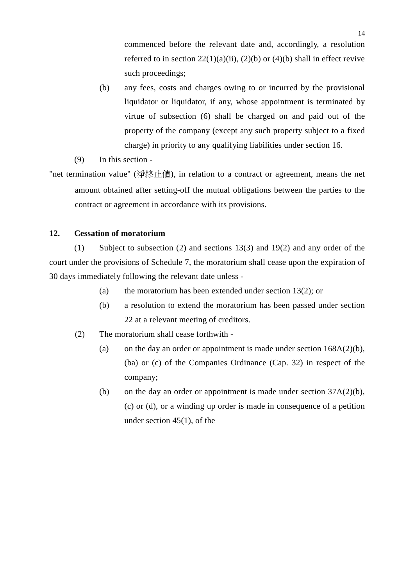commenced before the relevant date and, accordingly, a resolution referred to in section  $22(1)(a)(ii)$ ,  $(2)(b)$  or  $(4)(b)$  shall in effect revive such proceedings;

- (b) any fees, costs and charges owing to or incurred by the provisional liquidator or liquidator, if any, whose appointment is terminated by virtue of subsection (6) shall be charged on and paid out of the property of the company (except any such property subject to a fixed charge) in priority to any qualifying liabilities under section 16.
- (9) In this section -

"net termination value" (淨終止值), in relation to a contract or agreement, means the net amount obtained after setting-off the mutual obligations between the parties to the contract or agreement in accordance with its provisions.

### **12. Cessation of moratorium**

(1) Subject to subsection (2) and sections 13(3) and 19(2) and any order of the court under the provisions of Schedule 7, the moratorium shall cease upon the expiration of 30 days immediately following the relevant date unless -

- (a) the moratorium has been extended under section 13(2); or
- (b) a resolution to extend the moratorium has been passed under section 22 at a relevant meeting of creditors.
- (2) The moratorium shall cease forthwith
	- (a) on the day an order or appointment is made under section  $168A(2)(b)$ , (ba) or (c) of the Companies Ordinance (Cap. 32) in respect of the company;
	- (b) on the day an order or appointment is made under section 37A(2)(b), (c) or (d), or a winding up order is made in consequence of a petition under section 45(1), of the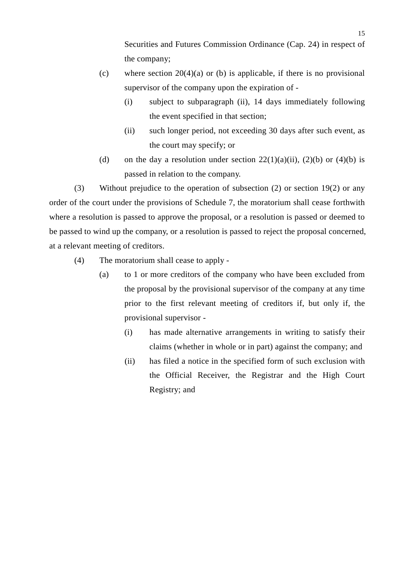Securities and Futures Commission Ordinance (Cap. 24) in respect of the company;

- (c) where section  $20(4)(a)$  or (b) is applicable, if there is no provisional supervisor of the company upon the expiration of -
	- (i) subject to subparagraph (ii), 14 days immediately following the event specified in that section;
	- (ii) such longer period, not exceeding 30 days after such event, as the court may specify; or
- (d) on the day a resolution under section  $22(1)(a)(ii)$ ,  $(2)(b)$  or  $(4)(b)$  is passed in relation to the company.

(3) Without prejudice to the operation of subsection (2) or section 19(2) or any order of the court under the provisions of Schedule 7, the moratorium shall cease forthwith where a resolution is passed to approve the proposal, or a resolution is passed or deemed to be passed to wind up the company, or a resolution is passed to reject the proposal concerned, at a relevant meeting of creditors.

- (4) The moratorium shall cease to apply
	- (a) to 1 or more creditors of the company who have been excluded from the proposal by the provisional supervisor of the company at any time prior to the first relevant meeting of creditors if, but only if, the provisional supervisor -
		- (i) has made alternative arrangements in writing to satisfy their claims (whether in whole or in part) against the company; and
		- (ii) has filed a notice in the specified form of such exclusion with the Official Receiver, the Registrar and the High Court Registry; and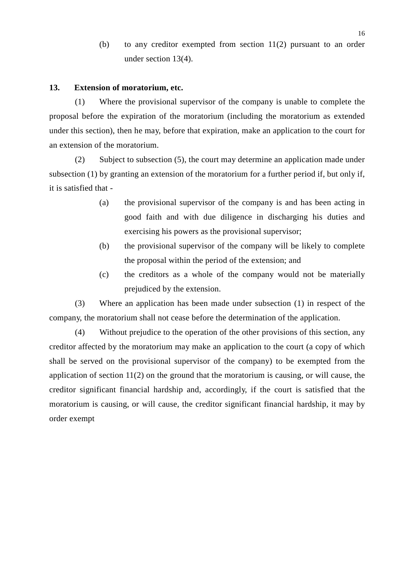(b) to any creditor exempted from section 11(2) pursuant to an order under section 13(4).

#### **13. Extension of moratorium, etc.**

(1) Where the provisional supervisor of the company is unable to complete the proposal before the expiration of the moratorium (including the moratorium as extended under this section), then he may, before that expiration, make an application to the court for an extension of the moratorium.

(2) Subject to subsection (5), the court may determine an application made under subsection (1) by granting an extension of the moratorium for a further period if, but only if, it is satisfied that -

- (a) the provisional supervisor of the company is and has been acting in good faith and with due diligence in discharging his duties and exercising his powers as the provisional supervisor;
- (b) the provisional supervisor of the company will be likely to complete the proposal within the period of the extension; and
- (c) the creditors as a whole of the company would not be materially prejudiced by the extension.

(3) Where an application has been made under subsection (1) in respect of the company, the moratorium shall not cease before the determination of the application.

(4) Without prejudice to the operation of the other provisions of this section, any creditor affected by the moratorium may make an application to the court (a copy of which shall be served on the provisional supervisor of the company) to be exempted from the application of section 11(2) on the ground that the moratorium is causing, or will cause, the creditor significant financial hardship and, accordingly, if the court is satisfied that the moratorium is causing, or will cause, the creditor significant financial hardship, it may by order exempt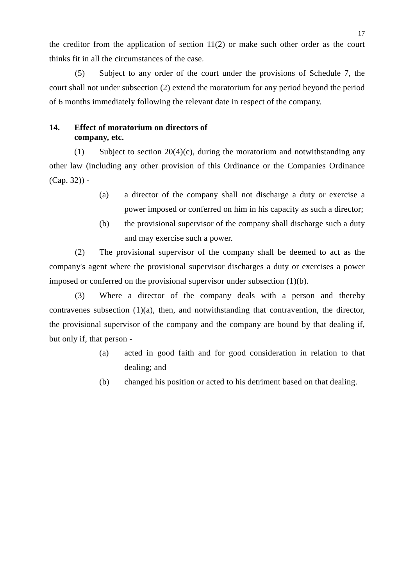the creditor from the application of section 11(2) or make such other order as the court thinks fit in all the circumstances of the case.

(5) Subject to any order of the court under the provisions of Schedule 7, the court shall not under subsection (2) extend the moratorium for any period beyond the period of 6 months immediately following the relevant date in respect of the company.

### **14. Effect of moratorium on directors of company, etc.**

(1) Subject to section  $20(4)(c)$ , during the moratorium and notwithstanding any other law (including any other provision of this Ordinance or the Companies Ordinance  $(Cap. 32)$ ) -

- (a) a director of the company shall not discharge a duty or exercise a power imposed or conferred on him in his capacity as such a director;
- (b) the provisional supervisor of the company shall discharge such a duty and may exercise such a power.

(2) The provisional supervisor of the company shall be deemed to act as the company's agent where the provisional supervisor discharges a duty or exercises a power imposed or conferred on the provisional supervisor under subsection (1)(b).

(3) Where a director of the company deals with a person and thereby contravenes subsection (1)(a), then, and notwithstanding that contravention, the director, the provisional supervisor of the company and the company are bound by that dealing if, but only if, that person -

- (a) acted in good faith and for good consideration in relation to that dealing; and
- (b) changed his position or acted to his detriment based on that dealing.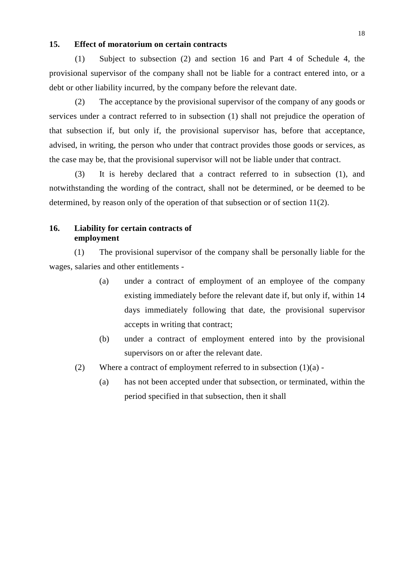#### **15. Effect of moratorium on certain contracts**

(1) Subject to subsection (2) and section 16 and Part 4 of Schedule 4, the provisional supervisor of the company shall not be liable for a contract entered into, or a debt or other liability incurred, by the company before the relevant date.

(2) The acceptance by the provisional supervisor of the company of any goods or services under a contract referred to in subsection (1) shall not prejudice the operation of that subsection if, but only if, the provisional supervisor has, before that acceptance, advised, in writing, the person who under that contract provides those goods or services, as the case may be, that the provisional supervisor will not be liable under that contract.

(3) It is hereby declared that a contract referred to in subsection (1), and notwithstanding the wording of the contract, shall not be determined, or be deemed to be determined, by reason only of the operation of that subsection or of section 11(2).

#### **16. Liability for certain contracts of employment**

(1) The provisional supervisor of the company shall be personally liable for the wages, salaries and other entitlements -

- (a) under a contract of employment of an employee of the company existing immediately before the relevant date if, but only if, within 14 days immediately following that date, the provisional supervisor accepts in writing that contract;
- (b) under a contract of employment entered into by the provisional supervisors on or after the relevant date.
- (2) Where a contract of employment referred to in subsection  $(1)(a)$ .
	- (a) has not been accepted under that subsection, or terminated, within the period specified in that subsection, then it shall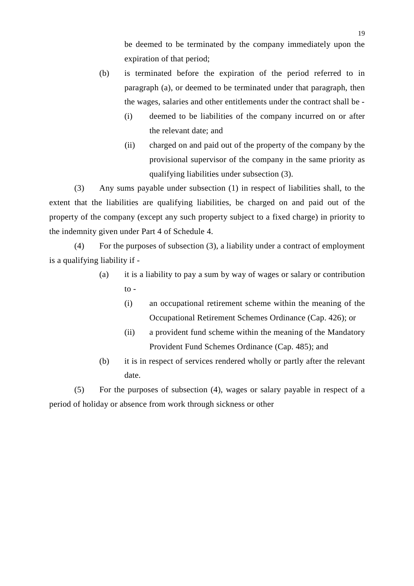be deemed to be terminated by the company immediately upon the expiration of that period;

- (b) is terminated before the expiration of the period referred to in paragraph (a), or deemed to be terminated under that paragraph, then the wages, salaries and other entitlements under the contract shall be -
	- (i) deemed to be liabilities of the company incurred on or after the relevant date; and
	- (ii) charged on and paid out of the property of the company by the provisional supervisor of the company in the same priority as qualifying liabilities under subsection (3).

(3) Any sums payable under subsection (1) in respect of liabilities shall, to the extent that the liabilities are qualifying liabilities, be charged on and paid out of the property of the company (except any such property subject to a fixed charge) in priority to the indemnity given under Part 4 of Schedule 4.

(4) For the purposes of subsection (3), a liability under a contract of employment is a qualifying liability if -

- (a) it is a liability to pay a sum by way of wages or salary or contribution  $\frac{1}{2}$ 
	- (i) an occupational retirement scheme within the meaning of the Occupational Retirement Schemes Ordinance (Cap. 426); or
	- (ii) a provident fund scheme within the meaning of the Mandatory Provident Fund Schemes Ordinance (Cap. 485); and
- (b) it is in respect of services rendered wholly or partly after the relevant date.

(5) For the purposes of subsection (4), wages or salary payable in respect of a period of holiday or absence from work through sickness or other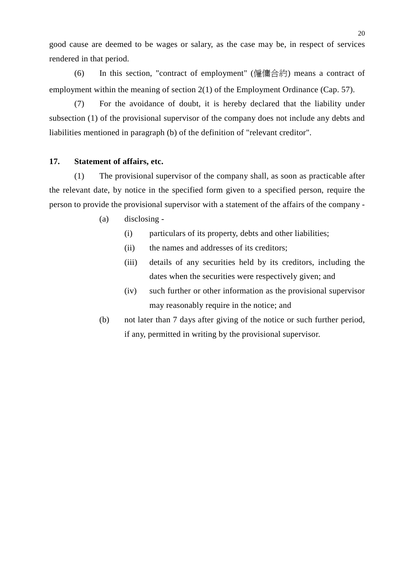good cause are deemed to be wages or salary, as the case may be, in respect of services rendered in that period.

(6) In this section, "contract of employment" (僱傭合約) means a contract of employment within the meaning of section 2(1) of the Employment Ordinance (Cap. 57).

(7) For the avoidance of doubt, it is hereby declared that the liability under subsection (1) of the provisional supervisor of the company does not include any debts and liabilities mentioned in paragraph (b) of the definition of "relevant creditor".

#### **17. Statement of affairs, etc.**

(1) The provisional supervisor of the company shall, as soon as practicable after the relevant date, by notice in the specified form given to a specified person, require the person to provide the provisional supervisor with a statement of the affairs of the company -

- (a) disclosing
	- (i) particulars of its property, debts and other liabilities;
	- (ii) the names and addresses of its creditors;
	- (iii) details of any securities held by its creditors, including the dates when the securities were respectively given; and
	- (iv) such further or other information as the provisional supervisor may reasonably require in the notice; and
- (b) not later than 7 days after giving of the notice or such further period, if any, permitted in writing by the provisional supervisor.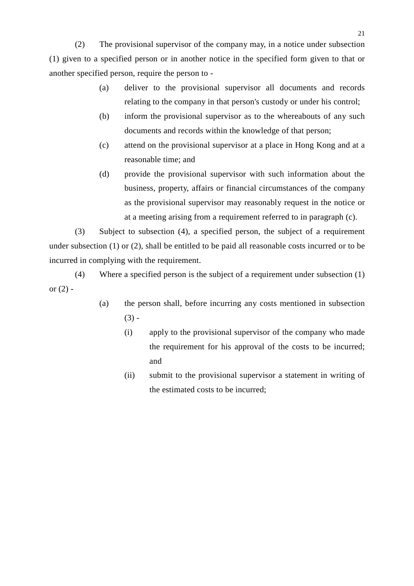(2) The provisional supervisor of the company may, in a notice under subsection (1) given to a specified person or in another notice in the specified form given to that or another specified person, require the person to -

- (a) deliver to the provisional supervisor all documents and records relating to the company in that person's custody or under his control;
- (b) inform the provisional supervisor as to the whereabouts of any such documents and records within the knowledge of that person;
- (c) attend on the provisional supervisor at a place in Hong Kong and at a reasonable time; and
- (d) provide the provisional supervisor with such information about the business, property, affairs or financial circumstances of the company as the provisional supervisor may reasonably request in the notice or at a meeting arising from a requirement referred to in paragraph (c).

(3) Subject to subsection (4), a specified person, the subject of a requirement under subsection (1) or (2), shall be entitled to be paid all reasonable costs incurred or to be incurred in complying with the requirement.

(4) Where a specified person is the subject of a requirement under subsection (1) or  $(2)$  -

- (a) the person shall, before incurring any costs mentioned in subsection  $(3) -$ 
	- (i) apply to the provisional supervisor of the company who made the requirement for his approval of the costs to be incurred; and
	- (ii) submit to the provisional supervisor a statement in writing of the estimated costs to be incurred;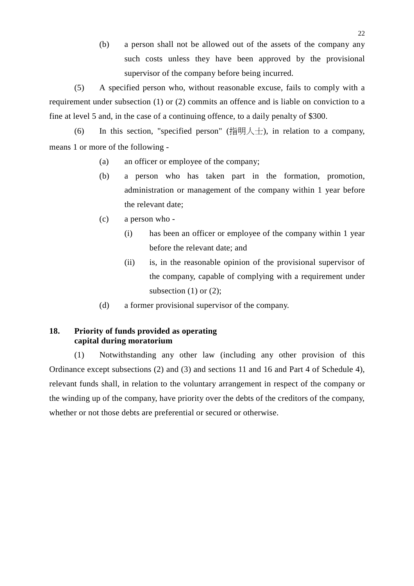(b) a person shall not be allowed out of the assets of the company any such costs unless they have been approved by the provisional supervisor of the company before being incurred.

(5) A specified person who, without reasonable excuse, fails to comply with a requirement under subsection (1) or (2) commits an offence and is liable on conviction to a fine at level 5 and, in the case of a continuing offence, to a daily penalty of \$300.

(6) In this section, "specified person" (指明人士), in relation to a company, means 1 or more of the following -

- (a) an officer or employee of the company;
- (b) a person who has taken part in the formation, promotion, administration or management of the company within 1 year before the relevant date;
- (c) a person who
	- (i) has been an officer or employee of the company within 1 year before the relevant date; and
	- (ii) is, in the reasonable opinion of the provisional supervisor of the company, capable of complying with a requirement under subsection  $(1)$  or  $(2)$ ;
- (d) a former provisional supervisor of the company.

### **18. Priority of funds provided as operating capital during moratorium**

(1) Notwithstanding any other law (including any other provision of this Ordinance except subsections (2) and (3) and sections 11 and 16 and Part 4 of Schedule 4), relevant funds shall, in relation to the voluntary arrangement in respect of the company or the winding up of the company, have priority over the debts of the creditors of the company, whether or not those debts are preferential or secured or otherwise.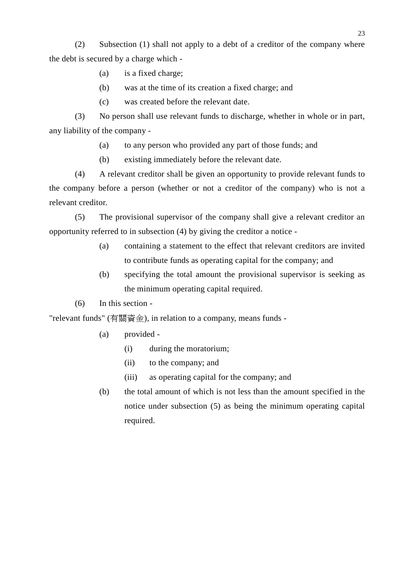(2) Subsection (1) shall not apply to a debt of a creditor of the company where the debt is secured by a charge which -

- (a) is a fixed charge;
- (b) was at the time of its creation a fixed charge; and
- (c) was created before the relevant date.

(3) No person shall use relevant funds to discharge, whether in whole or in part, any liability of the company -

- (a) to any person who provided any part of those funds; and
- (b) existing immediately before the relevant date.

(4) A relevant creditor shall be given an opportunity to provide relevant funds to the company before a person (whether or not a creditor of the company) who is not a relevant creditor.

(5) The provisional supervisor of the company shall give a relevant creditor an opportunity referred to in subsection (4) by giving the creditor a notice -

- (a) containing a statement to the effect that relevant creditors are invited to contribute funds as operating capital for the company; and
- (b) specifying the total amount the provisional supervisor is seeking as the minimum operating capital required.
- (6) In this section -

"relevant funds" (有關資金), in relation to a company, means funds -

- (a) provided
	- (i) during the moratorium;
	- (ii) to the company; and
	- (iii) as operating capital for the company; and
- (b) the total amount of which is not less than the amount specified in the notice under subsection (5) as being the minimum operating capital required.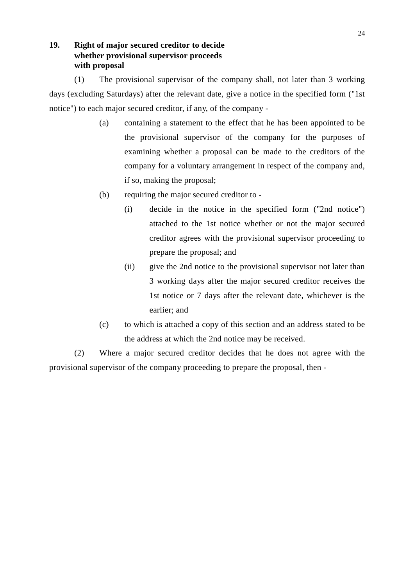# **19. Right of major secured creditor to decide whether provisional supervisor proceeds with proposal**

(1) The provisional supervisor of the company shall, not later than 3 working days (excluding Saturdays) after the relevant date, give a notice in the specified form ("1st notice") to each major secured creditor, if any, of the company -

- (a) containing a statement to the effect that he has been appointed to be the provisional supervisor of the company for the purposes of examining whether a proposal can be made to the creditors of the company for a voluntary arrangement in respect of the company and, if so, making the proposal;
- (b) requiring the major secured creditor to
	- (i) decide in the notice in the specified form ("2nd notice") attached to the 1st notice whether or not the major secured creditor agrees with the provisional supervisor proceeding to prepare the proposal; and
	- (ii) give the 2nd notice to the provisional supervisor not later than 3 working days after the major secured creditor receives the 1st notice or 7 days after the relevant date, whichever is the earlier; and
- (c) to which is attached a copy of this section and an address stated to be the address at which the 2nd notice may be received.

(2) Where a major secured creditor decides that he does not agree with the provisional supervisor of the company proceeding to prepare the proposal, then -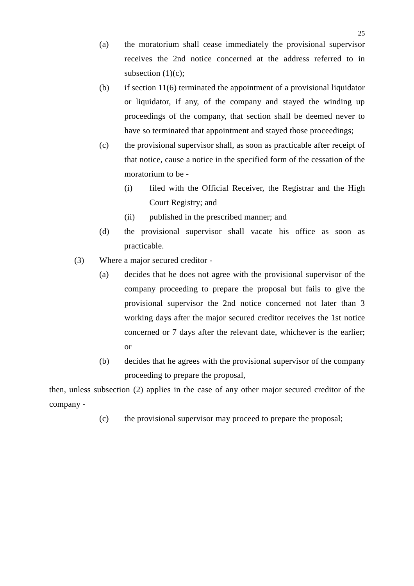- (a) the moratorium shall cease immediately the provisional supervisor receives the 2nd notice concerned at the address referred to in subsection (1)(c);
- (b) if section  $11(6)$  terminated the appointment of a provisional liquidator or liquidator, if any, of the company and stayed the winding up proceedings of the company, that section shall be deemed never to have so terminated that appointment and stayed those proceedings;
- (c) the provisional supervisor shall, as soon as practicable after receipt of that notice, cause a notice in the specified form of the cessation of the moratorium to be -
	- (i) filed with the Official Receiver, the Registrar and the High Court Registry; and
	- (ii) published in the prescribed manner; and
- (d) the provisional supervisor shall vacate his office as soon as practicable.
- (3) Where a major secured creditor
	- (a) decides that he does not agree with the provisional supervisor of the company proceeding to prepare the proposal but fails to give the provisional supervisor the 2nd notice concerned not later than 3 working days after the major secured creditor receives the 1st notice concerned or 7 days after the relevant date, whichever is the earlier; or
	- (b) decides that he agrees with the provisional supervisor of the company proceeding to prepare the proposal,

then, unless subsection (2) applies in the case of any other major secured creditor of the company -

(c) the provisional supervisor may proceed to prepare the proposal;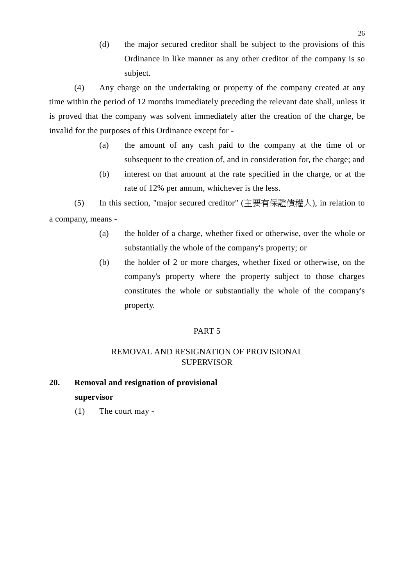(d) the major secured creditor shall be subject to the provisions of this Ordinance in like manner as any other creditor of the company is so subject.

(4) Any charge on the undertaking or property of the company created at any time within the period of 12 months immediately preceding the relevant date shall, unless it is proved that the company was solvent immediately after the creation of the charge, be invalid for the purposes of this Ordinance except for -

- (a) the amount of any cash paid to the company at the time of or subsequent to the creation of, and in consideration for, the charge; and
- (b) interest on that amount at the rate specified in the charge, or at the rate of 12% per annum, whichever is the less.

(5) In this section, "major secured creditor" (主要有保證債權㆟), in relation to a company, means -

- (a) the holder of a charge, whether fixed or otherwise, over the whole or substantially the whole of the company's property; or
- (b) the holder of 2 or more charges, whether fixed or otherwise, on the company's property where the property subject to those charges constitutes the whole or substantially the whole of the company's property.

# PART 5

# REMOVAL AND RESIGNATION OF PROVISIONAL **SUPERVISOR**

# **20. Removal and resignation of provisional supervisor**

(1) The court may -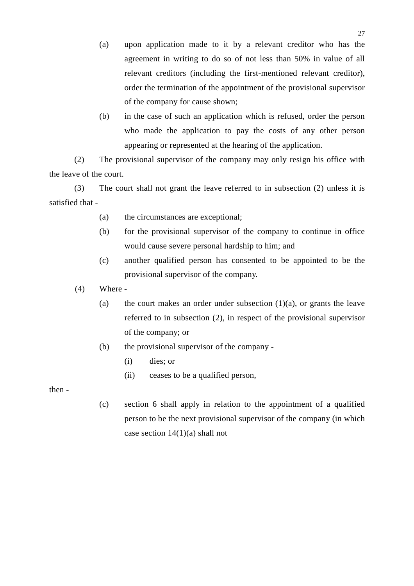- (a) upon application made to it by a relevant creditor who has the agreement in writing to do so of not less than 50% in value of all relevant creditors (including the first-mentioned relevant creditor), order the termination of the appointment of the provisional supervisor of the company for cause shown;
- (b) in the case of such an application which is refused, order the person who made the application to pay the costs of any other person appearing or represented at the hearing of the application.

(2) The provisional supervisor of the company may only resign his office with the leave of the court.

(3) The court shall not grant the leave referred to in subsection (2) unless it is satisfied that -

- (a) the circumstances are exceptional;
- (b) for the provisional supervisor of the company to continue in office would cause severe personal hardship to him; and
- (c) another qualified person has consented to be appointed to be the provisional supervisor of the company.
- (4) Where
	- (a) the court makes an order under subsection  $(1)(a)$ , or grants the leave referred to in subsection (2), in respect of the provisional supervisor of the company; or
	- (b) the provisional supervisor of the company
		- (i) dies; or
		- (ii) ceases to be a qualified person,

then -

(c) section 6 shall apply in relation to the appointment of a qualified person to be the next provisional supervisor of the company (in which case section  $14(1)(a)$  shall not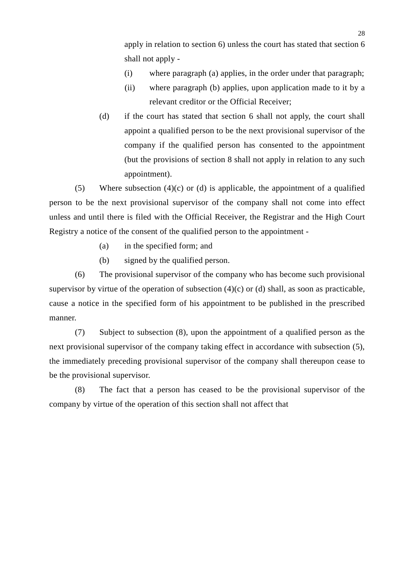apply in relation to section 6) unless the court has stated that section 6 shall not apply -

- (i) where paragraph (a) applies, in the order under that paragraph;
- (ii) where paragraph (b) applies, upon application made to it by a relevant creditor or the Official Receiver;
- (d) if the court has stated that section 6 shall not apply, the court shall appoint a qualified person to be the next provisional supervisor of the company if the qualified person has consented to the appointment (but the provisions of section 8 shall not apply in relation to any such appointment).

(5) Where subsection (4)(c) or (d) is applicable, the appointment of a qualified person to be the next provisional supervisor of the company shall not come into effect unless and until there is filed with the Official Receiver, the Registrar and the High Court Registry a notice of the consent of the qualified person to the appointment -

- (a) in the specified form; and
- (b) signed by the qualified person.

(6) The provisional supervisor of the company who has become such provisional supervisor by virtue of the operation of subsection  $(4)(c)$  or  $(d)$  shall, as soon as practicable, cause a notice in the specified form of his appointment to be published in the prescribed manner.

(7) Subject to subsection (8), upon the appointment of a qualified person as the next provisional supervisor of the company taking effect in accordance with subsection (5), the immediately preceding provisional supervisor of the company shall thereupon cease to be the provisional supervisor.

(8) The fact that a person has ceased to be the provisional supervisor of the company by virtue of the operation of this section shall not affect that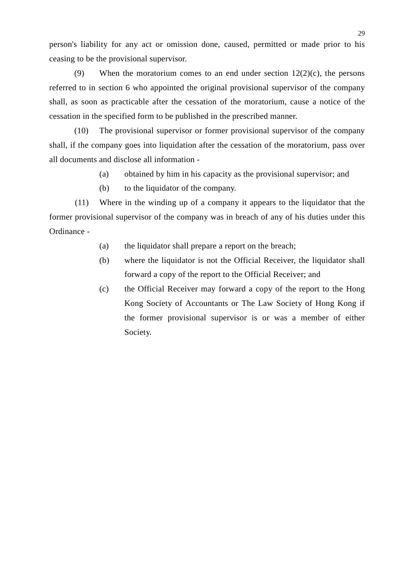person's liability for any act or omission done, caused, permitted or made prior to his ceasing to be the provisional supervisor.

(9) When the moratorium comes to an end under section  $12(2)(c)$ , the persons referred to in section 6 who appointed the original provisional supervisor of the company shall, as soon as practicable after the cessation of the moratorium, cause a notice of the cessation in the specified form to be published in the prescribed manner.

(10) The provisional supervisor or former provisional supervisor of the company shall, if the company goes into liquidation after the cessation of the moratorium, pass over all documents and disclose all information -

- (a) obtained by him in his capacity as the provisional supervisor; and
- (b) to the liquidator of the company.

(11) Where in the winding up of a company it appears to the liquidator that the former provisional supervisor of the company was in breach of any of his duties under this Ordinance -

- (a) the liquidator shall prepare a report on the breach;
- (b) where the liquidator is not the Official Receiver, the liquidator shall forward a copy of the report to the Official Receiver; and
- (c) the Official Receiver may forward a copy of the report to the Hong Kong Society of Accountants or The Law Society of Hong Kong if the former provisional supervisor is or was a member of either Society.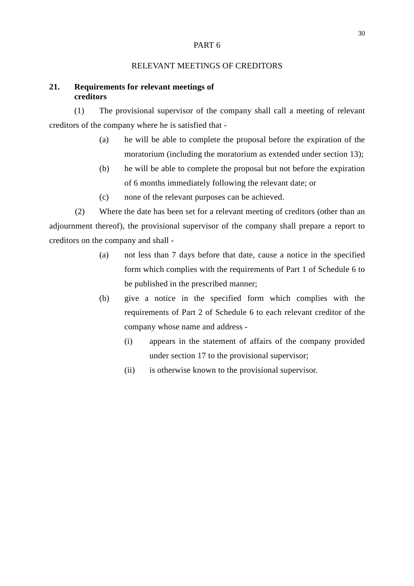### PART 6

### RELEVANT MEETINGS OF CREDITORS

# **21. Requirements for relevant meetings of creditors**

(1) The provisional supervisor of the company shall call a meeting of relevant creditors of the company where he is satisfied that -

- (a) he will be able to complete the proposal before the expiration of the moratorium (including the moratorium as extended under section 13);
- (b) he will be able to complete the proposal but not before the expiration of 6 months immediately following the relevant date; or
- (c) none of the relevant purposes can be achieved.

(2) Where the date has been set for a relevant meeting of creditors (other than an adjournment thereof), the provisional supervisor of the company shall prepare a report to creditors on the company and shall -

- (a) not less than 7 days before that date, cause a notice in the specified form which complies with the requirements of Part 1 of Schedule 6 to be published in the prescribed manner;
- (b) give a notice in the specified form which complies with the requirements of Part 2 of Schedule 6 to each relevant creditor of the company whose name and address -
	- (i) appears in the statement of affairs of the company provided under section 17 to the provisional supervisor;
	- (ii) is otherwise known to the provisional supervisor.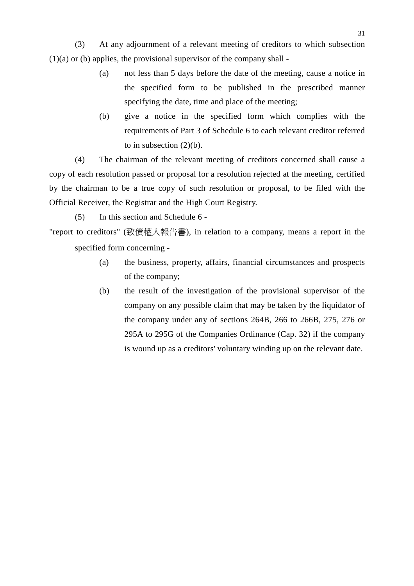(3) At any adjournment of a relevant meeting of creditors to which subsection  $(1)(a)$  or (b) applies, the provisional supervisor of the company shall -

- (a) not less than 5 days before the date of the meeting, cause a notice in the specified form to be published in the prescribed manner specifying the date, time and place of the meeting;
- (b) give a notice in the specified form which complies with the requirements of Part 3 of Schedule 6 to each relevant creditor referred to in subsection  $(2)(b)$ .

(4) The chairman of the relevant meeting of creditors concerned shall cause a copy of each resolution passed or proposal for a resolution rejected at the meeting, certified by the chairman to be a true copy of such resolution or proposal, to be filed with the Official Receiver, the Registrar and the High Court Registry.

(5) In this section and Schedule 6 -

"report to creditors" (致債權㆟報告書), in relation to a company, means a report in the specified form concerning -

- (a) the business, property, affairs, financial circumstances and prospects of the company;
- (b) the result of the investigation of the provisional supervisor of the company on any possible claim that may be taken by the liquidator of the company under any of sections 264B, 266 to 266B, 275, 276 or 295A to 295G of the Companies Ordinance (Cap. 32) if the company is wound up as a creditors' voluntary winding up on the relevant date.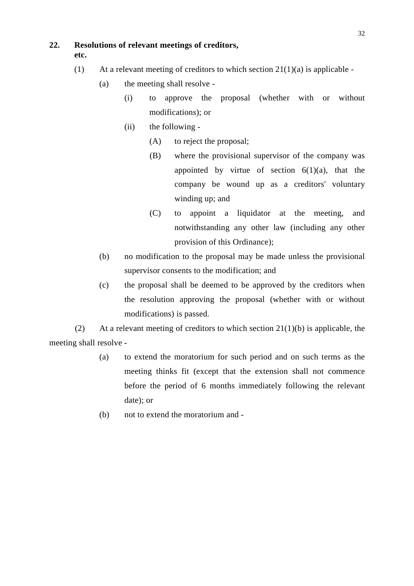# **22. Resolutions of relevant meetings of creditors,**

**etc.**

- (1) At a relevant meeting of creditors to which section  $21(1)(a)$  is applicable -
	- (a) the meeting shall resolve
		- (i) to approve the proposal (whether with or without modifications); or
		- (ii) the following
			- (A) to reject the proposal;
			- (B) where the provisional supervisor of the company was appointed by virtue of section  $6(1)(a)$ , that the company be wound up as a creditors' voluntary winding up; and
			- (C) to appoint a liquidator at the meeting, and notwithstanding any other law (including any other provision of this Ordinance);
	- (b) no modification to the proposal may be made unless the provisional supervisor consents to the modification; and
	- (c) the proposal shall be deemed to be approved by the creditors when the resolution approving the proposal (whether with or without modifications) is passed.

(2) At a relevant meeting of creditors to which section  $21(1)(b)$  is applicable, the meeting shall resolve -

- (a) to extend the moratorium for such period and on such terms as the meeting thinks fit (except that the extension shall not commence before the period of 6 months immediately following the relevant date); or
- (b) not to extend the moratorium and -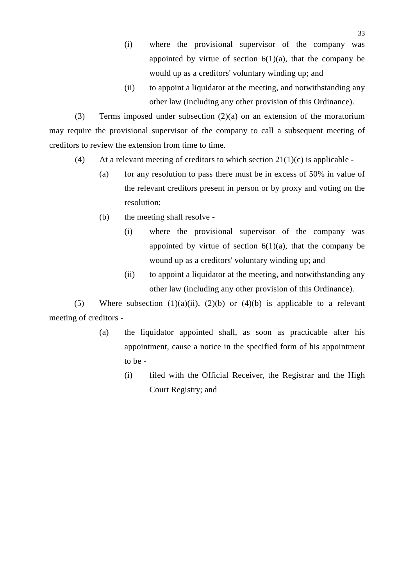- (i) where the provisional supervisor of the company was appointed by virtue of section  $6(1)(a)$ , that the company be would up as a creditors' voluntary winding up; and
- (ii) to appoint a liquidator at the meeting, and notwithstanding any other law (including any other provision of this Ordinance).

(3) Terms imposed under subsection (2)(a) on an extension of the moratorium may require the provisional supervisor of the company to call a subsequent meeting of creditors to review the extension from time to time.

- (4) At a relevant meeting of creditors to which section  $21(1)(c)$  is applicable -
	- (a) for any resolution to pass there must be in excess of  $50\%$  in value of the relevant creditors present in person or by proxy and voting on the resolution;
	- (b) the meeting shall resolve
		- (i) where the provisional supervisor of the company was appointed by virtue of section  $6(1)(a)$ , that the company be wound up as a creditors' voluntary winding up; and
		- (ii) to appoint a liquidator at the meeting, and notwithstanding any other law (including any other provision of this Ordinance).

(5) Where subsection  $(1)(a)(ii)$ ,  $(2)(b)$  or  $(4)(b)$  is applicable to a relevant meeting of creditors -

- (a) the liquidator appointed shall, as soon as practicable after his appointment, cause a notice in the specified form of his appointment to be -
	- (i) filed with the Official Receiver, the Registrar and the High Court Registry; and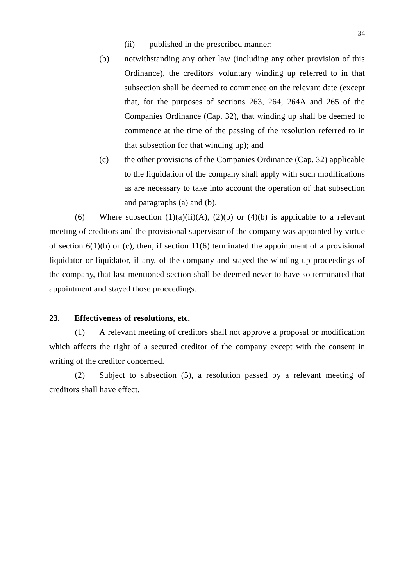- (ii) published in the prescribed manner;
- (b) notwithstanding any other law (including any other provision of this Ordinance), the creditors' voluntary winding up referred to in that subsection shall be deemed to commence on the relevant date (except that, for the purposes of sections 263, 264, 264A and 265 of the Companies Ordinance (Cap. 32), that winding up shall be deemed to commence at the time of the passing of the resolution referred to in that subsection for that winding up); and
- (c) the other provisions of the Companies Ordinance (Cap. 32) applicable to the liquidation of the company shall apply with such modifications as are necessary to take into account the operation of that subsection and paragraphs (a) and (b).

(6) Where subsection  $(1)(a)(ii)(A)$ ,  $(2)(b)$  or  $(4)(b)$  is applicable to a relevant meeting of creditors and the provisional supervisor of the company was appointed by virtue of section  $6(1)(b)$  or (c), then, if section  $11(6)$  terminated the appointment of a provisional liquidator or liquidator, if any, of the company and stayed the winding up proceedings of the company, that last-mentioned section shall be deemed never to have so terminated that appointment and stayed those proceedings.

### **23. Effectiveness of resolutions, etc.**

(1) A relevant meeting of creditors shall not approve a proposal or modification which affects the right of a secured creditor of the company except with the consent in writing of the creditor concerned.

(2) Subject to subsection (5), a resolution passed by a relevant meeting of creditors shall have effect.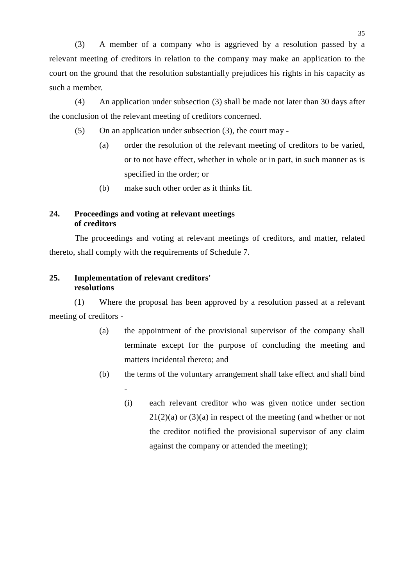(3) A member of a company who is aggrieved by a resolution passed by a relevant meeting of creditors in relation to the company may make an application to the court on the ground that the resolution substantially prejudices his rights in his capacity as such a member.

(4) An application under subsection (3) shall be made not later than 30 days after the conclusion of the relevant meeting of creditors concerned.

- (5) On an application under subsection (3), the court may
	- (a) order the resolution of the relevant meeting of creditors to be varied, or to not have effect, whether in whole or in part, in such manner as is specified in the order; or
	- (b) make such other order as it thinks fit.

# **24. Proceedings and voting at relevant meetings of creditors**

The proceedings and voting at relevant meetings of creditors, and matter, related thereto, shall comply with the requirements of Schedule 7.

## **25. Implementation of relevant creditors' resolutions**

-

(1) Where the proposal has been approved by a resolution passed at a relevant meeting of creditors -

- (a) the appointment of the provisional supervisor of the company shall terminate except for the purpose of concluding the meeting and matters incidental thereto; and
- (b) the terms of the voluntary arrangement shall take effect and shall bind
	- (i) each relevant creditor who was given notice under section  $21(2)(a)$  or  $(3)(a)$  in respect of the meeting (and whether or not the creditor notified the provisional supervisor of any claim against the company or attended the meeting);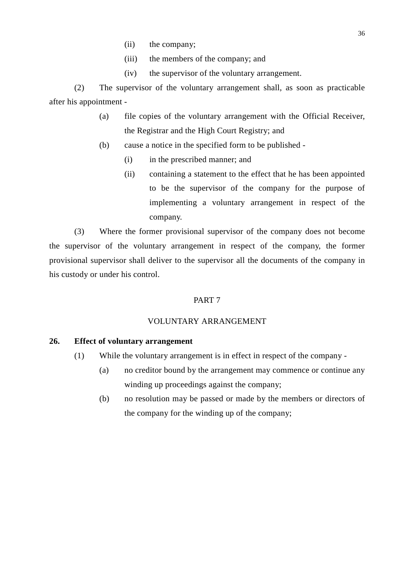- (ii) the company;
- (iii) the members of the company; and
- (iv) the supervisor of the voluntary arrangement.

(2) The supervisor of the voluntary arrangement shall, as soon as practicable after his appointment -

- (a) file copies of the voluntary arrangement with the Official Receiver, the Registrar and the High Court Registry; and
- (b) cause a notice in the specified form to be published
	- (i) in the prescribed manner; and
	- (ii) containing a statement to the effect that he has been appointed to be the supervisor of the company for the purpose of implementing a voluntary arrangement in respect of the company.

(3) Where the former provisional supervisor of the company does not become the supervisor of the voluntary arrangement in respect of the company, the former provisional supervisor shall deliver to the supervisor all the documents of the company in his custody or under his control.

# PART 7

# VOLUNTARY ARRANGEMENT

### **26. Effect of voluntary arrangement**

- (1) While the voluntary arrangement is in effect in respect of the company
	- (a) no creditor bound by the arrangement may commence or continue any winding up proceedings against the company;
	- (b) no resolution may be passed or made by the members or directors of the company for the winding up of the company;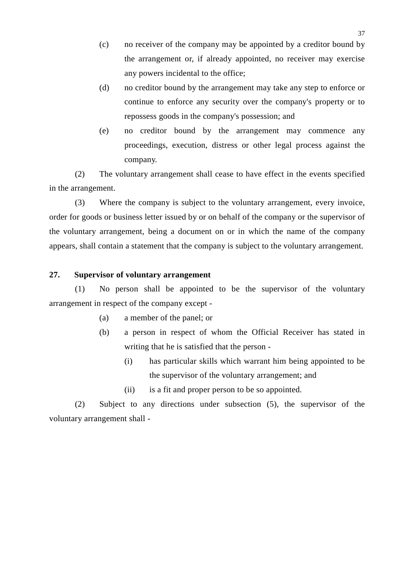- (c) no receiver of the company may be appointed by a creditor bound by the arrangement or, if already appointed, no receiver may exercise any powers incidental to the office;
- (d) no creditor bound by the arrangement may take any step to enforce or continue to enforce any security over the company's property or to repossess goods in the company's possession; and
- (e) no creditor bound by the arrangement may commence any proceedings, execution, distress or other legal process against the company.

(2) The voluntary arrangement shall cease to have effect in the events specified in the arrangement.

(3) Where the company is subject to the voluntary arrangement, every invoice, order for goods or business letter issued by or on behalf of the company or the supervisor of the voluntary arrangement, being a document on or in which the name of the company appears, shall contain a statement that the company is subject to the voluntary arrangement.

## **27. Supervisor of voluntary arrangement**

(1) No person shall be appointed to be the supervisor of the voluntary arrangement in respect of the company except -

- (a) a member of the panel; or
- (b) a person in respect of whom the Official Receiver has stated in writing that he is satisfied that the person -
	- (i) has particular skills which warrant him being appointed to be the supervisor of the voluntary arrangement; and
	- (ii) is a fit and proper person to be so appointed.

(2) Subject to any directions under subsection (5), the supervisor of the voluntary arrangement shall -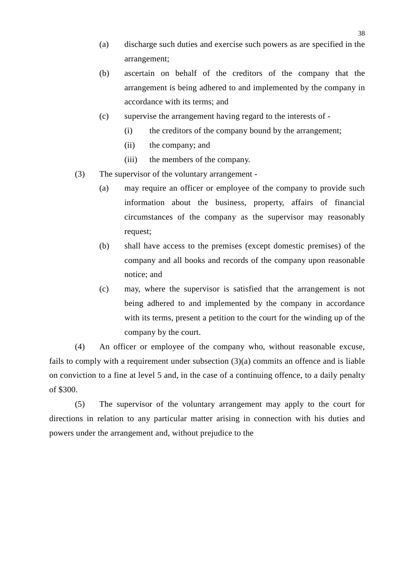- (a) discharge such duties and exercise such powers as are specified in the arrangement;
- (b) ascertain on behalf of the creditors of the company that the arrangement is being adhered to and implemented by the company in accordance with its terms; and
- (c) supervise the arrangement having regard to the interests of
	- (i) the creditors of the company bound by the arrangement;
	- (ii) the company; and
	- (iii) the members of the company.
- (3) The supervisor of the voluntary arrangement
	- (a) may require an officer or employee of the company to provide such information about the business, property, affairs of financial circumstances of the company as the supervisor may reasonably request;
	- (b) shall have access to the premises (except domestic premises) of the company and all books and records of the company upon reasonable notice; and
	- (c) may, where the supervisor is satisfied that the arrangement is not being adhered to and implemented by the company in accordance with its terms, present a petition to the court for the winding up of the company by the court.

(4) An officer or employee of the company who, without reasonable excuse, fails to comply with a requirement under subsection (3)(a) commits an offence and is liable on conviction to a fine at level 5 and, in the case of a continuing offence, to a daily penalty of \$300.

(5) The supervisor of the voluntary arrangement may apply to the court for directions in relation to any particular matter arising in connection with his duties and powers under the arrangement and, without prejudice to the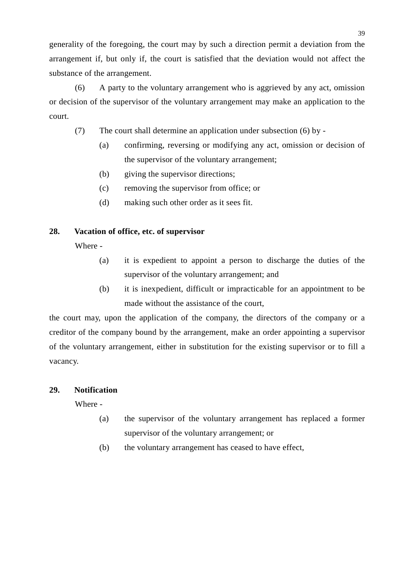generality of the foregoing, the court may by such a direction permit a deviation from the arrangement if, but only if, the court is satisfied that the deviation would not affect the substance of the arrangement.

(6) A party to the voluntary arrangement who is aggrieved by any act, omission or decision of the supervisor of the voluntary arrangement may make an application to the court.

- (7) The court shall determine an application under subsection (6) by
	- (a) confirming, reversing or modifying any act, omission or decision of the supervisor of the voluntary arrangement;
	- (b) giving the supervisor directions;
	- (c) removing the supervisor from office; or
	- (d) making such other order as it sees fit.

# **28. Vacation of office, etc. of supervisor**

Where -

- (a) it is expedient to appoint a person to discharge the duties of the supervisor of the voluntary arrangement; and
- (b) it is inexpedient, difficult or impracticable for an appointment to be made without the assistance of the court,

the court may, upon the application of the company, the directors of the company or a creditor of the company bound by the arrangement, make an order appointing a supervisor of the voluntary arrangement, either in substitution for the existing supervisor or to fill a vacancy.

# **29. Notification**

Where -

- (a) the supervisor of the voluntary arrangement has replaced a former supervisor of the voluntary arrangement; or
- (b) the voluntary arrangement has ceased to have effect,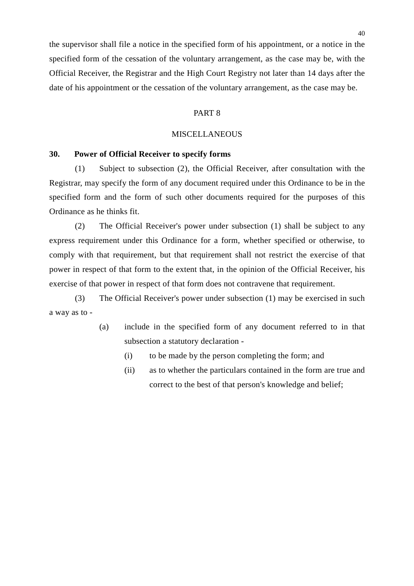the supervisor shall file a notice in the specified form of his appointment, or a notice in the specified form of the cessation of the voluntary arrangement, as the case may be, with the Official Receiver, the Registrar and the High Court Registry not later than 14 days after the date of his appointment or the cessation of the voluntary arrangement, as the case may be.

### PART 8

### **MISCELLANEOUS**

### **30. Power of Official Receiver to specify forms**

(1) Subject to subsection (2), the Official Receiver, after consultation with the Registrar, may specify the form of any document required under this Ordinance to be in the specified form and the form of such other documents required for the purposes of this Ordinance as he thinks fit.

(2) The Official Receiver's power under subsection (1) shall be subject to any express requirement under this Ordinance for a form, whether specified or otherwise, to comply with that requirement, but that requirement shall not restrict the exercise of that power in respect of that form to the extent that, in the opinion of the Official Receiver, his exercise of that power in respect of that form does not contravene that requirement.

(3) The Official Receiver's power under subsection (1) may be exercised in such a way as to -

- (a) include in the specified form of any document referred to in that subsection a statutory declaration -
	- (i) to be made by the person completing the form; and
	- (ii) as to whether the particulars contained in the form are true and correct to the best of that person's knowledge and belief;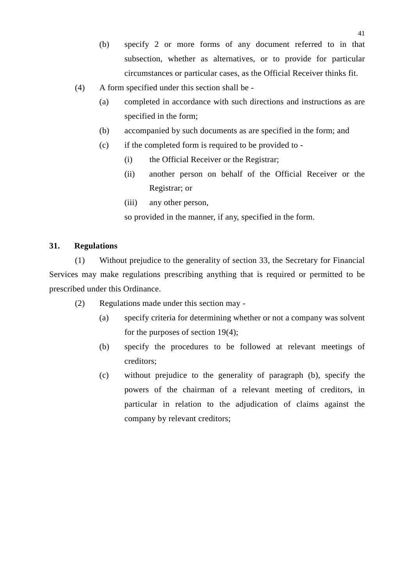- (b) specify 2 or more forms of any document referred to in that subsection, whether as alternatives, or to provide for particular circumstances or particular cases, as the Official Receiver thinks fit.
- (4) A form specified under this section shall be
	- (a) completed in accordance with such directions and instructions as are specified in the form;
	- (b) accompanied by such documents as are specified in the form; and
	- (c) if the completed form is required to be provided to
		- (i) the Official Receiver or the Registrar;
		- (ii) another person on behalf of the Official Receiver or the Registrar; or
		- (iii) any other person,

so provided in the manner, if any, specified in the form.

# **31. Regulations**

(1) Without prejudice to the generality of section 33, the Secretary for Financial Services may make regulations prescribing anything that is required or permitted to be prescribed under this Ordinance.

- (2) Regulations made under this section may
	- (a) specify criteria for determining whether or not a company was solvent for the purposes of section 19(4);
	- (b) specify the procedures to be followed at relevant meetings of creditors;
	- (c) without prejudice to the generality of paragraph (b), specify the powers of the chairman of a relevant meeting of creditors, in particular in relation to the adjudication of claims against the company by relevant creditors;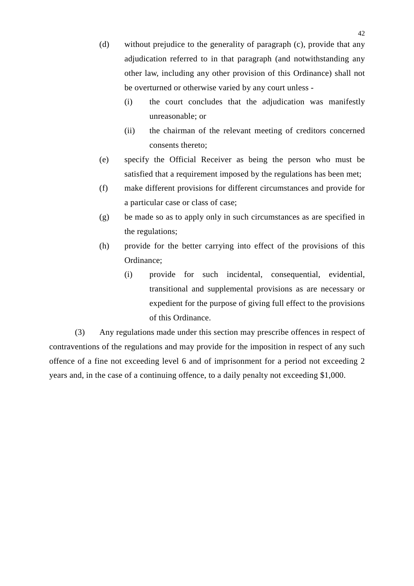- (d) without prejudice to the generality of paragraph (c), provide that any adjudication referred to in that paragraph (and notwithstanding any other law, including any other provision of this Ordinance) shall not be overturned or otherwise varied by any court unless -
	- (i) the court concludes that the adjudication was manifestly unreasonable; or
	- (ii) the chairman of the relevant meeting of creditors concerned consents thereto;
- (e) specify the Official Receiver as being the person who must be satisfied that a requirement imposed by the regulations has been met;
- (f) make different provisions for different circumstances and provide for a particular case or class of case;
- (g) be made so as to apply only in such circumstances as are specified in the regulations;
- (h) provide for the better carrying into effect of the provisions of this Ordinance;
	- (i) provide for such incidental, consequential, evidential, transitional and supplemental provisions as are necessary or expedient for the purpose of giving full effect to the provisions of this Ordinance.

(3) Any regulations made under this section may prescribe offences in respect of contraventions of the regulations and may provide for the imposition in respect of any such offence of a fine not exceeding level 6 and of imprisonment for a period not exceeding 2 years and, in the case of a continuing offence, to a daily penalty not exceeding \$1,000.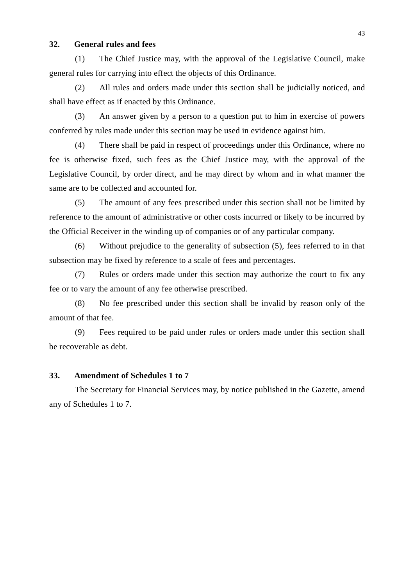## **32. General rules and fees**

(1) The Chief Justice may, with the approval of the Legislative Council, make general rules for carrying into effect the objects of this Ordinance.

(2) All rules and orders made under this section shall be judicially noticed, and shall have effect as if enacted by this Ordinance.

(3) An answer given by a person to a question put to him in exercise of powers conferred by rules made under this section may be used in evidence against him.

(4) There shall be paid in respect of proceedings under this Ordinance, where no fee is otherwise fixed, such fees as the Chief Justice may, with the approval of the Legislative Council, by order direct, and he may direct by whom and in what manner the same are to be collected and accounted for.

(5) The amount of any fees prescribed under this section shall not be limited by reference to the amount of administrative or other costs incurred or likely to be incurred by the Official Receiver in the winding up of companies or of any particular company.

(6) Without prejudice to the generality of subsection (5), fees referred to in that subsection may be fixed by reference to a scale of fees and percentages.

(7) Rules or orders made under this section may authorize the court to fix any fee or to vary the amount of any fee otherwise prescribed.

(8) No fee prescribed under this section shall be invalid by reason only of the amount of that fee.

(9) Fees required to be paid under rules or orders made under this section shall be recoverable as debt.

### **33. Amendment of Schedules 1 to 7**

The Secretary for Financial Services may, by notice published in the Gazette, amend any of Schedules 1 to 7.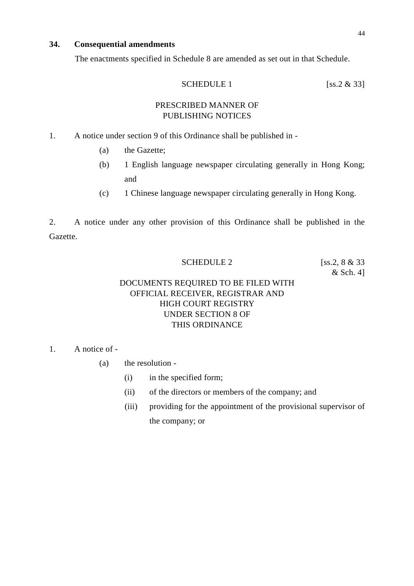# **34. Consequential amendments**

The enactments specified in Schedule 8 are amended as set out in that Schedule.

$$
SCHEDULE 1
$$
 [ss.2 & 33]

# PRESCRIBED MANNER OF PUBLISHING NOTICES

- 1. A notice under section 9 of this Ordinance shall be published in
	- (a) the Gazette;
	- (b) 1 English language newspaper circulating generally in Hong Kong; and
	- (c) 1 Chinese language newspaper circulating generally in Hong Kong.

2. A notice under any other provision of this Ordinance shall be published in the Gazette.

## SCHEDULE 2 [ss.2, 8 & 33]

& Sch. 4]

# DOCUMENTS REQUIRED TO BE FILED WITH OFFICIAL RECEIVER, REGISTRAR AND HIGH COURT REGISTRY UNDER SECTION 8 OF THIS ORDINANCE

# 1. A notice of -

- (a) the resolution
	- (i) in the specified form;
	- (ii) of the directors or members of the company; and
	- (iii) providing for the appointment of the provisional supervisor of the company; or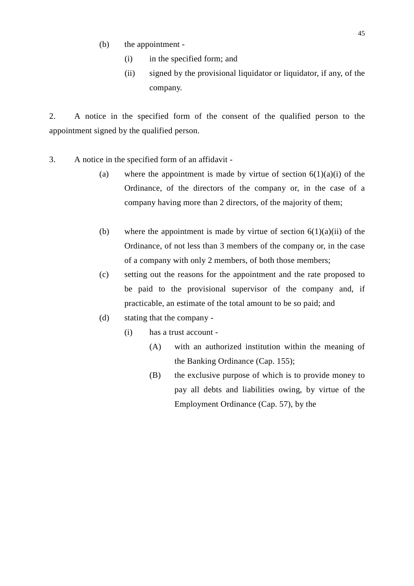- (b) the appointment
	- (i) in the specified form; and
	- (ii) signed by the provisional liquidator or liquidator, if any, of the company.

2. A notice in the specified form of the consent of the qualified person to the appointment signed by the qualified person.

- 3. A notice in the specified form of an affidavit
	- (a) where the appointment is made by virtue of section  $6(1)(a)(i)$  of the Ordinance, of the directors of the company or, in the case of a company having more than 2 directors, of the majority of them;
	- (b) where the appointment is made by virtue of section  $6(1)(a)(ii)$  of the Ordinance, of not less than 3 members of the company or, in the case of a company with only 2 members, of both those members;
	- (c) setting out the reasons for the appointment and the rate proposed to be paid to the provisional supervisor of the company and, if practicable, an estimate of the total amount to be so paid; and
	- (d) stating that the company
		- (i) has a trust account
			- (A) with an authorized institution within the meaning of the Banking Ordinance (Cap. 155);
			- (B) the exclusive purpose of which is to provide money to pay all debts and liabilities owing, by virtue of the Employment Ordinance (Cap. 57), by the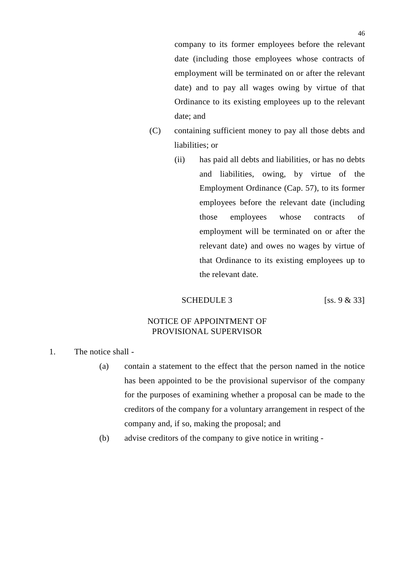company to its former employees before the relevant date (including those employees whose contracts of employment will be terminated on or after the relevant date) and to pay all wages owing by virtue of that Ordinance to its existing employees up to the relevant date; and

- (C) containing sufficient money to pay all those debts and liabilities; or
	- (ii) has paid all debts and liabilities, or has no debts and liabilities, owing, by virtue of the Employment Ordinance (Cap. 57), to its former employees before the relevant date (including those employees whose contracts of employment will be terminated on or after the relevant date) and owes no wages by virtue of that Ordinance to its existing employees up to the relevant date.

### SCHEDULE 3 [ss.  $9 & 33$ ]

## NOTICE OF APPOINTMENT OF PROVISIONAL SUPERVISOR

- 1. The notice shall
	- (a) contain a statement to the effect that the person named in the notice has been appointed to be the provisional supervisor of the company for the purposes of examining whether a proposal can be made to the creditors of the company for a voluntary arrangement in respect of the company and, if so, making the proposal; and
	- (b) advise creditors of the company to give notice in writing -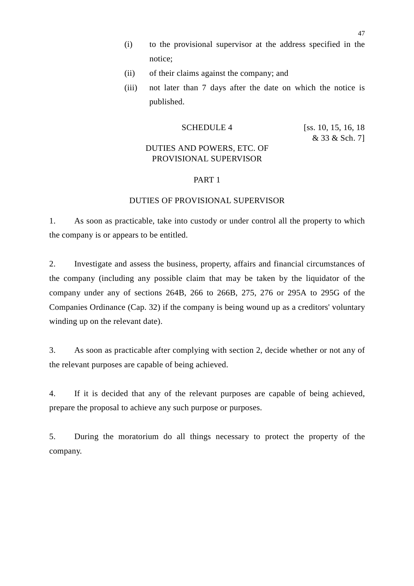- (i) to the provisional supervisor at the address specified in the notice;
- (ii) of their claims against the company; and
- (iii) not later than 7 days after the date on which the notice is published.

# SCHEDULE 4 [ss. 10, 15, 16, 18]

& 33 & Sch. 7]

# DUTIES AND POWERS, ETC. OF PROVISIONAL SUPERVISOR

### PART 1

### DUTIES OF PROVISIONAL SUPERVISOR

1. As soon as practicable, take into custody or under control all the property to which the company is or appears to be entitled.

2. Investigate and assess the business, property, affairs and financial circumstances of the company (including any possible claim that may be taken by the liquidator of the company under any of sections 264B, 266 to 266B, 275, 276 or 295A to 295G of the Companies Ordinance (Cap. 32) if the company is being wound up as a creditors' voluntary winding up on the relevant date).

3. As soon as practicable after complying with section 2, decide whether or not any of the relevant purposes are capable of being achieved.

4. If it is decided that any of the relevant purposes are capable of being achieved, prepare the proposal to achieve any such purpose or purposes.

5. During the moratorium do all things necessary to protect the property of the company.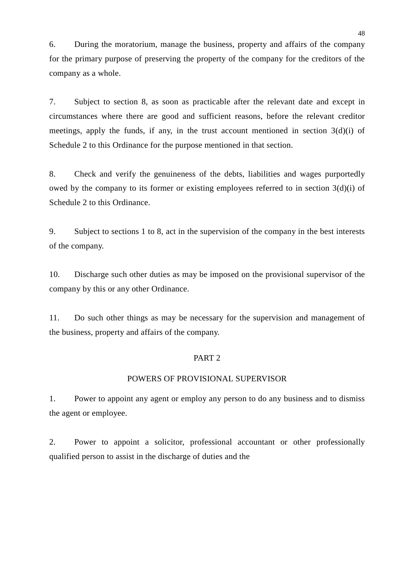6. During the moratorium, manage the business, property and affairs of the company for the primary purpose of preserving the property of the company for the creditors of the company as a whole.

7. Subject to section 8, as soon as practicable after the relevant date and except in circumstances where there are good and sufficient reasons, before the relevant creditor meetings, apply the funds, if any, in the trust account mentioned in section  $3(d)(i)$  of Schedule 2 to this Ordinance for the purpose mentioned in that section.

8. Check and verify the genuineness of the debts, liabilities and wages purportedly owed by the company to its former or existing employees referred to in section 3(d)(i) of Schedule 2 to this Ordinance.

9. Subject to sections 1 to 8, act in the supervision of the company in the best interests of the company.

10. Discharge such other duties as may be imposed on the provisional supervisor of the company by this or any other Ordinance.

11. Do such other things as may be necessary for the supervision and management of the business, property and affairs of the company.

### PART 2

## POWERS OF PROVISIONAL SUPERVISOR

1. Power to appoint any agent or employ any person to do any business and to dismiss the agent or employee.

2. Power to appoint a solicitor, professional accountant or other professionally qualified person to assist in the discharge of duties and the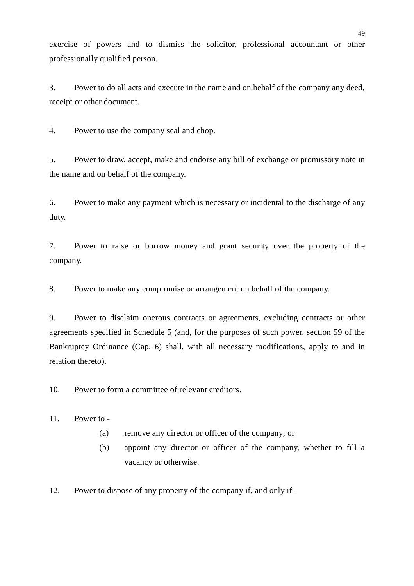exercise of powers and to dismiss the solicitor, professional accountant or other professionally qualified person.

3. Power to do all acts and execute in the name and on behalf of the company any deed, receipt or other document.

4. Power to use the company seal and chop.

5. Power to draw, accept, make and endorse any bill of exchange or promissory note in the name and on behalf of the company.

6. Power to make any payment which is necessary or incidental to the discharge of any duty.

7. Power to raise or borrow money and grant security over the property of the company.

8. Power to make any compromise or arrangement on behalf of the company.

9. Power to disclaim onerous contracts or agreements, excluding contracts or other agreements specified in Schedule 5 (and, for the purposes of such power, section 59 of the Bankruptcy Ordinance (Cap. 6) shall, with all necessary modifications, apply to and in relation thereto).

10. Power to form a committee of relevant creditors.

 $11.$  Power to -

- (a) remove any director or officer of the company; or
- (b) appoint any director or officer of the company, whether to fill a vacancy or otherwise.
- 12. Power to dispose of any property of the company if, and only if -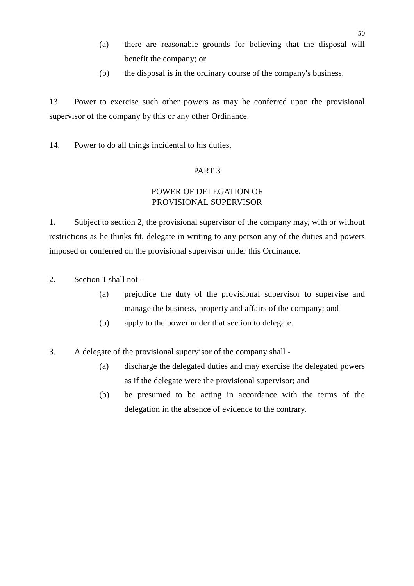- (a) there are reasonable grounds for believing that the disposal will benefit the company; or
- (b) the disposal is in the ordinary course of the company's business.

13. Power to exercise such other powers as may be conferred upon the provisional supervisor of the company by this or any other Ordinance.

14. Power to do all things incidental to his duties.

## PART 3

# POWER OF DELEGATION OF PROVISIONAL SUPERVISOR

1. Subject to section 2, the provisional supervisor of the company may, with or without restrictions as he thinks fit, delegate in writing to any person any of the duties and powers imposed or conferred on the provisional supervisor under this Ordinance.

2. Section 1 shall not -

- (a) prejudice the duty of the provisional supervisor to supervise and manage the business, property and affairs of the company; and
- (b) apply to the power under that section to delegate.
- 3. A delegate of the provisional supervisor of the company shall
	- (a) discharge the delegated duties and may exercise the delegated powers as if the delegate were the provisional supervisor; and
	- (b) be presumed to be acting in accordance with the terms of the delegation in the absence of evidence to the contrary.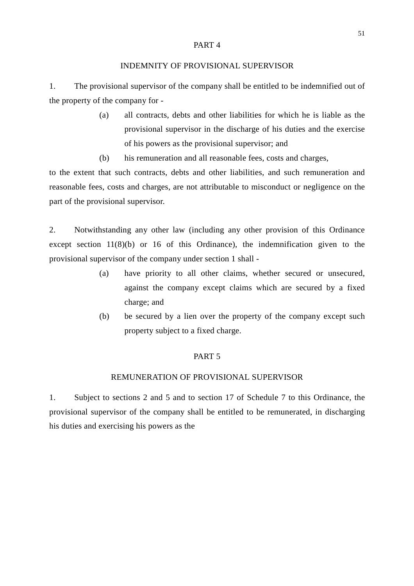#### PART 4

### INDEMNITY OF PROVISIONAL SUPERVISOR

1. The provisional supervisor of the company shall be entitled to be indemnified out of the property of the company for -

- (a) all contracts, debts and other liabilities for which he is liable as the provisional supervisor in the discharge of his duties and the exercise of his powers as the provisional supervisor; and
- (b) his remuneration and all reasonable fees, costs and charges,

to the extent that such contracts, debts and other liabilities, and such remuneration and reasonable fees, costs and charges, are not attributable to misconduct or negligence on the part of the provisional supervisor.

2. Notwithstanding any other law (including any other provision of this Ordinance except section 11(8)(b) or 16 of this Ordinance), the indemnification given to the provisional supervisor of the company under section 1 shall -

- (a) have priority to all other claims, whether secured or unsecured, against the company except claims which are secured by a fixed charge; and
- (b) be secured by a lien over the property of the company except such property subject to a fixed charge.

### PART 5

### REMUNERATION OF PROVISIONAL SUPERVISOR

1. Subject to sections 2 and 5 and to section 17 of Schedule 7 to this Ordinance, the provisional supervisor of the company shall be entitled to be remunerated, in discharging his duties and exercising his powers as the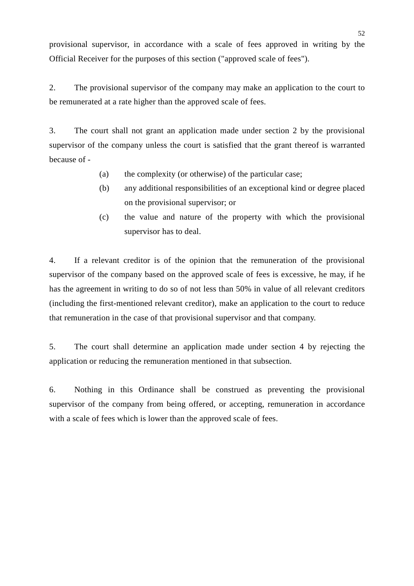provisional supervisor, in accordance with a scale of fees approved in writing by the Official Receiver for the purposes of this section ("approved scale of fees").

2. The provisional supervisor of the company may make an application to the court to be remunerated at a rate higher than the approved scale of fees.

3. The court shall not grant an application made under section 2 by the provisional supervisor of the company unless the court is satisfied that the grant thereof is warranted because of -

- (a) the complexity (or otherwise) of the particular case;
- (b) any additional responsibilities of an exceptional kind or degree placed on the provisional supervisor; or
- (c) the value and nature of the property with which the provisional supervisor has to deal.

4. If a relevant creditor is of the opinion that the remuneration of the provisional supervisor of the company based on the approved scale of fees is excessive, he may, if he has the agreement in writing to do so of not less than 50% in value of all relevant creditors (including the first-mentioned relevant creditor), make an application to the court to reduce that remuneration in the case of that provisional supervisor and that company.

5. The court shall determine an application made under section 4 by rejecting the application or reducing the remuneration mentioned in that subsection.

6. Nothing in this Ordinance shall be construed as preventing the provisional supervisor of the company from being offered, or accepting, remuneration in accordance with a scale of fees which is lower than the approved scale of fees.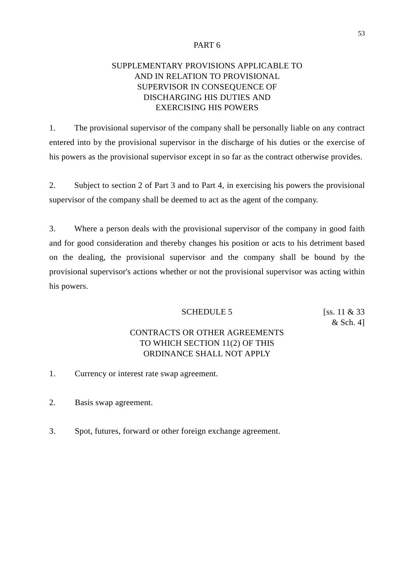### PART 6

# SUPPLEMENTARY PROVISIONS APPLICABLE TO AND IN RELATION TO PROVISIONAL SUPERVISOR IN CONSEQUENCE OF DISCHARGING HIS DUTIES AND EXERCISING HIS POWERS

1. The provisional supervisor of the company shall be personally liable on any contract entered into by the provisional supervisor in the discharge of his duties or the exercise of his powers as the provisional supervisor except in so far as the contract otherwise provides.

2. Subject to section 2 of Part 3 and to Part 4, in exercising his powers the provisional supervisor of the company shall be deemed to act as the agent of the company.

3. Where a person deals with the provisional supervisor of the company in good faith and for good consideration and thereby changes his position or acts to his detriment based on the dealing, the provisional supervisor and the company shall be bound by the provisional supervisor's actions whether or not the provisional supervisor was acting within his powers.

### SCHEDULE 5  $[ss. 11 \& 33]$

& Sch. 4]

# CONTRACTS OR OTHER AGREEMENTS TO WHICH SECTION 11(2) OF THIS ORDINANCE SHALL NOT APPLY

- 1. Currency or interest rate swap agreement.
- 2. Basis swap agreement.
- 3. Spot, futures, forward or other foreign exchange agreement.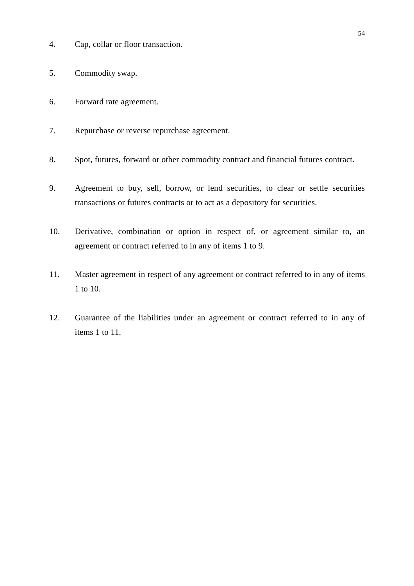- 4. Cap, collar or floor transaction.
- 5. Commodity swap.
- 6. Forward rate agreement.
- 7. Repurchase or reverse repurchase agreement.
- 8. Spot, futures, forward or other commodity contract and financial futures contract.
- 9. Agreement to buy, sell, borrow, or lend securities, to clear or settle securities transactions or futures contracts or to act as a depository for securities.
- 10. Derivative, combination or option in respect of, or agreement similar to, an agreement or contract referred to in any of items 1 to 9.
- 11. Master agreement in respect of any agreement or contract referred to in any of items 1 to 10.
- 12. Guarantee of the liabilities under an agreement or contract referred to in any of items 1 to 11.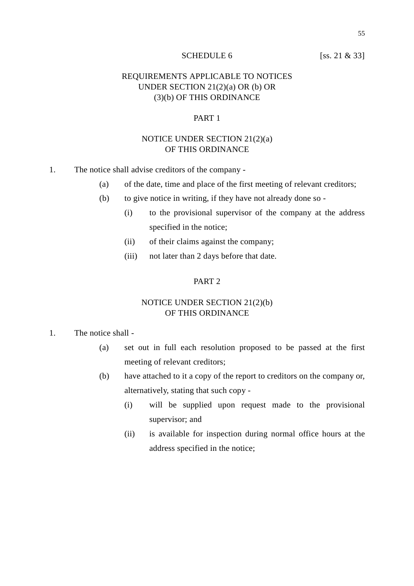### SCHEDULE 6 [ss. 21 & 33]

# REQUIREMENTS APPLICABLE TO NOTICES UNDER SECTION 21(2)(a) OR (b) OR (3)(b) OF THIS ORDINANCE

## PART 1

## NOTICE UNDER SECTION 21(2)(a) OF THIS ORDINANCE

- 1. The notice shall advise creditors of the company
	- (a) of the date, time and place of the first meeting of relevant creditors;
	- (b) to give notice in writing, if they have not already done so
		- (i) to the provisional supervisor of the company at the address specified in the notice;
		- (ii) of their claims against the company;
		- (iii) not later than 2 days before that date.

### PART<sub>2</sub>

# NOTICE UNDER SECTION 21(2)(b) OF THIS ORDINANCE

### 1. The notice shall -

- (a) set out in full each resolution proposed to be passed at the first meeting of relevant creditors;
- (b) have attached to it a copy of the report to creditors on the company or, alternatively, stating that such copy -
	- (i) will be supplied upon request made to the provisional supervisor; and
	- (ii) is available for inspection during normal office hours at the address specified in the notice;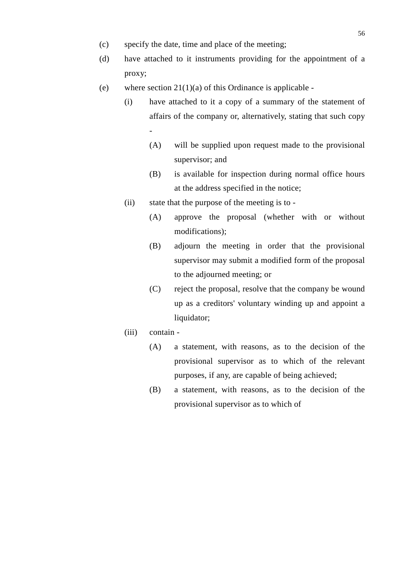- (c) specify the date, time and place of the meeting;
- (d) have attached to it instruments providing for the appointment of a proxy;
- (e) where section  $21(1)(a)$  of this Ordinance is applicable -
	- (i) have attached to it a copy of a summary of the statement of affairs of the company or, alternatively, stating that such copy -
		- (A) will be supplied upon request made to the provisional supervisor; and
		- (B) is available for inspection during normal office hours at the address specified in the notice;
	- (ii) state that the purpose of the meeting is to
		- (A) approve the proposal (whether with or without modifications);
		- (B) adjourn the meeting in order that the provisional supervisor may submit a modified form of the proposal to the adjourned meeting; or
		- (C) reject the proposal, resolve that the company be wound up as a creditors' voluntary winding up and appoint a liquidator:
	- (iii) contain
		- (A) a statement, with reasons, as to the decision of the provisional supervisor as to which of the relevant purposes, if any, are capable of being achieved;
		- (B) a statement, with reasons, as to the decision of the provisional supervisor as to which of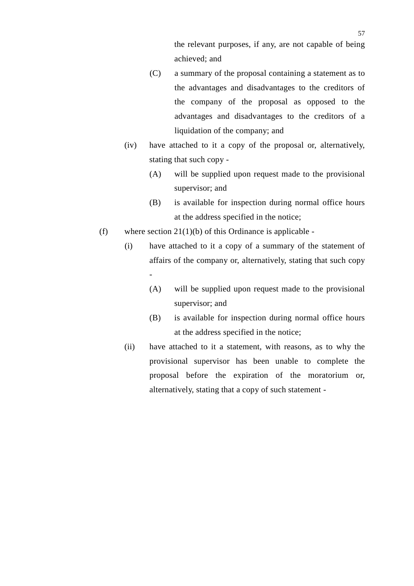the relevant purposes, if any, are not capable of being achieved; and

- (C) a summary of the proposal containing a statement as to the advantages and disadvantages to the creditors of the company of the proposal as opposed to the advantages and disadvantages to the creditors of a liquidation of the company; and
- (iv) have attached to it a copy of the proposal or, alternatively, stating that such copy -
	- (A) will be supplied upon request made to the provisional supervisor; and
	- (B) is available for inspection during normal office hours at the address specified in the notice;
- (f) where section  $21(1)(b)$  of this Ordinance is applicable -
	- (i) have attached to it a copy of a summary of the statement of affairs of the company or, alternatively, stating that such copy -
		- (A) will be supplied upon request made to the provisional supervisor; and
		- (B) is available for inspection during normal office hours at the address specified in the notice;
	- (ii) have attached to it a statement, with reasons, as to why the provisional supervisor has been unable to complete the proposal before the expiration of the moratorium or, alternatively, stating that a copy of such statement -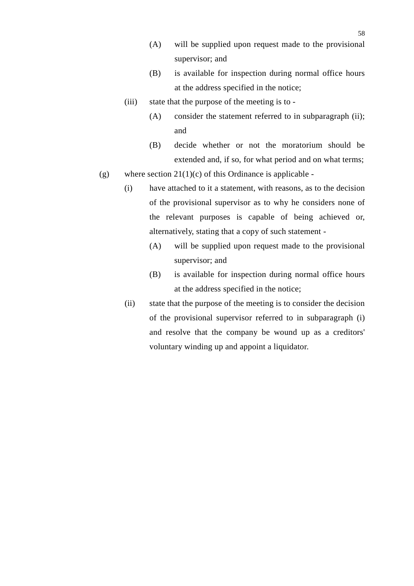- (A) will be supplied upon request made to the provisional supervisor; and
- (B) is available for inspection during normal office hours at the address specified in the notice;
- (iii) state that the purpose of the meeting is to
	- (A) consider the statement referred to in subparagraph (ii); and
	- (B) decide whether or not the moratorium should be extended and, if so, for what period and on what terms;
- (g) where section  $21(1)(c)$  of this Ordinance is applicable -
	- (i) have attached to it a statement, with reasons, as to the decision of the provisional supervisor as to why he considers none of the relevant purposes is capable of being achieved or, alternatively, stating that a copy of such statement -
		- (A) will be supplied upon request made to the provisional supervisor; and
		- (B) is available for inspection during normal office hours at the address specified in the notice;
	- (ii) state that the purpose of the meeting is to consider the decision of the provisional supervisor referred to in subparagraph (i) and resolve that the company be wound up as a creditors' voluntary winding up and appoint a liquidator.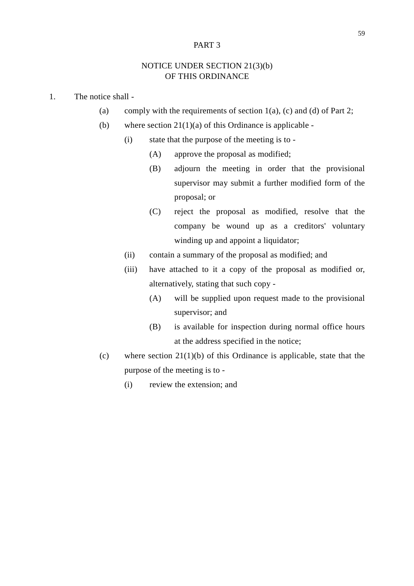### PART 3

# NOTICE UNDER SECTION 21(3)(b) OF THIS ORDINANCE

- 1. The notice shall
	- (a) comply with the requirements of section  $1(a)$ , (c) and (d) of Part 2;
	- (b) where section  $21(1)(a)$  of this Ordinance is applicable -
		- (i) state that the purpose of the meeting is to
			- (A) approve the proposal as modified;
			- (B) adjourn the meeting in order that the provisional supervisor may submit a further modified form of the proposal; or
			- (C) reject the proposal as modified, resolve that the company be wound up as a creditors' voluntary winding up and appoint a liquidator;
		- (ii) contain a summary of the proposal as modified; and
		- (iii) have attached to it a copy of the proposal as modified or, alternatively, stating that such copy -
			- (A) will be supplied upon request made to the provisional supervisor; and
			- (B) is available for inspection during normal office hours at the address specified in the notice;
	- (c) where section  $21(1)(b)$  of this Ordinance is applicable, state that the purpose of the meeting is to -
		- (i) review the extension; and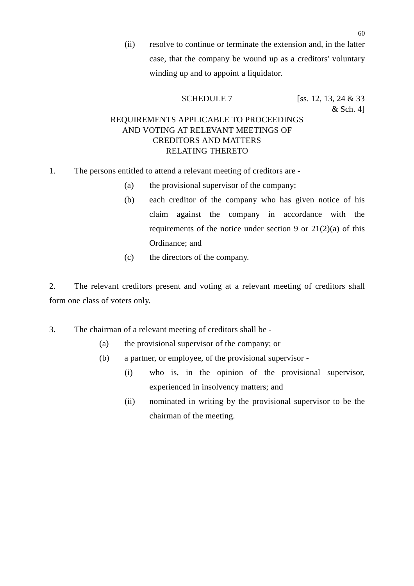(ii) resolve to continue or terminate the extension and, in the latter case, that the company be wound up as a creditors' voluntary winding up and to appoint a liquidator.

SCHEDULE 7 [ss. 12, 13, 24 & 33]

# $&$  Sch. 4] REQUIREMENTS APPLICABLE TO PROCEEDINGS AND VOTING AT RELEVANT MEETINGS OF CREDITORS AND MATTERS RELATING THERETO

- 1. The persons entitled to attend a relevant meeting of creditors are
	- (a) the provisional supervisor of the company;
	- (b) each creditor of the company who has given notice of his claim against the company in accordance with the requirements of the notice under section 9 or  $21(2)(a)$  of this Ordinance; and
	- (c) the directors of the company.

2. The relevant creditors present and voting at a relevant meeting of creditors shall form one class of voters only.

3. The chairman of a relevant meeting of creditors shall be -

- (a) the provisional supervisor of the company; or
- (b) a partner, or employee, of the provisional supervisor
	- (i) who is, in the opinion of the provisional supervisor, experienced in insolvency matters; and
	- (ii) nominated in writing by the provisional supervisor to be the chairman of the meeting.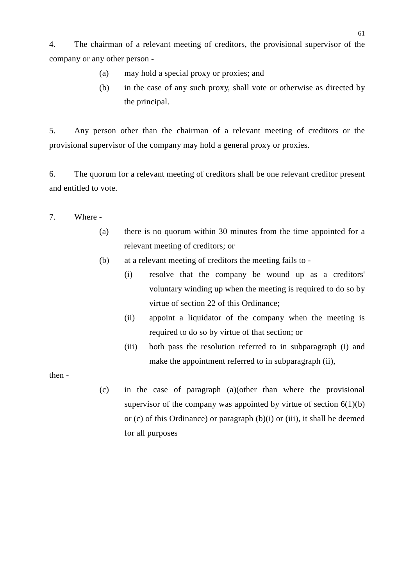4. The chairman of a relevant meeting of creditors, the provisional supervisor of the company or any other person -

- (a) may hold a special proxy or proxies; and
- (b) in the case of any such proxy, shall vote or otherwise as directed by the principal.

5. Any person other than the chairman of a relevant meeting of creditors or the provisional supervisor of the company may hold a general proxy or proxies.

6. The quorum for a relevant meeting of creditors shall be one relevant creditor present and entitled to vote.

- 7. Where
	- (a) there is no quorum within 30 minutes from the time appointed for a relevant meeting of creditors; or
	- (b) at a relevant meeting of creditors the meeting fails to
		- (i) resolve that the company be wound up as a creditors' voluntary winding up when the meeting is required to do so by virtue of section 22 of this Ordinance;
		- (ii) appoint a liquidator of the company when the meeting is required to do so by virtue of that section; or
		- (iii) both pass the resolution referred to in subparagraph (i) and make the appointment referred to in subparagraph (ii),

then -

(c) in the case of paragraph (a)(other than where the provisional supervisor of the company was appointed by virtue of section  $6(1)(b)$ or (c) of this Ordinance) or paragraph  $(b)(i)$  or (iii), it shall be deemed for all purposes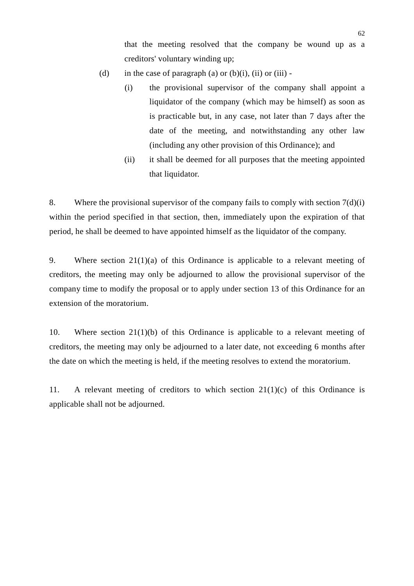that the meeting resolved that the company be wound up as a creditors' voluntary winding up;

- (d) in the case of paragraph (a) or (b)(i), (ii) or (iii) -
	- (i) the provisional supervisor of the company shall appoint a liquidator of the company (which may be himself) as soon as is practicable but, in any case, not later than 7 days after the date of the meeting, and notwithstanding any other law (including any other provision of this Ordinance); and
	- (ii) it shall be deemed for all purposes that the meeting appointed that liquidator.

8. Where the provisional supervisor of the company fails to comply with section  $7(d)(i)$ within the period specified in that section, then, immediately upon the expiration of that period, he shall be deemed to have appointed himself as the liquidator of the company.

9. Where section  $21(1)(a)$  of this Ordinance is applicable to a relevant meeting of creditors, the meeting may only be adjourned to allow the provisional supervisor of the company time to modify the proposal or to apply under section 13 of this Ordinance for an extension of the moratorium.

10. Where section 21(1)(b) of this Ordinance is applicable to a relevant meeting of creditors, the meeting may only be adjourned to a later date, not exceeding 6 months after the date on which the meeting is held, if the meeting resolves to extend the moratorium.

11. A relevant meeting of creditors to which section 21(1)(c) of this Ordinance is applicable shall not be adjourned.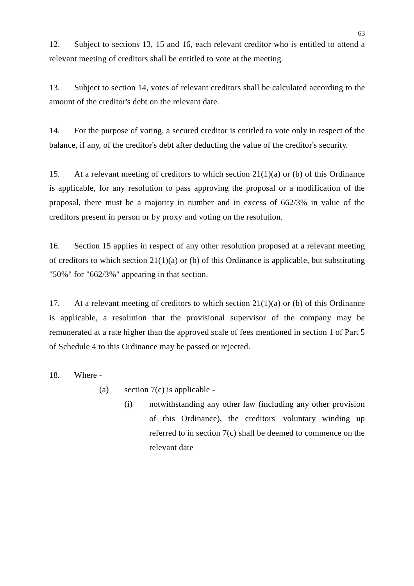12. Subject to sections 13, 15 and 16, each relevant creditor who is entitled to attend a relevant meeting of creditors shall be entitled to vote at the meeting.

13. Subject to section 14, votes of relevant creditors shall be calculated according to the amount of the creditor's debt on the relevant date.

14. For the purpose of voting, a secured creditor is entitled to vote only in respect of the balance, if any, of the creditor's debt after deducting the value of the creditor's security.

15. At a relevant meeting of creditors to which section 21(1)(a) or (b) of this Ordinance is applicable, for any resolution to pass approving the proposal or a modification of the proposal, there must be a majority in number and in excess of 662/3% in value of the creditors present in person or by proxy and voting on the resolution.

16. Section 15 applies in respect of any other resolution proposed at a relevant meeting of creditors to which section  $21(1)(a)$  or (b) of this Ordinance is applicable, but substituting "50%" for "662/3%" appearing in that section.

17. At a relevant meeting of creditors to which section 21(1)(a) or (b) of this Ordinance is applicable, a resolution that the provisional supervisor of the company may be remunerated at a rate higher than the approved scale of fees mentioned in section 1 of Part 5 of Schedule 4 to this Ordinance may be passed or rejected.

18. Where -

(a) section  $7(c)$  is applicable -

(i) notwithstanding any other law (including any other provision of this Ordinance), the creditors' voluntary winding up referred to in section 7(c) shall be deemed to commence on the relevant date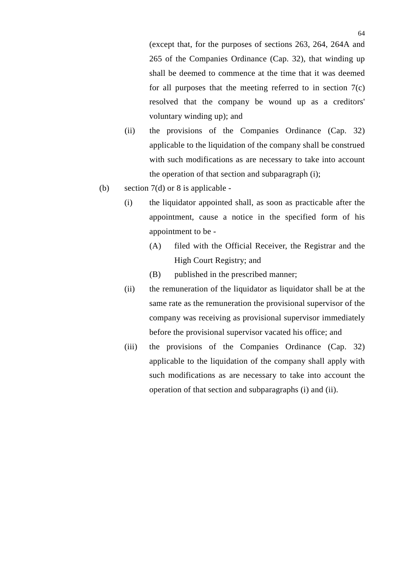(except that, for the purposes of sections 263, 264, 264A and 265 of the Companies Ordinance (Cap. 32), that winding up shall be deemed to commence at the time that it was deemed for all purposes that the meeting referred to in section 7(c) resolved that the company be wound up as a creditors' voluntary winding up); and

- (ii) the provisions of the Companies Ordinance (Cap. 32) applicable to the liquidation of the company shall be construed with such modifications as are necessary to take into account the operation of that section and subparagraph (i);
- (b) section  $7(d)$  or 8 is applicable -
	- (i) the liquidator appointed shall, as soon as practicable after the appointment, cause a notice in the specified form of his appointment to be -
		- (A) filed with the Official Receiver, the Registrar and the High Court Registry; and
		- (B) published in the prescribed manner;
	- (ii) the remuneration of the liquidator as liquidator shall be at the same rate as the remuneration the provisional supervisor of the company was receiving as provisional supervisor immediately before the provisional supervisor vacated his office; and
	- (iii) the provisions of the Companies Ordinance (Cap. 32) applicable to the liquidation of the company shall apply with such modifications as are necessary to take into account the operation of that section and subparagraphs (i) and (ii).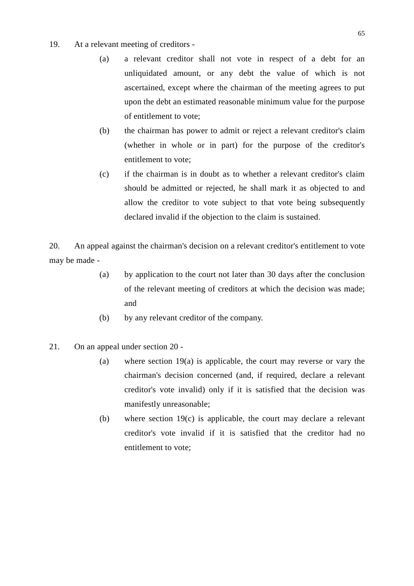- 19. At a relevant meeting of creditors
	- (a) a relevant creditor shall not vote in respect of a debt for an unliquidated amount, or any debt the value of which is not ascertained, except where the chairman of the meeting agrees to put upon the debt an estimated reasonable minimum value for the purpose of entitlement to vote;
	- (b) the chairman has power to admit or reject a relevant creditor's claim (whether in whole or in part) for the purpose of the creditor's entitlement to vote;
	- (c) if the chairman is in doubt as to whether a relevant creditor's claim should be admitted or rejected, he shall mark it as objected to and allow the creditor to vote subject to that vote being subsequently declared invalid if the objection to the claim is sustained.

20. An appeal against the chairman's decision on a relevant creditor's entitlement to vote may be made -

- (a) by application to the court not later than 30 days after the conclusion of the relevant meeting of creditors at which the decision was made; and
- (b) by any relevant creditor of the company.
- 21. On an appeal under section 20
	- (a) where section 19(a) is applicable, the court may reverse or vary the chairman's decision concerned (and, if required, declare a relevant creditor's vote invalid) only if it is satisfied that the decision was manifestly unreasonable;
	- (b) where section 19(c) is applicable, the court may declare a relevant creditor's vote invalid if it is satisfied that the creditor had no entitlement to vote;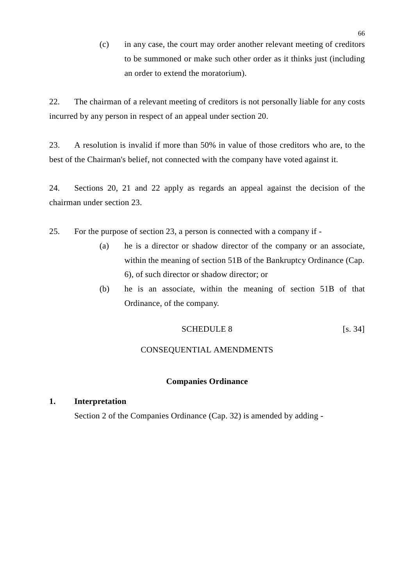(c) in any case, the court may order another relevant meeting of creditors to be summoned or make such other order as it thinks just (including an order to extend the moratorium).

22. The chairman of a relevant meeting of creditors is not personally liable for any costs incurred by any person in respect of an appeal under section 20.

23. A resolution is invalid if more than 50% in value of those creditors who are, to the best of the Chairman's belief, not connected with the company have voted against it.

24. Sections 20, 21 and 22 apply as regards an appeal against the decision of the chairman under section 23.

- 25. For the purpose of section 23, a person is connected with a company if
	- (a) he is a director or shadow director of the company or an associate, within the meaning of section 51B of the Bankruptcy Ordinance (Cap. 6), of such director or shadow director; or
	- (b) he is an associate, within the meaning of section 51B of that Ordinance, of the company.

$$
SCHEDULE 8
$$
 [s. 34]

### CONSEQUENTIAL AMENDMENTS

#### **Companies Ordinance**

# **1. Interpretation**

Section 2 of the Companies Ordinance (Cap. 32) is amended by adding -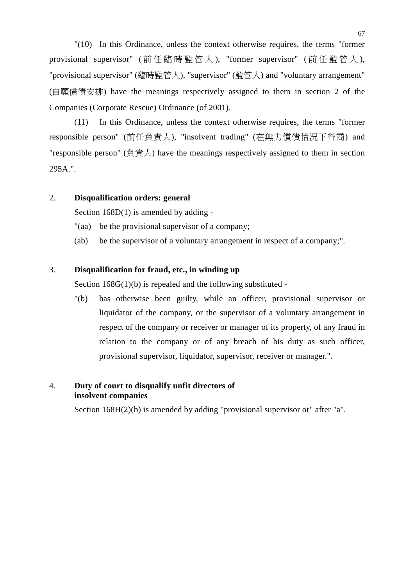"(10) In this Ordinance, unless the context otherwise requires, the terms "former provisional supervisor" ( 前任臨時監管人), "former supervisor" ( 前任監管人), "provisional supervisor" (臨時監管㆟), "supervisor" (監管㆟) and "voluntary arrangement" (自願償債安排) have the meanings respectively assigned to them in section 2 of the Companies (Corporate Rescue) Ordinance (of 2001).

(11) In this Ordinance, unless the context otherwise requires, the terms "former responsible person" (前任負責㆟), "insolvent trading" (在無力償債情況㆘營商) and "responsible person" (負責人) have the meanings respectively assigned to them in section 295A.".

## 2. **Disqualification orders: general**

Section 168D(1) is amended by adding -

- "(aa) be the provisional supervisor of a company;
- (ab) be the supervisor of a voluntary arrangement in respect of a company;".

# 3. **Disqualification for fraud, etc., in winding up**

Section  $168G(1)(b)$  is repealed and the following substituted -

"(b) has otherwise been guilty, while an officer, provisional supervisor or liquidator of the company, or the supervisor of a voluntary arrangement in respect of the company or receiver or manager of its property, of any fraud in relation to the company or of any breach of his duty as such officer, provisional supervisor, liquidator, supervisor, receiver or manager.".

# 4. **Duty of court to disqualify unfit directors of insolvent companies**

Section 168H(2)(b) is amended by adding "provisional supervisor or" after "a".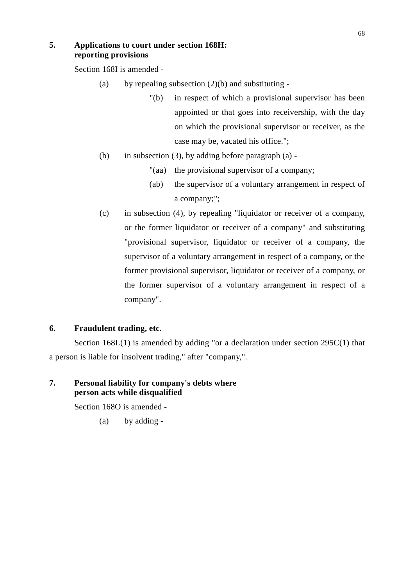### **5. Applications to court under section 168H: reporting provisions**

Section 168I is amended -

- (a) by repealing subsection  $(2)(b)$  and substituting -
	- "(b) in respect of which a provisional supervisor has been appointed or that goes into receivership, with the day on which the provisional supervisor or receiver, as the case may be, vacated his office.";
- (b) in subsection (3), by adding before paragraph (a) -
	- "(aa) the provisional supervisor of a company;
	- (ab) the supervisor of a voluntary arrangement in respect of a company;";
- (c) in subsection (4), by repealing "liquidator or receiver of a company, or the former liquidator or receiver of a company" and substituting "provisional supervisor, liquidator or receiver of a company, the supervisor of a voluntary arrangement in respect of a company, or the former provisional supervisor, liquidator or receiver of a company, or the former supervisor of a voluntary arrangement in respect of a company".

## **6. Fraudulent trading, etc.**

Section 168L(1) is amended by adding "or a declaration under section 295C(1) that a person is liable for insolvent trading," after "company,".

# **7. Personal liability for company's debts where person acts while disqualified**

Section 168O is amended -

(a) by adding -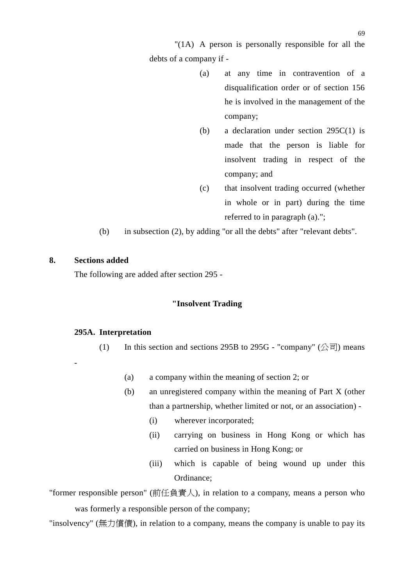"(1A) A person is personally responsible for all the debts of a company if -

- (a) at any time in contravention of a disqualification order or of section 156 he is involved in the management of the company;
- (b) a declaration under section 295C(1) is made that the person is liable for insolvent trading in respect of the company; and
- (c) that insolvent trading occurred (whether in whole or in part) during the time referred to in paragraph (a).";

(b) in subsection (2), by adding "or all the debts" after "relevant debts".

#### **8. Sections added**

-

The following are added after section 295 -

# **"Insolvent Trading**

### **295A. Interpretation**

- (1) In this section and sections 295B to 295G "company"  $(\triangle \overline{\overline{\mathbb{F}}}$ ) means
	- (a) a company within the meaning of section 2; or
	- (b) an unregistered company within the meaning of Part X (other than a partnership, whether limited or not, or an association) -
		- (i) wherever incorporated;
		- (ii) carrying on business in Hong Kong or which has carried on business in Hong Kong; or
		- (iii) which is capable of being wound up under this Ordinance;

"former responsible person" (前任負責人), in relation to a company, means a person who was formerly a responsible person of the company;

"insolvency" (無力償債), in relation to a company, means the company is unable to pay its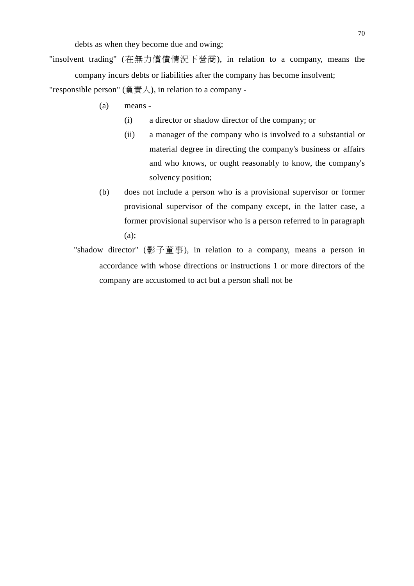debts as when they become due and owing;

"insolvent trading" (在無力償債情況㆘營商), in relation to a company, means the company incurs debts or liabilities after the company has become insolvent;

"responsible person" (負責人), in relation to a company -

- (a) means
	- (i) a director or shadow director of the company; or
	- (ii) a manager of the company who is involved to a substantial or material degree in directing the company's business or affairs and who knows, or ought reasonably to know, the company's solvency position;
- (b) does not include a person who is a provisional supervisor or former provisional supervisor of the company except, in the latter case, a former provisional supervisor who is a person referred to in paragraph (a);
- "shadow director" (影子董事), in relation to a company, means a person in accordance with whose directions or instructions 1 or more directors of the company are accustomed to act but a person shall not be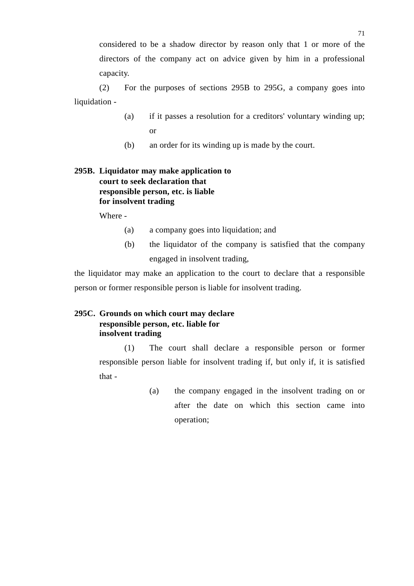considered to be a shadow director by reason only that 1 or more of the directors of the company act on advice given by him in a professional capacity.

(2) For the purposes of sections 295B to 295G, a company goes into liquidation -

- (a) if it passes a resolution for a creditors' voluntary winding up; or
- (b) an order for its winding up is made by the court.

# **295B. Liquidator may make application to court to seek declaration that responsible person, etc. is liable for insolvent trading**

Where -

- (a) a company goes into liquidation; and
- (b) the liquidator of the company is satisfied that the company engaged in insolvent trading,

the liquidator may make an application to the court to declare that a responsible person or former responsible person is liable for insolvent trading.

## **295C. Grounds on which court may declare responsible person, etc. liable for insolvent trading**

(1) The court shall declare a responsible person or former responsible person liable for insolvent trading if, but only if, it is satisfied that -

> (a) the company engaged in the insolvent trading on or after the date on which this section came into operation;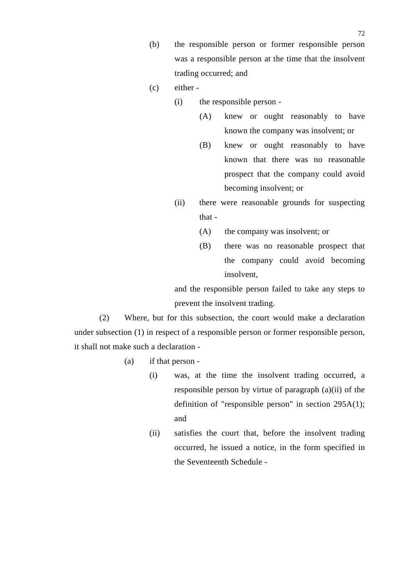- (b) the responsible person or former responsible person was a responsible person at the time that the insolvent trading occurred; and
- (c) either
	- (i) the responsible person
		- (A) knew or ought reasonably to have known the company was insolvent; or
		- (B) knew or ought reasonably to have known that there was no reasonable prospect that the company could avoid becoming insolvent; or
	- (ii) there were reasonable grounds for suspecting that -
		- (A) the company was insolvent; or
		- (B) there was no reasonable prospect that the company could avoid becoming insolvent,

and the responsible person failed to take any steps to prevent the insolvent trading.

(2) Where, but for this subsection, the court would make a declaration under subsection (1) in respect of a responsible person or former responsible person, it shall not make such a declaration -

- (a) if that person
	- (i) was, at the time the insolvent trading occurred, a responsible person by virtue of paragraph (a)(ii) of the definition of "responsible person" in section 295A(1); and
	- (ii) satisfies the court that, before the insolvent trading occurred, he issued a notice, in the form specified in the Seventeenth Schedule -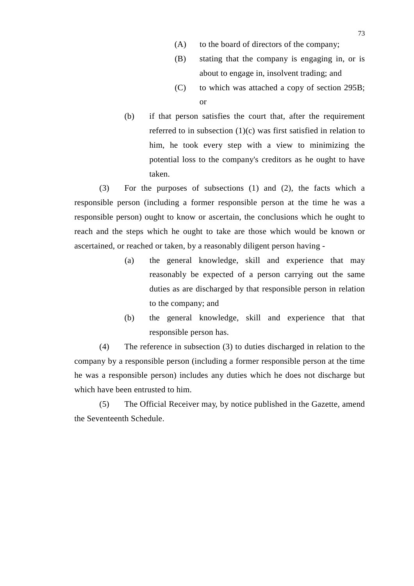- (A) to the board of directors of the company;
- (B) stating that the company is engaging in, or is about to engage in, insolvent trading; and
- (C) to which was attached a copy of section 295B; or
- (b) if that person satisfies the court that, after the requirement referred to in subsection (1)(c) was first satisfied in relation to him, he took every step with a view to minimizing the potential loss to the company's creditors as he ought to have taken.

(3) For the purposes of subsections (1) and (2), the facts which a responsible person (including a former responsible person at the time he was a responsible person) ought to know or ascertain, the conclusions which he ought to reach and the steps which he ought to take are those which would be known or ascertained, or reached or taken, by a reasonably diligent person having -

- (a) the general knowledge, skill and experience that may reasonably be expected of a person carrying out the same duties as are discharged by that responsible person in relation to the company; and
- (b) the general knowledge, skill and experience that that responsible person has.

(4) The reference in subsection (3) to duties discharged in relation to the company by a responsible person (including a former responsible person at the time he was a responsible person) includes any duties which he does not discharge but which have been entrusted to him.

(5) The Official Receiver may, by notice published in the Gazette, amend the Seventeenth Schedule.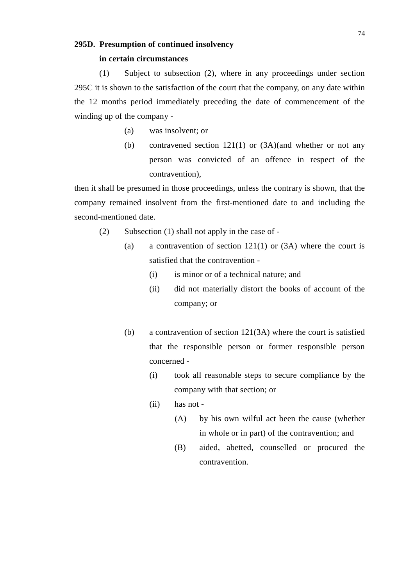#### **295D. Presumption of continued insolvency**

### **in certain circumstances**

(1) Subject to subsection (2), where in any proceedings under section 295C it is shown to the satisfaction of the court that the company, on any date within the 12 months period immediately preceding the date of commencement of the winding up of the company -

- (a) was insolvent; or
- (b) contravened section 121(1) or (3A)(and whether or not any person was convicted of an offence in respect of the contravention),

then it shall be presumed in those proceedings, unless the contrary is shown, that the company remained insolvent from the first-mentioned date to and including the second-mentioned date.

- (2) Subsection (1) shall not apply in the case of
	- (a) a contravention of section  $121(1)$  or  $(3A)$  where the court is satisfied that the contravention -
		- (i) is minor or of a technical nature; and
		- (ii) did not materially distort the books of account of the company; or
	- (b) a contravention of section 121(3A) where the court is satisfied that the responsible person or former responsible person concerned -
		- (i) took all reasonable steps to secure compliance by the company with that section; or
		- (ii) has not
			- (A) by his own wilful act been the cause (whether in whole or in part) of the contravention; and
			- (B) aided, abetted, counselled or procured the contravention.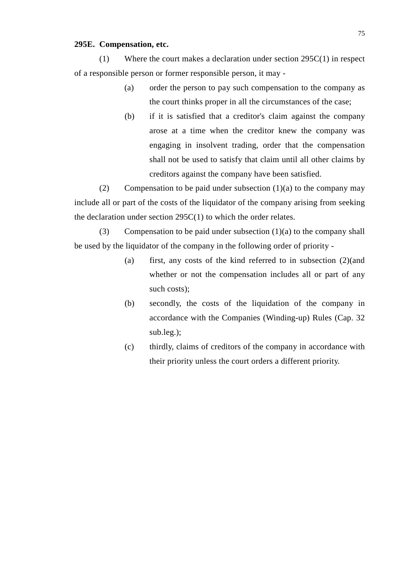#### **295E. Compensation, etc.**

(1) Where the court makes a declaration under section 295C(1) in respect of a responsible person or former responsible person, it may -

- (a) order the person to pay such compensation to the company as the court thinks proper in all the circumstances of the case;
- (b) if it is satisfied that a creditor's claim against the company arose at a time when the creditor knew the company was engaging in insolvent trading, order that the compensation shall not be used to satisfy that claim until all other claims by creditors against the company have been satisfied.

(2) Compensation to be paid under subsection  $(1)(a)$  to the company may include all or part of the costs of the liquidator of the company arising from seeking the declaration under section 295C(1) to which the order relates.

(3) Compensation to be paid under subsection  $(1)(a)$  to the company shall be used by the liquidator of the company in the following order of priority -

- (a) first, any costs of the kind referred to in subsection (2)(and whether or not the compensation includes all or part of any such costs);
- (b) secondly, the costs of the liquidation of the company in accordance with the Companies (Winding-up) Rules (Cap. 32 sub.leg.);
- (c) thirdly, claims of creditors of the company in accordance with their priority unless the court orders a different priority.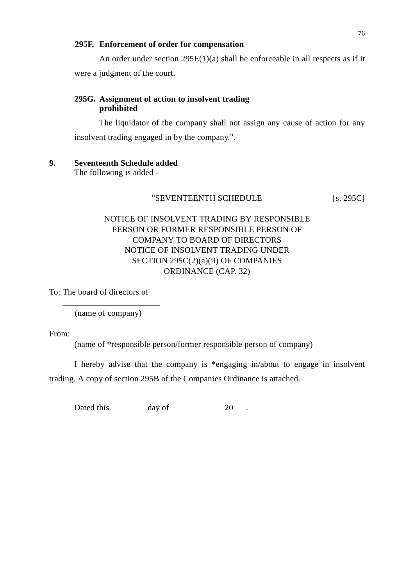#### **295F. Enforcement of order for compensation**

An order under section 295E(1)(a) shall be enforceable in all respects as if it were a judgment of the court.

## **295G. Assignment of action to insolvent trading prohibited**

The liquidator of the company shall not assign any cause of action for any insolvent trading engaged in by the company.".

## **9. Seventeenth Schedule added**

The following is added -

### "SEVENTEENTH SCHEDULE [S. 295C]

# NOTICE OF INSOLVENT TRADING BY RESPONSIBLE PERSON OR FORMER RESPONSIBLE PERSON OF COMPANY TO BOARD OF DIRECTORS NOTICE OF INSOLVENT TRADING UNDER SECTION 295C(2)(a)(ii) OF COMPANIES ORDINANCE (CAP. 32)

To: The board of directors of

(name of company)

From:

l

(name of \*responsible person/former responsible person of company)

I hereby advise that the company is \*engaging in/about to engage in insolvent trading. A copy of section 295B of the Companies Ordinance is attached.

Dated this day of 20 .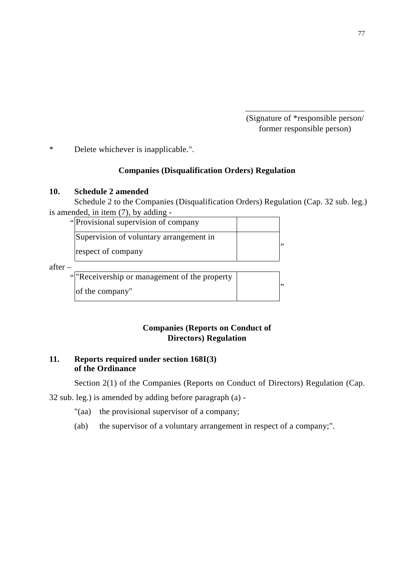(Signature of \*responsible person/ former responsible person)

\* Delete whichever is inapplicable.".

## **Companies (Disqualification Orders) Regulation**

 $\overline{a}$ 

#### **10. Schedule 2 amended**

Schedule 2 to the Companies (Disqualification Orders) Regulation (Cap. 32 sub. leg.) is amended, in item (7), by adding -

| "Provisional supervision of company"    |  |
|-----------------------------------------|--|
| Supervision of voluntary arrangement in |  |
| respect of company                      |  |

after –

"Receivership or management of the property of the company"  $\vert$ "  $\vert$ "

# **Companies (Reports on Conduct of Directors) Regulation**

# **11. Reports required under section 168I(3) of the Ordinance**

Section 2(1) of the Companies (Reports on Conduct of Directors) Regulation (Cap.

32 sub. leg.) is amended by adding before paragraph (a) -

- "(aa) the provisional supervisor of a company;
- (ab) the supervisor of a voluntary arrangement in respect of a company;".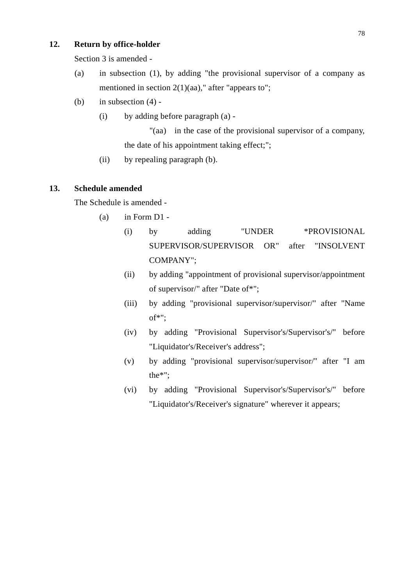# **12. Return by office-holder**

Section 3 is amended -

- (a) in subsection (1), by adding "the provisional supervisor of a company as mentioned in section  $2(1)(aa)$ ," after "appears to";
- (b) in subsection  $(4)$  -
	- (i) by adding before paragraph (a) -

"(aa) in the case of the provisional supervisor of a company, the date of his appointment taking effect;";

(ii) by repealing paragraph (b).

### **13. Schedule amended**

The Schedule is amended -

- $(a)$  in Form D1 -
	- (i) by adding "UNDER \*PROVISIONAL SUPERVISOR/SUPERVISOR OR" after "INSOLVENT COMPANY";
	- (ii) by adding "appointment of provisional supervisor/appointment of supervisor/" after "Date of\*";
	- (iii) by adding "provisional supervisor/supervisor/" after "Name of\*";
	- (iv) by adding "Provisional Supervisor's/Supervisor's/" before "Liquidator's/Receiver's address";
	- (v) by adding "provisional supervisor/supervisor/" after "I am the\*";
	- (vi) by adding "Provisional Supervisor's/Supervisor's/" before "Liquidator's/Receiver's signature" wherever it appears;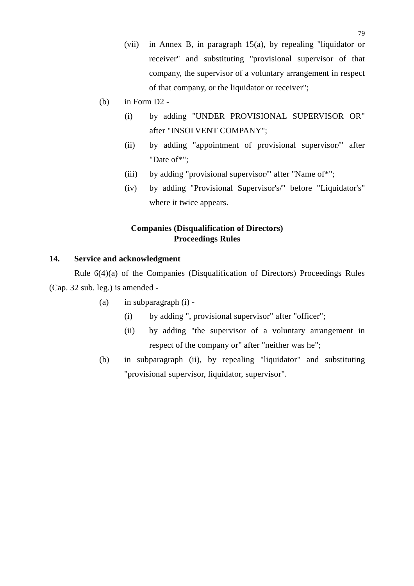- (vii) in Annex B, in paragraph 15(a), by repealing "liquidator or receiver" and substituting "provisional supervisor of that company, the supervisor of a voluntary arrangement in respect of that company, or the liquidator or receiver";
- (b) in Form D2
	- (i) by adding "UNDER PROVISIONAL SUPERVISOR OR" after "INSOLVENT COMPANY";
	- (ii) by adding "appointment of provisional supervisor/" after "Date of\*";
	- (iii) by adding "provisional supervisor/" after "Name of\*";
	- (iv) by adding "Provisional Supervisor's/" before "Liquidator's" where it twice appears.

# **Companies (Disqualification of Directors) Proceedings Rules**

## **14. Service and acknowledgment**

Rule 6(4)(a) of the Companies (Disqualification of Directors) Proceedings Rules (Cap. 32 sub. leg.) is amended -

- (a) in subparagraph (i)
	- (i) by adding ", provisional supervisor" after "officer";
	- (ii) by adding "the supervisor of a voluntary arrangement in respect of the company or" after "neither was he";
- (b) in subparagraph (ii), by repealing "liquidator" and substituting "provisional supervisor, liquidator, supervisor".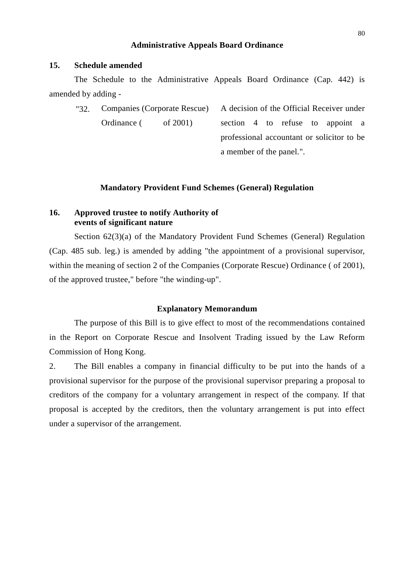#### **Administrative Appeals Board Ordinance**

#### **15. Schedule amended**

The Schedule to the Administrative Appeals Board Ordinance (Cap. 442) is amended by adding -

"32. Companies (Corporate Rescue) Ordinance ( of 2001) A decision of the Official Receiver under section 4 to refuse to appoint a professional accountant or solicitor to be a member of the panel.".

#### **Mandatory Provident Fund Schemes (General) Regulation**

## **16. Approved trustee to notify Authority of events of significant nature**

Section 62(3)(a) of the Mandatory Provident Fund Schemes (General) Regulation (Cap. 485 sub. leg.) is amended by adding "the appointment of a provisional supervisor, within the meaning of section 2 of the Companies (Corporate Rescue) Ordinance ( of 2001), of the approved trustee," before "the winding-up".

### **Explanatory Memorandum**

The purpose of this Bill is to give effect to most of the recommendations contained in the Report on Corporate Rescue and Insolvent Trading issued by the Law Reform Commission of Hong Kong.

2. The Bill enables a company in financial difficulty to be put into the hands of a provisional supervisor for the purpose of the provisional supervisor preparing a proposal to creditors of the company for a voluntary arrangement in respect of the company. If that proposal is accepted by the creditors, then the voluntary arrangement is put into effect under a supervisor of the arrangement.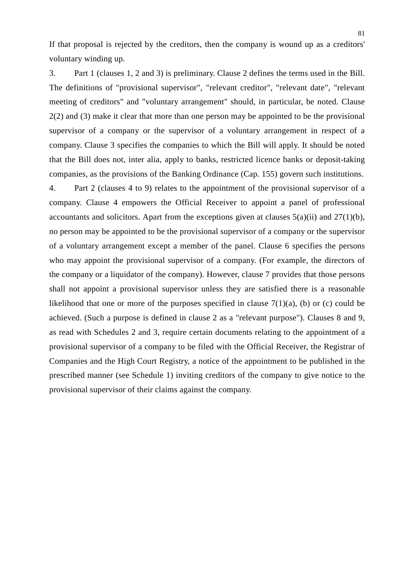If that proposal is rejected by the creditors, then the company is wound up as a creditors' voluntary winding up.

3. Part 1 (clauses 1, 2 and 3) is preliminary. Clause 2 defines the terms used in the Bill. The definitions of "provisional supervisor", "relevant creditor", "relevant date", "relevant meeting of creditors" and "voluntary arrangement" should, in particular, be noted. Clause 2(2) and (3) make it clear that more than one person may be appointed to be the provisional supervisor of a company or the supervisor of a voluntary arrangement in respect of a company. Clause 3 specifies the companies to which the Bill will apply. It should be noted that the Bill does not, inter alia, apply to banks, restricted licence banks or deposit-taking companies, as the provisions of the Banking Ordinance (Cap. 155) govern such institutions.

4. Part 2 (clauses 4 to 9) relates to the appointment of the provisional supervisor of a company. Clause 4 empowers the Official Receiver to appoint a panel of professional accountants and solicitors. Apart from the exceptions given at clauses  $5(a)(ii)$  and  $27(1)(b)$ , no person may be appointed to be the provisional supervisor of a company or the supervisor of a voluntary arrangement except a member of the panel. Clause 6 specifies the persons who may appoint the provisional supervisor of a company. (For example, the directors of the company or a liquidator of the company). However, clause 7 provides that those persons shall not appoint a provisional supervisor unless they are satisfied there is a reasonable likelihood that one or more of the purposes specified in clause  $7(1)(a)$ , (b) or (c) could be achieved. (Such a purpose is defined in clause 2 as a "relevant purpose"). Clauses 8 and 9, as read with Schedules 2 and 3, require certain documents relating to the appointment of a provisional supervisor of a company to be filed with the Official Receiver, the Registrar of Companies and the High Court Registry, a notice of the appointment to be published in the prescribed manner (see Schedule 1) inviting creditors of the company to give notice to the provisional supervisor of their claims against the company.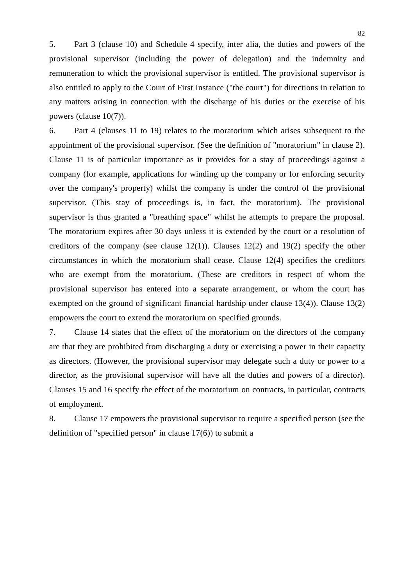5. Part 3 (clause 10) and Schedule 4 specify, inter alia, the duties and powers of the provisional supervisor (including the power of delegation) and the indemnity and remuneration to which the provisional supervisor is entitled. The provisional supervisor is also entitled to apply to the Court of First Instance ("the court") for directions in relation to any matters arising in connection with the discharge of his duties or the exercise of his powers (clause 10(7)).

6. Part 4 (clauses 11 to 19) relates to the moratorium which arises subsequent to the appointment of the provisional supervisor. (See the definition of "moratorium" in clause 2). Clause 11 is of particular importance as it provides for a stay of proceedings against a company (for example, applications for winding up the company or for enforcing security over the company's property) whilst the company is under the control of the provisional supervisor. (This stay of proceedings is, in fact, the moratorium). The provisional supervisor is thus granted a "breathing space" whilst he attempts to prepare the proposal. The moratorium expires after 30 days unless it is extended by the court or a resolution of creditors of the company (see clause  $12(1)$ ). Clauses  $12(2)$  and  $19(2)$  specify the other circumstances in which the moratorium shall cease. Clause 12(4) specifies the creditors who are exempt from the moratorium. (These are creditors in respect of whom the provisional supervisor has entered into a separate arrangement, or whom the court has exempted on the ground of significant financial hardship under clause 13(4)). Clause 13(2) empowers the court to extend the moratorium on specified grounds.

7. Clause 14 states that the effect of the moratorium on the directors of the company are that they are prohibited from discharging a duty or exercising a power in their capacity as directors. (However, the provisional supervisor may delegate such a duty or power to a director, as the provisional supervisor will have all the duties and powers of a director). Clauses 15 and 16 specify the effect of the moratorium on contracts, in particular, contracts of employment.

8. Clause 17 empowers the provisional supervisor to require a specified person (see the definition of "specified person" in clause 17(6)) to submit a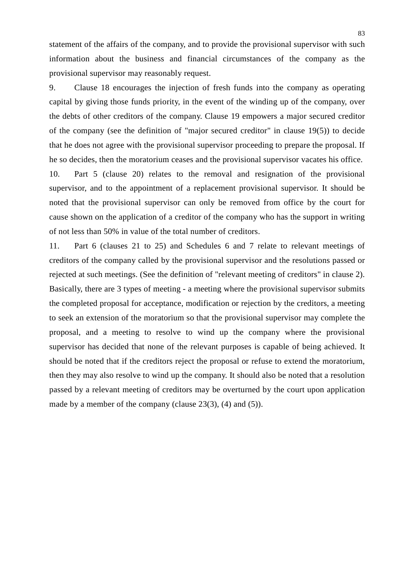statement of the affairs of the company, and to provide the provisional supervisor with such information about the business and financial circumstances of the company as the provisional supervisor may reasonably request.

9. Clause 18 encourages the injection of fresh funds into the company as operating capital by giving those funds priority, in the event of the winding up of the company, over the debts of other creditors of the company. Clause 19 empowers a major secured creditor of the company (see the definition of "major secured creditor" in clause 19(5)) to decide that he does not agree with the provisional supervisor proceeding to prepare the proposal. If he so decides, then the moratorium ceases and the provisional supervisor vacates his office.

10. Part 5 (clause 20) relates to the removal and resignation of the provisional supervisor, and to the appointment of a replacement provisional supervisor. It should be noted that the provisional supervisor can only be removed from office by the court for cause shown on the application of a creditor of the company who has the support in writing of not less than 50% in value of the total number of creditors.

11. Part 6 (clauses 21 to 25) and Schedules 6 and 7 relate to relevant meetings of creditors of the company called by the provisional supervisor and the resolutions passed or rejected at such meetings. (See the definition of "relevant meeting of creditors" in clause 2). Basically, there are 3 types of meeting - a meeting where the provisional supervisor submits the completed proposal for acceptance, modification or rejection by the creditors, a meeting to seek an extension of the moratorium so that the provisional supervisor may complete the proposal, and a meeting to resolve to wind up the company where the provisional supervisor has decided that none of the relevant purposes is capable of being achieved. It should be noted that if the creditors reject the proposal or refuse to extend the moratorium, then they may also resolve to wind up the company. It should also be noted that a resolution passed by a relevant meeting of creditors may be overturned by the court upon application made by a member of the company (clause 23(3), (4) and (5)).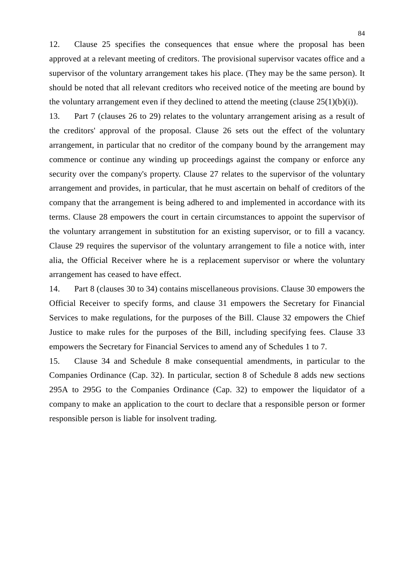12. Clause 25 specifies the consequences that ensue where the proposal has been approved at a relevant meeting of creditors. The provisional supervisor vacates office and a supervisor of the voluntary arrangement takes his place. (They may be the same person). It should be noted that all relevant creditors who received notice of the meeting are bound by the voluntary arrangement even if they declined to attend the meeting (clause  $25(1)(b)(i)$ ).

13. Part 7 (clauses 26 to 29) relates to the voluntary arrangement arising as a result of the creditors' approval of the proposal. Clause 26 sets out the effect of the voluntary arrangement, in particular that no creditor of the company bound by the arrangement may commence or continue any winding up proceedings against the company or enforce any security over the company's property. Clause 27 relates to the supervisor of the voluntary arrangement and provides, in particular, that he must ascertain on behalf of creditors of the company that the arrangement is being adhered to and implemented in accordance with its terms. Clause 28 empowers the court in certain circumstances to appoint the supervisor of the voluntary arrangement in substitution for an existing supervisor, or to fill a vacancy. Clause 29 requires the supervisor of the voluntary arrangement to file a notice with, inter alia, the Official Receiver where he is a replacement supervisor or where the voluntary arrangement has ceased to have effect.

14. Part 8 (clauses 30 to 34) contains miscellaneous provisions. Clause 30 empowers the Official Receiver to specify forms, and clause 31 empowers the Secretary for Financial Services to make regulations, for the purposes of the Bill. Clause 32 empowers the Chief Justice to make rules for the purposes of the Bill, including specifying fees. Clause 33 empowers the Secretary for Financial Services to amend any of Schedules 1 to 7.

15. Clause 34 and Schedule 8 make consequential amendments, in particular to the Companies Ordinance (Cap. 32). In particular, section 8 of Schedule 8 adds new sections 295A to 295G to the Companies Ordinance (Cap. 32) to empower the liquidator of a company to make an application to the court to declare that a responsible person or former responsible person is liable for insolvent trading.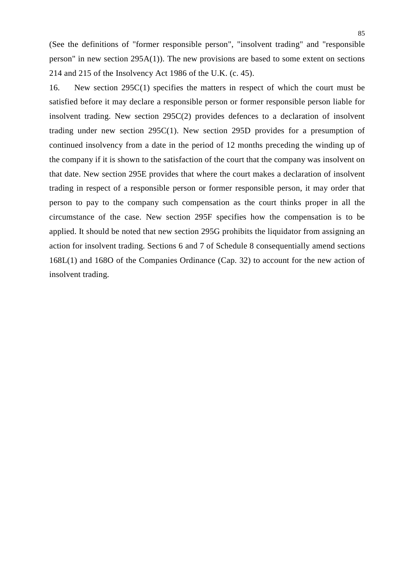(See the definitions of "former responsible person", "insolvent trading" and "responsible person" in new section 295A(1)). The new provisions are based to some extent on sections 214 and 215 of the Insolvency Act 1986 of the U.K. (c. 45).

16. New section 295C(1) specifies the matters in respect of which the court must be satisfied before it may declare a responsible person or former responsible person liable for insolvent trading. New section 295C(2) provides defences to a declaration of insolvent trading under new section 295C(1). New section 295D provides for a presumption of continued insolvency from a date in the period of 12 months preceding the winding up of the company if it is shown to the satisfaction of the court that the company was insolvent on that date. New section 295E provides that where the court makes a declaration of insolvent trading in respect of a responsible person or former responsible person, it may order that person to pay to the company such compensation as the court thinks proper in all the circumstance of the case. New section 295F specifies how the compensation is to be applied. It should be noted that new section 295G prohibits the liquidator from assigning an action for insolvent trading. Sections 6 and 7 of Schedule 8 consequentially amend sections 168L(1) and 168O of the Companies Ordinance (Cap. 32) to account for the new action of insolvent trading.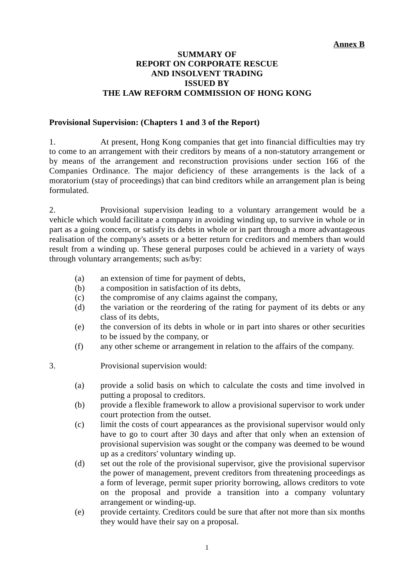# **SUMMARY OF REPORT ON CORPORATE RESCUE AND INSOLVENT TRADING ISSUED BY THE LAW REFORM COMMISSION OF HONG KONG**

### **Provisional Supervision: (Chapters 1 and 3 of the Report)**

1. At present, Hong Kong companies that get into financial difficulties may try to come to an arrangement with their creditors by means of a non-statutory arrangement or by means of the arrangement and reconstruction provisions under section 166 of the Companies Ordinance. The major deficiency of these arrangements is the lack of a moratorium (stay of proceedings) that can bind creditors while an arrangement plan is being formulated.

2. Provisional supervision leading to a voluntary arrangement would be a vehicle which would facilitate a company in avoiding winding up, to survive in whole or in part as a going concern, or satisfy its debts in whole or in part through a more advantageous realisation of the company's assets or a better return for creditors and members than would result from a winding up. These general purposes could be achieved in a variety of ways through voluntary arrangements; such as/by:

- (a) an extension of time for payment of debts,
- (b) a composition in satisfaction of its debts,
- (c) the compromise of any claims against the company,
- (d) the variation or the reordering of the rating for payment of its debts or any class of its debts,
- (e) the conversion of its debts in whole or in part into shares or other securities to be issued by the company, or
- (f) any other scheme or arrangement in relation to the affairs of the company.

3. Provisional supervision would:

- (a) provide a solid basis on which to calculate the costs and time involved in putting a proposal to creditors.
- (b) provide a flexible framework to allow a provisional supervisor to work under court protection from the outset.
- (c) limit the costs of court appearances as the provisional supervisor would only have to go to court after 30 days and after that only when an extension of provisional supervision was sought or the company was deemed to be wound up as a creditors' voluntary winding up.
- (d) set out the role of the provisional supervisor, give the provisional supervisor the power of management, prevent creditors from threatening proceedings as a form of leverage, permit super priority borrowing, allows creditors to vote on the proposal and provide a transition into a company voluntary arrangement or winding-up.
- (e) provide certainty. Creditors could be sure that after not more than six months they would have their say on a proposal.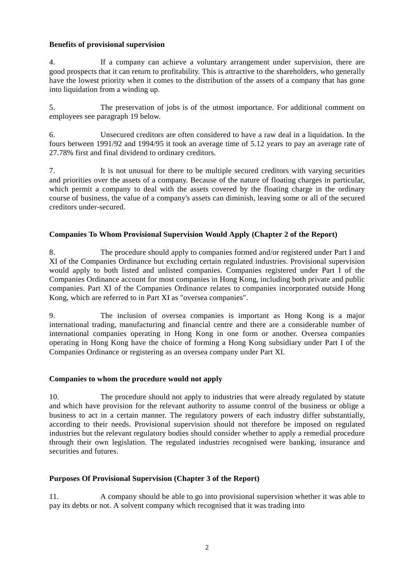### **Benefits of provisional supervision**

4. If a company can achieve a voluntary arrangement under supervision, there are good prospects that it can return to profitability. This is attractive to the shareholders, who generally have the lowest priority when it comes to the distribution of the assets of a company that has gone into liquidation from a winding up.

5. The preservation of jobs is of the utmost importance. For additional comment on employees see paragraph 19 below.

6. Unsecured creditors are often considered to have a raw deal in a liquidation. In the fours between 1991/92 and 1994/95 it took an average time of 5.12 years to pay an average rate of 27.78% first and final dividend to ordinary creditors.

7. It is not unusual for there to be multiple secured creditors with varying securities and priorities over the assets of a company. Because of the nature of floating charges in particular, which permit a company to deal with the assets covered by the floating charge in the ordinary course of business, the value of a company's assets can diminish, leaving some or all of the secured creditors under-secured.

### **Companies To Whom Provisional Supervision Would Apply (Chapter 2 of the Report)**

8. The procedure should apply to companies formed and/or registered under Part I and XI of the Companies Ordinance but excluding certain regulated industries. Provisional supervision would apply to both listed and unlisted companies. Companies registered under Part I of the Companies Ordinance account for most companies in Hong Kong, including both private and public companies. Part XI of the Companies Ordinance relates to companies incorporated outside Hong Kong, which are referred to in Part XI as "oversea companies".

9. The inclusion of oversea companies is important as Hong Kong is a major international trading, manufacturing and financial centre and there are a considerable number of international companies operating in Hong Kong in one form or another. Oversea companies operating in Hong Kong have the choice of forming a Hong Kong subsidiary under Part I of the Companies Ordinance or registering as an oversea company under Part XI.

### **Companies to whom the procedure would not apply**

10. The procedure should not apply to industries that were already regulated by statute and which have provision for the relevant authority to assume control of the business or oblige a business to act in a certain manner. The regulatory powers of each industry differ substantially, according to their needs. Provisional supervision should not therefore be imposed on regulated industries but the relevant regulatory bodies should consider whether to apply a remedial procedure through their own legislation. The regulated industries recognised were banking, insurance and securities and futures.

### **Purposes Of Provisional Supervision (Chapter 3 of the Report)**

11. A company should be able to go into provisional supervision whether it was able to pay its debts or not. A solvent company which recognised that it was trading into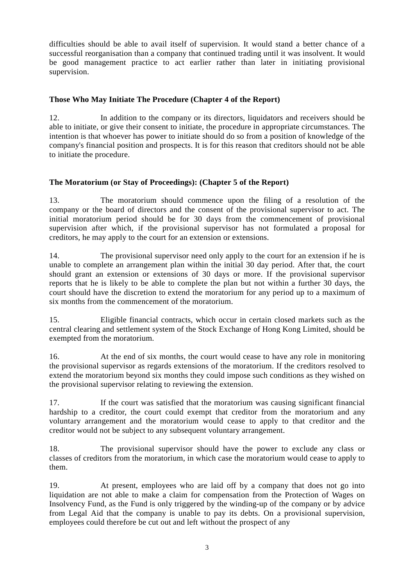difficulties should be able to avail itself of supervision. It would stand a better chance of a successful reorganisation than a company that continued trading until it was insolvent. It would be good management practice to act earlier rather than later in initiating provisional supervision.

# **Those Who May Initiate The Procedure (Chapter 4 of the Report)**

12. In addition to the company or its directors, liquidators and receivers should be able to initiate, or give their consent to initiate, the procedure in appropriate circumstances. The intention is that whoever has power to initiate should do so from a position of knowledge of the company's financial position and prospects. It is for this reason that creditors should not be able to initiate the procedure.

# **The Moratorium (or Stay of Proceedings): (Chapter 5 of the Report)**

13. The moratorium should commence upon the filing of a resolution of the company or the board of directors and the consent of the provisional supervisor to act. The initial moratorium period should be for 30 days from the commencement of provisional supervision after which, if the provisional supervisor has not formulated a proposal for creditors, he may apply to the court for an extension or extensions.

14. The provisional supervisor need only apply to the court for an extension if he is unable to complete an arrangement plan within the initial 30 day period. After that, the court should grant an extension or extensions of 30 days or more. If the provisional supervisor reports that he is likely to be able to complete the plan but not within a further 30 days, the court should have the discretion to extend the moratorium for any period up to a maximum of six months from the commencement of the moratorium.

15. Eligible financial contracts, which occur in certain closed markets such as the central clearing and settlement system of the Stock Exchange of Hong Kong Limited, should be exempted from the moratorium.

16. At the end of six months, the court would cease to have any role in monitoring the provisional supervisor as regards extensions of the moratorium. If the creditors resolved to extend the moratorium beyond six months they could impose such conditions as they wished on the provisional supervisor relating to reviewing the extension.

17. If the court was satisfied that the moratorium was causing significant financial hardship to a creditor, the court could exempt that creditor from the moratorium and any voluntary arrangement and the moratorium would cease to apply to that creditor and the creditor would not be subject to any subsequent voluntary arrangement.

18. The provisional supervisor should have the power to exclude any class or classes of creditors from the moratorium, in which case the moratorium would cease to apply to them.

19. At present, employees who are laid off by a company that does not go into liquidation are not able to make a claim for compensation from the Protection of Wages on Insolvency Fund, as the Fund is only triggered by the winding-up of the company or by advice from Legal Aid that the company is unable to pay its debts. On a provisional supervision, employees could therefore be cut out and left without the prospect of any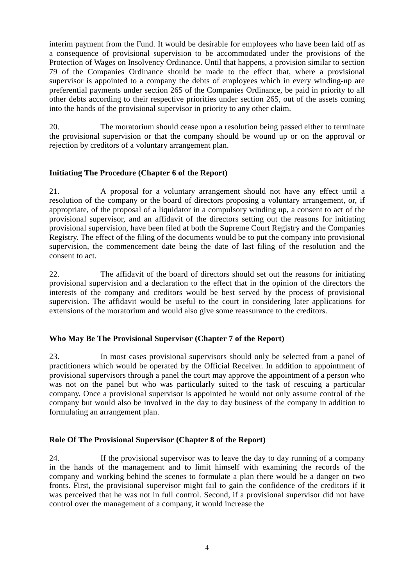interim payment from the Fund. It would be desirable for employees who have been laid off as a consequence of provisional supervision to be accommodated under the provisions of the Protection of Wages on Insolvency Ordinance. Until that happens, a provision similar to section 79 of the Companies Ordinance should be made to the effect that, where a provisional supervisor is appointed to a company the debts of employees which in every winding-up are preferential payments under section 265 of the Companies Ordinance, be paid in priority to all other debts according to their respective priorities under section 265, out of the assets coming into the hands of the provisional supervisor in priority to any other claim.

20. The moratorium should cease upon a resolution being passed either to terminate the provisional supervision or that the company should be wound up or on the approval or rejection by creditors of a voluntary arrangement plan.

## **Initiating The Procedure (Chapter 6 of the Report)**

21. A proposal for a voluntary arrangement should not have any effect until a resolution of the company or the board of directors proposing a voluntary arrangement, or, if appropriate, of the proposal of a liquidator in a compulsory winding up, a consent to act of the provisional supervisor, and an affidavit of the directors setting out the reasons for initiating provisional supervision, have been filed at both the Supreme Court Registry and the Companies Registry. The effect of the filing of the documents would be to put the company into provisional supervision, the commencement date being the date of last filing of the resolution and the consent to act.

22. The affidavit of the board of directors should set out the reasons for initiating provisional supervision and a declaration to the effect that in the opinion of the directors the interests of the company and creditors would be best served by the process of provisional supervision. The affidavit would be useful to the court in considering later applications for extensions of the moratorium and would also give some reassurance to the creditors.

### **Who May Be The Provisional Supervisor (Chapter 7 of the Report)**

23. In most cases provisional supervisors should only be selected from a panel of practitioners which would be operated by the Official Receiver. In addition to appointment of provisional supervisors through a panel the court may approve the appointment of a person who was not on the panel but who was particularly suited to the task of rescuing a particular company. Once a provisional supervisor is appointed he would not only assume control of the company but would also be involved in the day to day business of the company in addition to formulating an arrangement plan.

# **Role Of The Provisional Supervisor (Chapter 8 of the Report)**

24. If the provisional supervisor was to leave the day to day running of a company in the hands of the management and to limit himself with examining the records of the company and working behind the scenes to formulate a plan there would be a danger on two fronts. First, the provisional supervisor might fail to gain the confidence of the creditors if it was perceived that he was not in full control. Second, if a provisional supervisor did not have control over the management of a company, it would increase the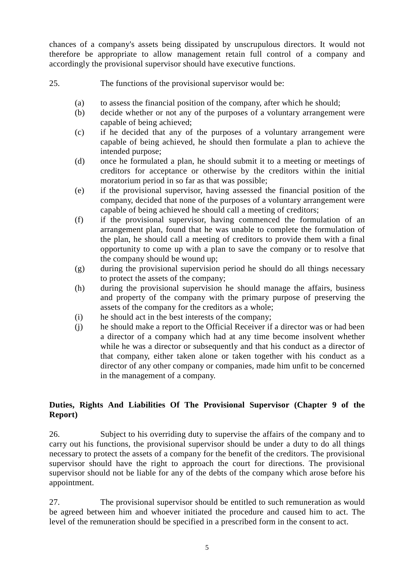chances of a company's assets being dissipated by unscrupulous directors. It would not therefore be appropriate to allow management retain full control of a company and accordingly the provisional supervisor should have executive functions.

- 25. The functions of the provisional supervisor would be:
	- (a) to assess the financial position of the company, after which he should;
	- (b) decide whether or not any of the purposes of a voluntary arrangement were capable of being achieved;
	- (c) if he decided that any of the purposes of a voluntary arrangement were capable of being achieved, he should then formulate a plan to achieve the intended purpose;
	- (d) once he formulated a plan, he should submit it to a meeting or meetings of creditors for acceptance or otherwise by the creditors within the initial moratorium period in so far as that was possible;
	- (e) if the provisional supervisor, having assessed the financial position of the company, decided that none of the purposes of a voluntary arrangement were capable of being achieved he should call a meeting of creditors;
	- (f) if the provisional supervisor, having commenced the formulation of an arrangement plan, found that he was unable to complete the formulation of the plan, he should call a meeting of creditors to provide them with a final opportunity to come up with a plan to save the company or to resolve that the company should be wound up;
	- (g) during the provisional supervision period he should do all things necessary to protect the assets of the company;
	- (h) during the provisional supervision he should manage the affairs, business and property of the company with the primary purpose of preserving the assets of the company for the creditors as a whole;
	- (i) he should act in the best interests of the company;
	- (j) he should make a report to the Official Receiver if a director was or had been a director of a company which had at any time become insolvent whether while he was a director or subsequently and that his conduct as a director of that company, either taken alone or taken together with his conduct as a director of any other company or companies, made him unfit to be concerned in the management of a company.

# **Duties, Rights And Liabilities Of The Provisional Supervisor (Chapter 9 of the Report)**

26. Subject to his overriding duty to supervise the affairs of the company and to carry out his functions, the provisional supervisor should be under a duty to do all things necessary to protect the assets of a company for the benefit of the creditors. The provisional supervisor should have the right to approach the court for directions. The provisional supervisor should not be liable for any of the debts of the company which arose before his appointment.

27. The provisional supervisor should be entitled to such remuneration as would be agreed between him and whoever initiated the procedure and caused him to act. The level of the remuneration should be specified in a prescribed form in the consent to act.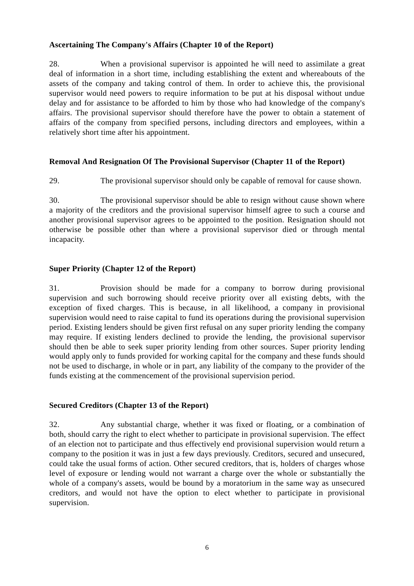## **Ascertaining The Company's Affairs (Chapter 10 of the Report)**

28. When a provisional supervisor is appointed he will need to assimilate a great deal of information in a short time, including establishing the extent and whereabouts of the assets of the company and taking control of them. In order to achieve this, the provisional supervisor would need powers to require information to be put at his disposal without undue delay and for assistance to be afforded to him by those who had knowledge of the company's affairs. The provisional supervisor should therefore have the power to obtain a statement of affairs of the company from specified persons, including directors and employees, within a relatively short time after his appointment.

## **Removal And Resignation Of The Provisional Supervisor (Chapter 11 of the Report)**

29. The provisional supervisor should only be capable of removal for cause shown.

30. The provisional supervisor should be able to resign without cause shown where a majority of the creditors and the provisional supervisor himself agree to such a course and another provisional supervisor agrees to be appointed to the position. Resignation should not otherwise be possible other than where a provisional supervisor died or through mental incapacity.

## **Super Priority (Chapter 12 of the Report)**

31. Provision should be made for a company to borrow during provisional supervision and such borrowing should receive priority over all existing debts, with the exception of fixed charges. This is because, in all likelihood, a company in provisional supervision would need to raise capital to fund its operations during the provisional supervision period. Existing lenders should be given first refusal on any super priority lending the company may require. If existing lenders declined to provide the lending, the provisional supervisor should then be able to seek super priority lending from other sources. Super priority lending would apply only to funds provided for working capital for the company and these funds should not be used to discharge, in whole or in part, any liability of the company to the provider of the funds existing at the commencement of the provisional supervision period.

### **Secured Creditors (Chapter 13 of the Report)**

32. Any substantial charge, whether it was fixed or floating, or a combination of both, should carry the right to elect whether to participate in provisional supervision. The effect of an election not to participate and thus effectively end provisional supervision would return a company to the position it was in just a few days previously. Creditors, secured and unsecured, could take the usual forms of action. Other secured creditors, that is, holders of charges whose level of exposure or lending would not warrant a charge over the whole or substantially the whole of a company's assets, would be bound by a moratorium in the same way as unsecured creditors, and would not have the option to elect whether to participate in provisional supervision.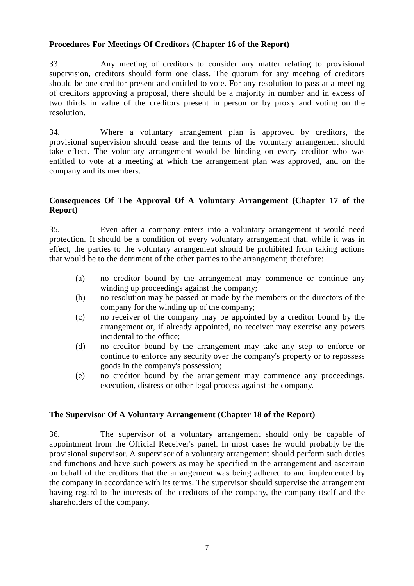# **Procedures For Meetings Of Creditors (Chapter 16 of the Report)**

33. Any meeting of creditors to consider any matter relating to provisional supervision, creditors should form one class. The quorum for any meeting of creditors should be one creditor present and entitled to vote. For any resolution to pass at a meeting of creditors approving a proposal, there should be a majority in number and in excess of two thirds in value of the creditors present in person or by proxy and voting on the resolution.

34. Where a voluntary arrangement plan is approved by creditors, the provisional supervision should cease and the terms of the voluntary arrangement should take effect. The voluntary arrangement would be binding on every creditor who was entitled to vote at a meeting at which the arrangement plan was approved, and on the company and its members.

# **Consequences Of The Approval Of A Voluntary Arrangement (Chapter 17 of the Report)**

35. Even after a company enters into a voluntary arrangement it would need protection. It should be a condition of every voluntary arrangement that, while it was in effect, the parties to the voluntary arrangement should be prohibited from taking actions that would be to the detriment of the other parties to the arrangement; therefore:

- (a) no creditor bound by the arrangement may commence or continue any winding up proceedings against the company;
- (b) no resolution may be passed or made by the members or the directors of the company for the winding up of the company;
- (c) no receiver of the company may be appointed by a creditor bound by the arrangement or, if already appointed, no receiver may exercise any powers incidental to the office;
- (d) no creditor bound by the arrangement may take any step to enforce or continue to enforce any security over the company's property or to repossess goods in the company's possession;
- (e) no creditor bound by the arrangement may commence any proceedings, execution, distress or other legal process against the company.

# **The Supervisor Of A Voluntary Arrangement (Chapter 18 of the Report)**

36. The supervisor of a voluntary arrangement should only be capable of appointment from the Official Receiver's panel. In most cases he would probably be the provisional supervisor. A supervisor of a voluntary arrangement should perform such duties and functions and have such powers as may be specified in the arrangement and ascertain on behalf of the creditors that the arrangement was being adhered to and implemented by the company in accordance with its terms. The supervisor should supervise the arrangement having regard to the interests of the creditors of the company, the company itself and the shareholders of the company.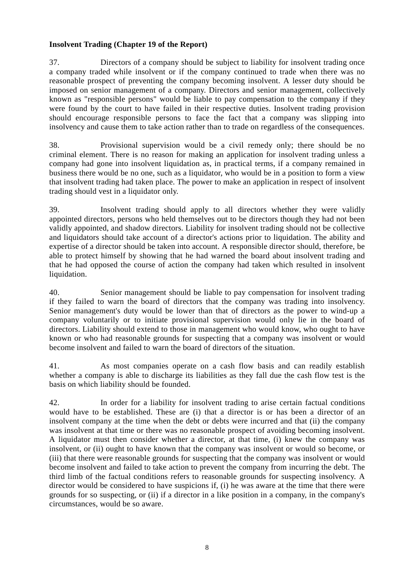# **Insolvent Trading (Chapter 19 of the Report)**

37. Directors of a company should be subject to liability for insolvent trading once a company traded while insolvent or if the company continued to trade when there was no reasonable prospect of preventing the company becoming insolvent. A lesser duty should be imposed on senior management of a company. Directors and senior management, collectively known as "responsible persons" would be liable to pay compensation to the company if they were found by the court to have failed in their respective duties. Insolvent trading provision should encourage responsible persons to face the fact that a company was slipping into insolvency and cause them to take action rather than to trade on regardless of the consequences.

38. Provisional supervision would be a civil remedy only; there should be no criminal element. There is no reason for making an application for insolvent trading unless a company had gone into insolvent liquidation as, in practical terms, if a company remained in business there would be no one, such as a liquidator, who would be in a position to form a view that insolvent trading had taken place. The power to make an application in respect of insolvent trading should vest in a liquidator only.

39. Insolvent trading should apply to all directors whether they were validly appointed directors, persons who held themselves out to be directors though they had not been validly appointed, and shadow directors. Liability for insolvent trading should not be collective and liquidators should take account of a director's actions prior to liquidation. The ability and expertise of a director should be taken into account. A responsible director should, therefore, be able to protect himself by showing that he had warned the board about insolvent trading and that he had opposed the course of action the company had taken which resulted in insolvent liquidation.

40. Senior management should be liable to pay compensation for insolvent trading if they failed to warn the board of directors that the company was trading into insolvency. Senior management's duty would be lower than that of directors as the power to wind-up a company voluntarily or to initiate provisional supervision would only lie in the board of directors. Liability should extend to those in management who would know, who ought to have known or who had reasonable grounds for suspecting that a company was insolvent or would become insolvent and failed to warn the board of directors of the situation.

41. As most companies operate on a cash flow basis and can readily establish whether a company is able to discharge its liabilities as they fall due the cash flow test is the basis on which liability should be founded.

42. In order for a liability for insolvent trading to arise certain factual conditions would have to be established. These are (i) that a director is or has been a director of an insolvent company at the time when the debt or debts were incurred and that (ii) the company was insolvent at that time or there was no reasonable prospect of avoiding becoming insolvent. A liquidator must then consider whether a director, at that time, (i) knew the company was insolvent, or (ii) ought to have known that the company was insolvent or would so become, or (iii) that there were reasonable grounds for suspecting that the company was insolvent or would become insolvent and failed to take action to prevent the company from incurring the debt. The third limb of the factual conditions refers to reasonable grounds for suspecting insolvency. A director would be considered to have suspicions if, (i) he was aware at the time that there were grounds for so suspecting, or (ii) if a director in a like position in a company, in the company's circumstances, would be so aware.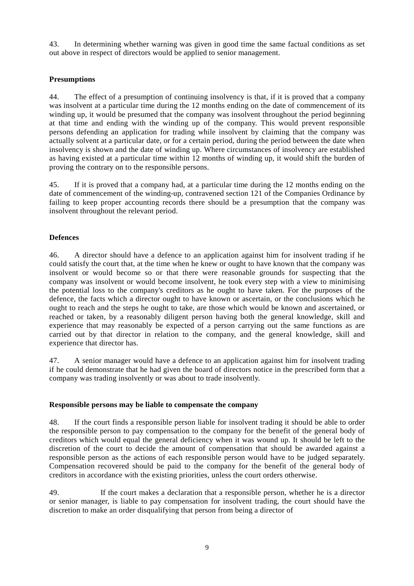43. In determining whether warning was given in good time the same factual conditions as set out above in respect of directors would be applied to senior management.

### **Presumptions**

44. The effect of a presumption of continuing insolvency is that, if it is proved that a company was insolvent at a particular time during the 12 months ending on the date of commencement of its winding up, it would be presumed that the company was insolvent throughout the period beginning at that time and ending with the winding up of the company. This would prevent responsible persons defending an application for trading while insolvent by claiming that the company was actually solvent at a particular date, or for a certain period, during the period between the date when insolvency is shown and the date of winding up. Where circumstances of insolvency are established as having existed at a particular time within 12 months of winding up, it would shift the burden of proving the contrary on to the responsible persons.

45. If it is proved that a company had, at a particular time during the 12 months ending on the date of commencement of the winding-up, contravened section 121 of the Companies Ordinance by failing to keep proper accounting records there should be a presumption that the company was insolvent throughout the relevant period.

### **Defences**

46. A director should have a defence to an application against him for insolvent trading if he could satisfy the court that, at the time when he knew or ought to have known that the company was insolvent or would become so or that there were reasonable grounds for suspecting that the company was insolvent or would become insolvent, he took every step with a view to minimising the potential loss to the company's creditors as he ought to have taken. For the purposes of the defence, the facts which a director ought to have known or ascertain, or the conclusions which he ought to reach and the steps he ought to take, are those which would be known and ascertained, or reached or taken, by a reasonably diligent person having both the general knowledge, skill and experience that may reasonably be expected of a person carrying out the same functions as are carried out by that director in relation to the company, and the general knowledge, skill and experience that director has.

47. A senior manager would have a defence to an application against him for insolvent trading if he could demonstrate that he had given the board of directors notice in the prescribed form that a company was trading insolvently or was about to trade insolvently.

#### **Responsible persons may be liable to compensate the company**

48. If the court finds a responsible person liable for insolvent trading it should be able to order the responsible person to pay compensation to the company for the benefit of the general body of creditors which would equal the general deficiency when it was wound up. It should be left to the discretion of the court to decide the amount of compensation that should be awarded against a responsible person as the actions of each responsible person would have to be judged separately. Compensation recovered should be paid to the company for the benefit of the general body of creditors in accordance with the existing priorities, unless the court orders otherwise.

49. If the court makes a declaration that a responsible person, whether he is a director or senior manager, is liable to pay compensation for insolvent trading, the court should have the discretion to make an order disqualifying that person from being a director of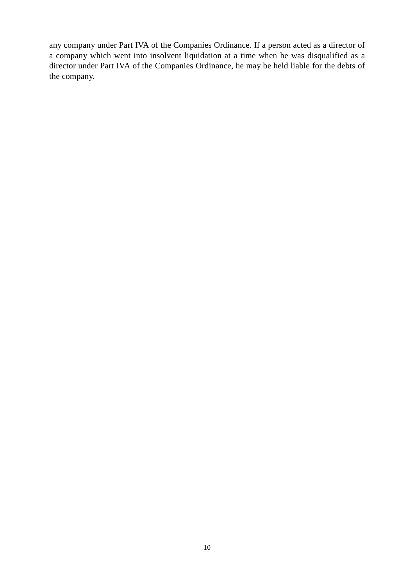any company under Part IVA of the Companies Ordinance. If a person acted as a director of a company which went into insolvent liquidation at a time when he was disqualified as a director under Part IVA of the Companies Ordinance, he may be held liable for the debts of the company.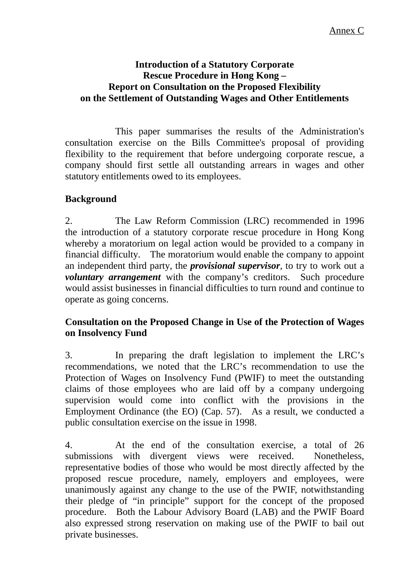#### **Introduction of a Statutory Corporate Rescue Procedure in Hong Kong – Report on Consultation on the Proposed Flexibility on the Settlement of Outstanding Wages and Other Entitlements**

This paper summarises the results of the Administration's consultation exercise on the Bills Committee's proposal of providing flexibility to the requirement that before undergoing corporate rescue, a company should first settle all outstanding arrears in wages and other statutory entitlements owed to its employees.

# **Background**

2. The Law Reform Commission (LRC) recommended in 1996 the introduction of a statutory corporate rescue procedure in Hong Kong whereby a moratorium on legal action would be provided to a company in financial difficulty. The moratorium would enable the company to appoint an independent third party, the *provisional supervisor*, to try to work out a *voluntary arrangement* with the company's creditors. Such procedure would assist businesses in financial difficulties to turn round and continue to operate as going concerns.

# **Consultation on the Proposed Change in Use of the Protection of Wages on Insolvency Fund**

3. In preparing the draft legislation to implement the LRC's recommendations, we noted that the LRC's recommendation to use the Protection of Wages on Insolvency Fund (PWIF) to meet the outstanding claims of those employees who are laid off by a company undergoing supervision would come into conflict with the provisions in the Employment Ordinance (the EO) (Cap. 57). As a result, we conducted a public consultation exercise on the issue in 1998.

4. At the end of the consultation exercise, a total of 26 submissions with divergent views were received. Nonetheless, representative bodies of those who would be most directly affected by the proposed rescue procedure, namely, employers and employees, were unanimously against any change to the use of the PWIF, notwithstanding their pledge of "in principle" support for the concept of the proposed procedure. Both the Labour Advisory Board (LAB) and the PWIF Board also expressed strong reservation on making use of the PWIF to bail out private businesses.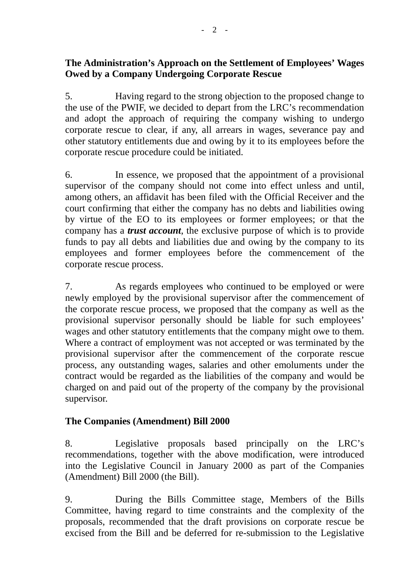# **The Administration's Approach on the Settlement of Employees' Wages Owed by a Company Undergoing Corporate Rescue**

5. Having regard to the strong objection to the proposed change to the use of the PWIF, we decided to depart from the LRC's recommendation and adopt the approach of requiring the company wishing to undergo corporate rescue to clear, if any, all arrears in wages, severance pay and other statutory entitlements due and owing by it to its employees before the corporate rescue procedure could be initiated.

6. In essence, we proposed that the appointment of a provisional supervisor of the company should not come into effect unless and until, among others, an affidavit has been filed with the Official Receiver and the court confirming that either the company has no debts and liabilities owing by virtue of the EO to its employees or former employees; or that the company has a *trust account*, the exclusive purpose of which is to provide funds to pay all debts and liabilities due and owing by the company to its employees and former employees before the commencement of the corporate rescue process.

7. As regards employees who continued to be employed or were newly employed by the provisional supervisor after the commencement of the corporate rescue process, we proposed that the company as well as the provisional supervisor personally should be liable for such employees' wages and other statutory entitlements that the company might owe to them. Where a contract of employment was not accepted or was terminated by the provisional supervisor after the commencement of the corporate rescue process, any outstanding wages, salaries and other emoluments under the contract would be regarded as the liabilities of the company and would be charged on and paid out of the property of the company by the provisional supervisor.

# **The Companies (Amendment) Bill 2000**

8. Legislative proposals based principally on the LRC's recommendations, together with the above modification, were introduced into the Legislative Council in January 2000 as part of the Companies (Amendment) Bill 2000 (the Bill).

9. During the Bills Committee stage, Members of the Bills Committee, having regard to time constraints and the complexity of the proposals, recommended that the draft provisions on corporate rescue be excised from the Bill and be deferred for re-submission to the Legislative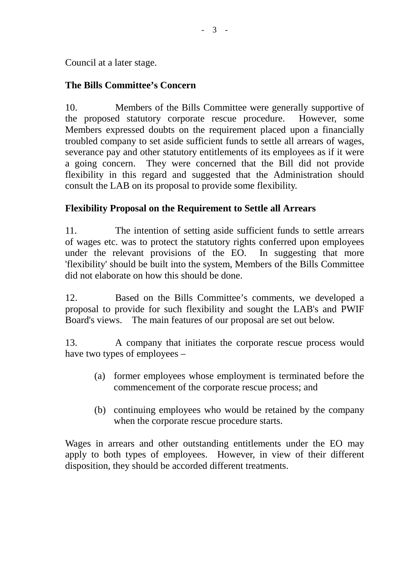Council at a later stage.

# **The Bills Committee's Concern**

10. Members of the Bills Committee were generally supportive of the proposed statutory corporate rescue procedure. However, some Members expressed doubts on the requirement placed upon a financially troubled company to set aside sufficient funds to settle all arrears of wages, severance pay and other statutory entitlements of its employees as if it were a going concern. They were concerned that the Bill did not provide flexibility in this regard and suggested that the Administration should consult the LAB on its proposal to provide some flexibility.

# **Flexibility Proposal on the Requirement to Settle all Arrears**

11. The intention of setting aside sufficient funds to settle arrears of wages etc. was to protect the statutory rights conferred upon employees under the relevant provisions of the EO. In suggesting that more 'flexibility' should be built into the system, Members of the Bills Committee did not elaborate on how this should be done.

12. Based on the Bills Committee's comments, we developed a proposal to provide for such flexibility and sought the LAB's and PWIF Board's views. The main features of our proposal are set out below.

13. A company that initiates the corporate rescue process would have two types of employees –

- (a) former employees whose employment is terminated before the commencement of the corporate rescue process; and
- (b) continuing employees who would be retained by the company when the corporate rescue procedure starts.

Wages in arrears and other outstanding entitlements under the EO may apply to both types of employees. However, in view of their different disposition, they should be accorded different treatments.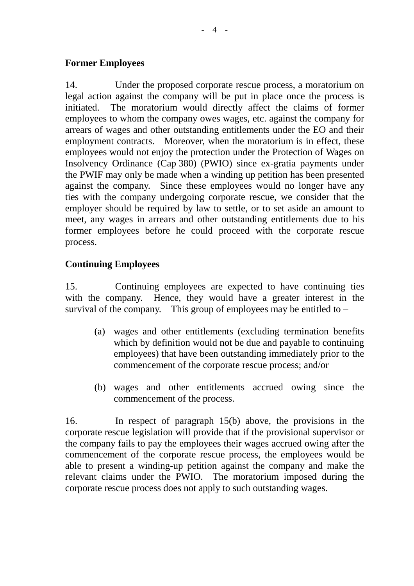#### **Former Employees**

14. Under the proposed corporate rescue process, a moratorium on legal action against the company will be put in place once the process is initiated. The moratorium would directly affect the claims of former employees to whom the company owes wages, etc. against the company for arrears of wages and other outstanding entitlements under the EO and their employment contracts. Moreover, when the moratorium is in effect, these employees would not enjoy the protection under the Protection of Wages on Insolvency Ordinance (Cap 380) (PWIO) since ex-gratia payments under the PWIF may only be made when a winding up petition has been presented against the company. Since these employees would no longer have any ties with the company undergoing corporate rescue, we consider that the employer should be required by law to settle, or to set aside an amount to meet, any wages in arrears and other outstanding entitlements due to his former employees before he could proceed with the corporate rescue process.

#### **Continuing Employees**

15. Continuing employees are expected to have continuing ties with the company. Hence, they would have a greater interest in the survival of the company. This group of employees may be entitled to  $-$ 

- (a) wages and other entitlements (excluding termination benefits which by definition would not be due and payable to continuing employees) that have been outstanding immediately prior to the commencement of the corporate rescue process; and/or
- (b) wages and other entitlements accrued owing since the commencement of the process.

16. In respect of paragraph 15(b) above, the provisions in the corporate rescue legislation will provide that if the provisional supervisor or the company fails to pay the employees their wages accrued owing after the commencement of the corporate rescue process, the employees would be able to present a winding-up petition against the company and make the relevant claims under the PWIO. The moratorium imposed during the corporate rescue process does not apply to such outstanding wages.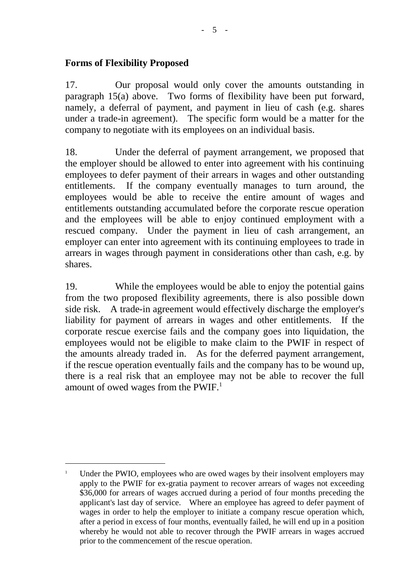#### **Forms of Flexibility Proposed**

l

17. Our proposal would only cover the amounts outstanding in paragraph 15(a) above. Two forms of flexibility have been put forward, namely, a deferral of payment, and payment in lieu of cash (e.g. shares under a trade-in agreement). The specific form would be a matter for the company to negotiate with its employees on an individual basis.

18. Under the deferral of payment arrangement, we proposed that the employer should be allowed to enter into agreement with his continuing employees to defer payment of their arrears in wages and other outstanding entitlements. If the company eventually manages to turn around, the employees would be able to receive the entire amount of wages and entitlements outstanding accumulated before the corporate rescue operation and the employees will be able to enjoy continued employment with a rescued company. Under the payment in lieu of cash arrangement, an employer can enter into agreement with its continuing employees to trade in arrears in wages through payment in considerations other than cash, e.g. by shares.

19. While the employees would be able to enjoy the potential gains from the two proposed flexibility agreements, there is also possible down side risk. A trade-in agreement would effectively discharge the employer's liability for payment of arrears in wages and other entitlements. If the corporate rescue exercise fails and the company goes into liquidation, the employees would not be eligible to make claim to the PWIF in respect of the amounts already traded in. As for the deferred payment arrangement, if the rescue operation eventually fails and the company has to be wound up, there is a real risk that an employee may not be able to recover the full amount of owed wages from the PWIF.<sup>1</sup>

<sup>&</sup>lt;sup>1</sup> Under the PWIO, employees who are owed wages by their insolvent employers may apply to the PWIF for ex-gratia payment to recover arrears of wages not exceeding \$36,000 for arrears of wages accrued during a period of four months preceding the applicant's last day of service. Where an employee has agreed to defer payment of wages in order to help the employer to initiate a company rescue operation which, after a period in excess of four months, eventually failed, he will end up in a position whereby he would not able to recover through the PWIF arrears in wages accrued prior to the commencement of the rescue operation.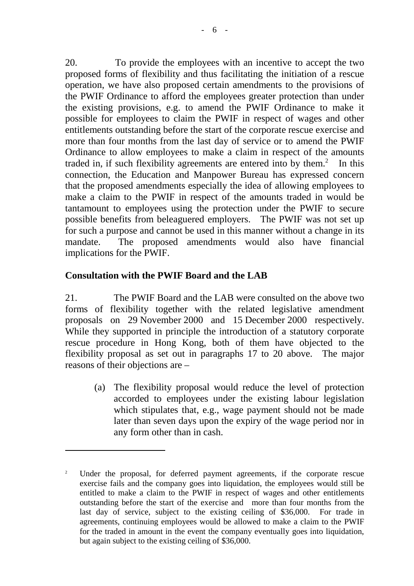20. To provide the employees with an incentive to accept the two proposed forms of flexibility and thus facilitating the initiation of a rescue operation, we have also proposed certain amendments to the provisions of the PWIF Ordinance to afford the employees greater protection than under the existing provisions, e.g. to amend the PWIF Ordinance to make it possible for employees to claim the PWIF in respect of wages and other entitlements outstanding before the start of the corporate rescue exercise and more than four months from the last day of service or to amend the PWIF Ordinance to allow employees to make a claim in respect of the amounts traded in, if such flexibility agreements are entered into by them. $2$  In this connection, the Education and Manpower Bureau has expressed concern that the proposed amendments especially the idea of allowing employees to make a claim to the PWIF in respect of the amounts traded in would be tantamount to employees using the protection under the PWIF to secure possible benefits from beleaguered employers. The PWIF was not set up for such a purpose and cannot be used in this manner without a change in its mandate. The proposed amendments would also have financial implications for the PWIF.

# **Consultation with the PWIF Board and the LAB**

 $\overline{a}$ 

21. The PWIF Board and the LAB were consulted on the above two forms of flexibility together with the related legislative amendment proposals on 29 November 2000 and 15 December 2000 respectively. While they supported in principle the introduction of a statutory corporate rescue procedure in Hong Kong, both of them have objected to the flexibility proposal as set out in paragraphs 17 to 20 above. The major reasons of their objections are –

(a) The flexibility proposal would reduce the level of protection accorded to employees under the existing labour legislation which stipulates that, e.g., wage payment should not be made later than seven days upon the expiry of the wage period nor in any form other than in cash.

<sup>&</sup>lt;sup>2</sup> Under the proposal, for deferred payment agreements, if the corporate rescue exercise fails and the company goes into liquidation, the employees would still be entitled to make a claim to the PWIF in respect of wages and other entitlements outstanding before the start of the exercise and more than four months from the last day of service, subject to the existing ceiling of \$36,000. For trade in agreements, continuing employees would be allowed to make a claim to the PWIF for the traded in amount in the event the company eventually goes into liquidation, but again subject to the existing ceiling of \$36,000.